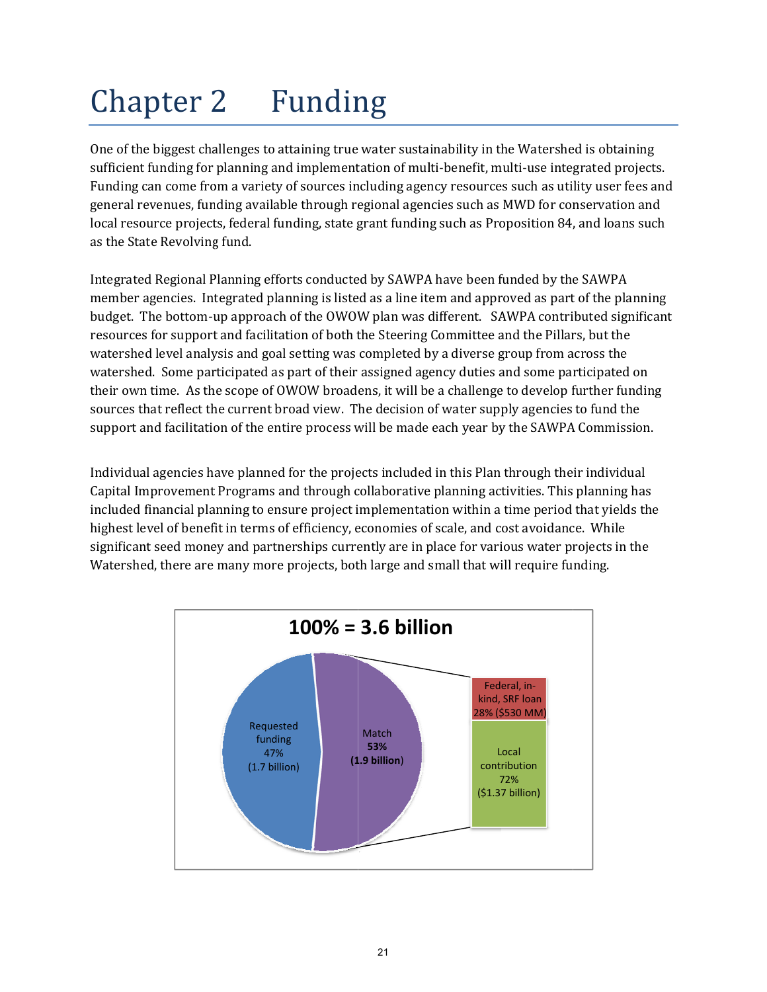# Chapter 2 Funding

One of the biggest challenges to attaining true water sustainability in the Watershed is obtaining sufficient funding for planning and implementation of multi-benefit, multi-use integrated projects. Funding can come from a variety of sources including agency resources such as utility user fees and general revenues, funding available through regional agencies such as MWD for conservation and local resource projects, federal funding, state grant funding such as Proposition 84, and loans such as the State Revolving fund.

Integrated Regional Planning efforts conducted by SAWPA have been funded by the SAWPA member agencies. Integrated planning is listed as a line item and approved as part of the planning budget. The bottom-up approach of the OWOW plan was different. SAWPA contributed significant resources for support and facilitation of both the Steering Committee and the Pillars, but the watershed level analysis and goal setting was completed by a diverse group from across the watershed. Some participated as part of their assigned agency duties and some participated on watershed. Some participated as part of their assigned agency duties and some participated on<br>their own time. As the scope of OWOW broadens, it will be a challenge to develop further funding sources that reflect the current broad view. The decision of water supply agencies to fund the support and facilitation of the entire process will be made each year by the SAWPA Commission.

Individual agencies have planned for the projects included in this Plan through their individual Individual agencies have planned for the projects included in this Plan through their individual<br>Capital Improvement Programs and through collaborative planning activities. This planning has included financial planning to ensure project implementation within a time period that yields the highest level of benefit in terms of efficiency, economies of scale, and cost avoidance. While significant seed money and partnerships currently are in place for various water projects in the Watershed, there are many more projects, both large and small that will require funding.

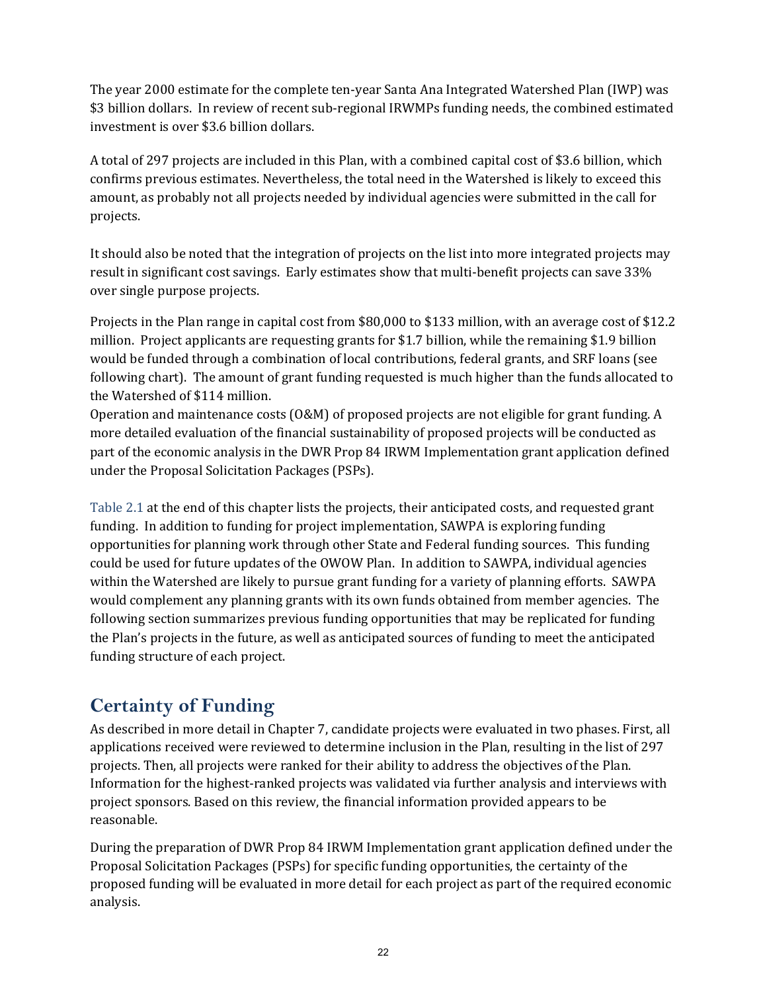The year 2000 estimate for the complete ten-year Santa Ana Integrated Watershed Plan (IWP) was \$3 billion dollars. In review of recent sub-regional IRWMPs funding needs, the combined estimated investment is over \$3.6 billion dollars.

A total of 297 projects are included in this Plan, with a combined capital cost of \$3.6 billion, which confirms previous estimates. Nevertheless, the total need in the Watershed is likely to exceed this amount, as probably not all projects needed by individual agencies were submitted in the call for projects.

It should also be noted that the integration of projects on the list into more integrated projects may result in significant cost savings. Early estimates show that multi-benefit projects can save 33% over single purpose projects.

Projects in the Plan range in capital cost from \$80,000 to \$133 million, with an average cost of \$12.2 million. Project applicants are requesting grants for \$1.7 billion, while the remaining \$1.9 billion would be funded through a combination of local contributions, federal grants, and SRF loans (see following chart). The amount of grant funding requested is much higher than the funds allocated to the Watershed of \$114 million.

Operation and maintenance costs (O&M) of proposed projects are not eligible for grant funding. A more detailed evaluation of the financial sustainability of proposed projects will be conducted as part of the economic analysis in the DWR Prop 84 IRWM Implementation grant application defined under the Proposal Solicitation Packages (PSPs).

Table 2.1 at the end of this chapter lists the projects, their anticipated costs, and requested grant funding. In addition to funding for project implementation, SAWPA is exploring funding opportunities for planning work through other State and Federal funding sources. This funding could be used for future updates of the OWOW Plan. In addition to SAWPA, individual agencies within the Watershed are likely to pursue grant funding for a variety of planning efforts. SAWPA would complement any planning grants with its own funds obtained from member agencies. The following section summarizes previous funding opportunities that may be replicated for funding the Plan's projects in the future, as well as anticipated sources of funding to meet the anticipated funding structure of each project.

### **Certainty of Funding**

As described in more detail in Chapter 7, candidate projects were evaluated in two phases. First, all applications received were reviewed to determine inclusion in the Plan, resulting in the list of 297 projects. Then, all projects were ranked for their ability to address the objectives of the Plan. Information for the highest-ranked projects was validated via further analysis and interviews with project sponsors. Based on this review, the financial information provided appears to be reasonable.

During the preparation of DWR Prop 84 IRWM Implementation grant application defined under the Proposal Solicitation Packages (PSPs) for specific funding opportunities, the certainty of the proposed funding will be evaluated in more detail for each project as part of the required economic analysis.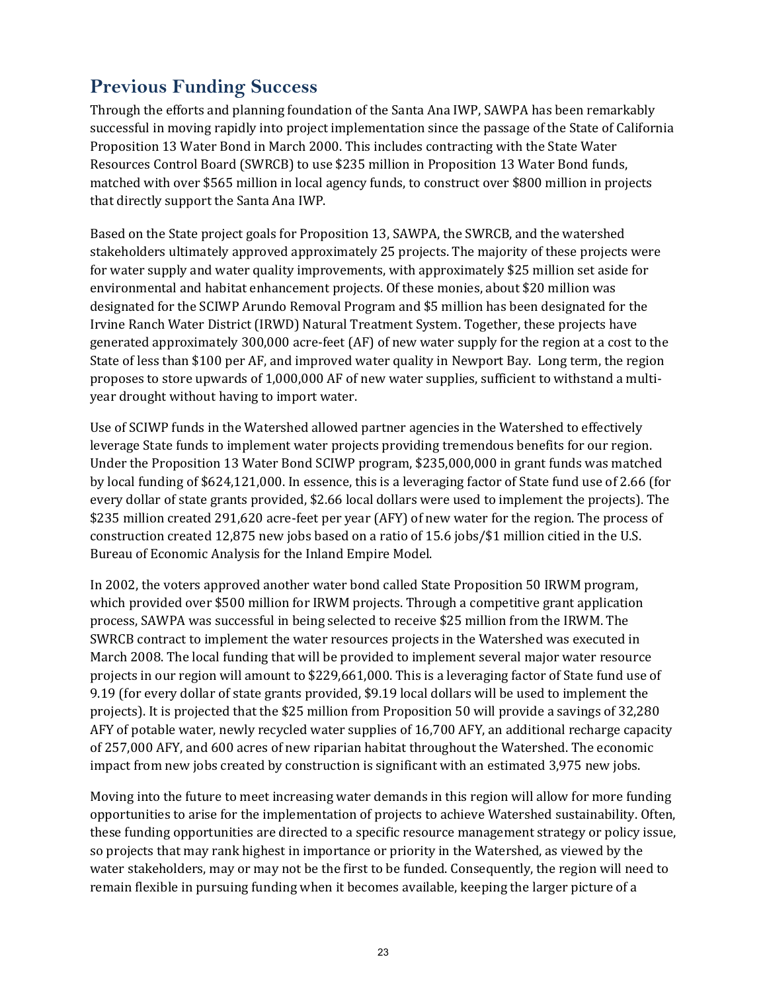#### **Previous Funding Success**

Through the efforts and planning foundation of the Santa Ana IWP, SAWPA has been remarkably successful in moving rapidly into project implementation since the passage of the State of California Proposition 13 Water Bond in March 2000. This includes contracting with the State Water Resources Control Board (SWRCB) to use \$235 million in Proposition 13 Water Bond funds, matched with over \$565 million in local agency funds, to construct over \$800 million in projects that directly support the Santa Ana IWP.

Based on the State project goals for Proposition 13, SAWPA, the SWRCB, and the watershed stakeholders ultimately approved approximately 25 projects. The majority of these projects were for water supply and water quality improvements, with approximately \$25 million set aside for environmental and habitat enhancement projects. Of these monies, about \$20 million was designated for the SCIWP Arundo Removal Program and \$5 million has been designated for the Irvine Ranch Water District (IRWD) Natural Treatment System. Together, these projects have generated approximately 300,000 acre‐feet (AF) of new water supply for the region at a cost to the State of less than \$100 per AF, and improved water quality in Newport Bay. Long term, the region proposes to store upwards of 1,000,000 AF of new water supplies, sufficient to withstand a multiyear drought without having to import water.

Use of SCIWP funds in the Watershed allowed partner agencies in the Watershed to effectively leverage State funds to implement water projects providing tremendous benefits for our region. Under the Proposition 13 Water Bond SCIWP program, \$235,000,000 in grant funds was matched by local funding of \$624,121,000. In essence, this is a leveraging factor of State fund use of 2.66 (for every dollar of state grants provided, \$2.66 local dollars were used to implement the projects). The \$235 million created 291,620 acre‐feet per year (AFY) of new water for the region. The process of construction created 12,875 new jobs based on a ratio of 15.6 jobs/\$1 million citied in the U.S. Bureau of Economic Analysis for the Inland Empire Model.

In 2002, the voters approved another water bond called State Proposition 50 IRWM program, which provided over \$500 million for IRWM projects. Through a competitive grant application process, SAWPA was successful in being selected to receive \$25 million from the IRWM. The SWRCB contract to implement the water resources projects in the Watershed was executed in March 2008. The local funding that will be provided to implement several major water resource projects in our region will amount to \$229,661,000. This is a leveraging factor of State fund use of 9.19 (for every dollar of state grants provided, \$9.19 local dollars will be used to implement the projects). It is projected that the \$25 million from Proposition 50 will provide a savings of 32,280 AFY of potable water, newly recycled water supplies of 16,700 AFY, an additional recharge capacity of 257,000 AFY, and 600 acres of new riparian habitat throughout the Watershed. The economic impact from new jobs created by construction is significant with an estimated 3,975 new jobs.

Moving into the future to meet increasing water demands in this region will allow for more funding opportunities to arise for the implementation of projects to achieve Watershed sustainability. Often, these funding opportunities are directed to a specific resource management strategy or policy issue, so projects that may rank highest in importance or priority in the Watershed, as viewed by the water stakeholders, may or may not be the first to be funded. Consequently, the region will need to remain flexible in pursuing funding when it becomes available, keeping the larger picture of a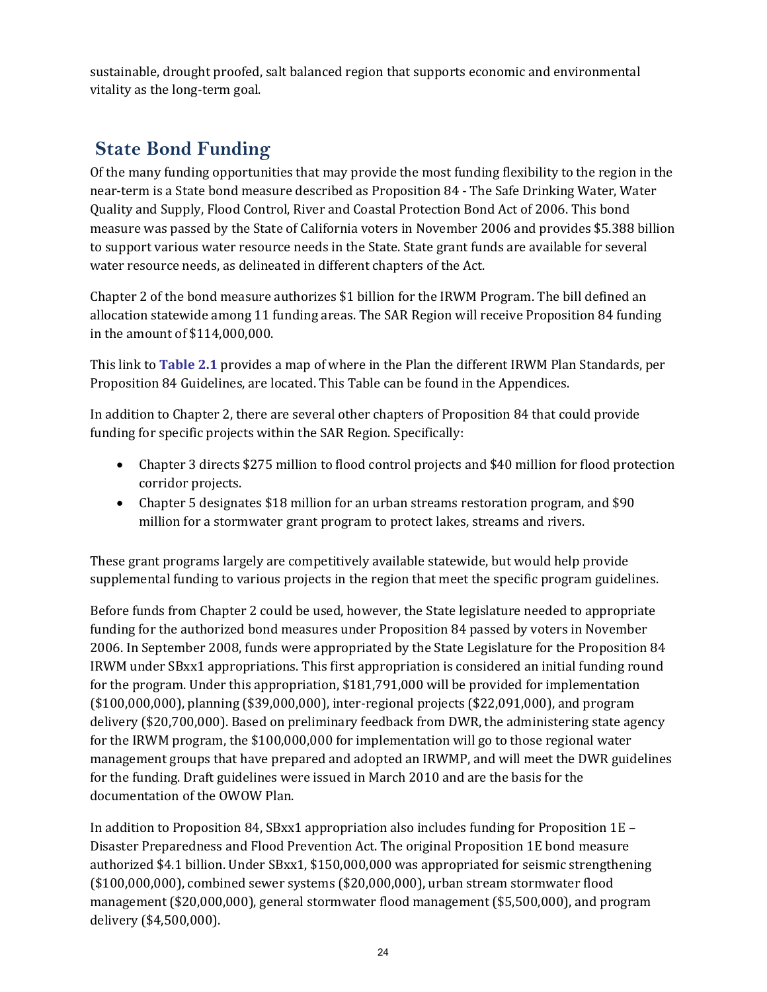sustainable, drought proofed, salt balanced region that supports economic and environmental vitality as the long‐term goal.

## **State Bond Funding**

Of the many funding opportunities that may provide the most funding flexibility to the region in the near-term is a State bond measure described as Proposition 84 - The Safe Drinking Water, Water Quality and Supply, Flood Control, River and Coastal Protection Bond Act of 2006. This bond measure was passed by the State of California voters in November 2006 and provides \$5.388 billion to support various water resource needs in the State. State grant funds are available for several water resource needs, as delineated in different chapters of the Act.

Chapter 2 of the bond measure authorizes \$1 billion for the IRWM Program. The bill defined an allocation statewide among 11 funding areas. The SAR Region will receive Proposition 84 funding in the amount of \$114,000,000.

This link to **Table 2.1** provides a map of where in the Plan the different IRWM Plan Standards, per Proposition 84 Guidelines, are located. This Table can be found in the Appendices.

In addition to Chapter 2, there are several other chapters of Proposition 84 that could provide funding for specific projects within the SAR Region. Specifically:

- Chapter 3 directs \$275 million to flood control projects and \$40 million for flood protection corridor projects.
- Chapter 5 designates \$18 million for an urban streams restoration program, and \$90 million for a stormwater grant program to protect lakes, streams and rivers.

These grant programs largely are competitively available statewide, but would help provide supplemental funding to various projects in the region that meet the specific program guidelines.

Before funds from Chapter 2 could be used, however, the State legislature needed to appropriate funding for the authorized bond measures under Proposition 84 passed by voters in November 2006. In September 2008, funds were appropriated by the State Legislature for the Proposition 84 IRWM under SBxx1 appropriations. This first appropriation is considered an initial funding round for the program. Under this appropriation, \$181,791,000 will be provided for implementation (\$100,000,000), planning (\$39,000,000), inter‐regional projects (\$22,091,000), and program delivery (\$20,700,000). Based on preliminary feedback from DWR, the administering state agency for the IRWM program, the \$100,000,000 for implementation will go to those regional water management groups that have prepared and adopted an IRWMP, and will meet the DWR guidelines for the funding. Draft guidelines were issued in March 2010 and are the basis for the documentation of the OWOW Plan.

In addition to Proposition 84, SBxx1 appropriation also includes funding for Proposition 1E – Disaster Preparedness and Flood Prevention Act. The original Proposition 1E bond measure authorized \$4.1 billion. Under SBxx1, \$150,000,000 was appropriated for seismic strengthening (\$100,000,000), combined sewer systems (\$20,000,000), urban stream stormwater flood management (\$20,000,000), general stormwater flood management (\$5,500,000), and program delivery (\$4,500,000).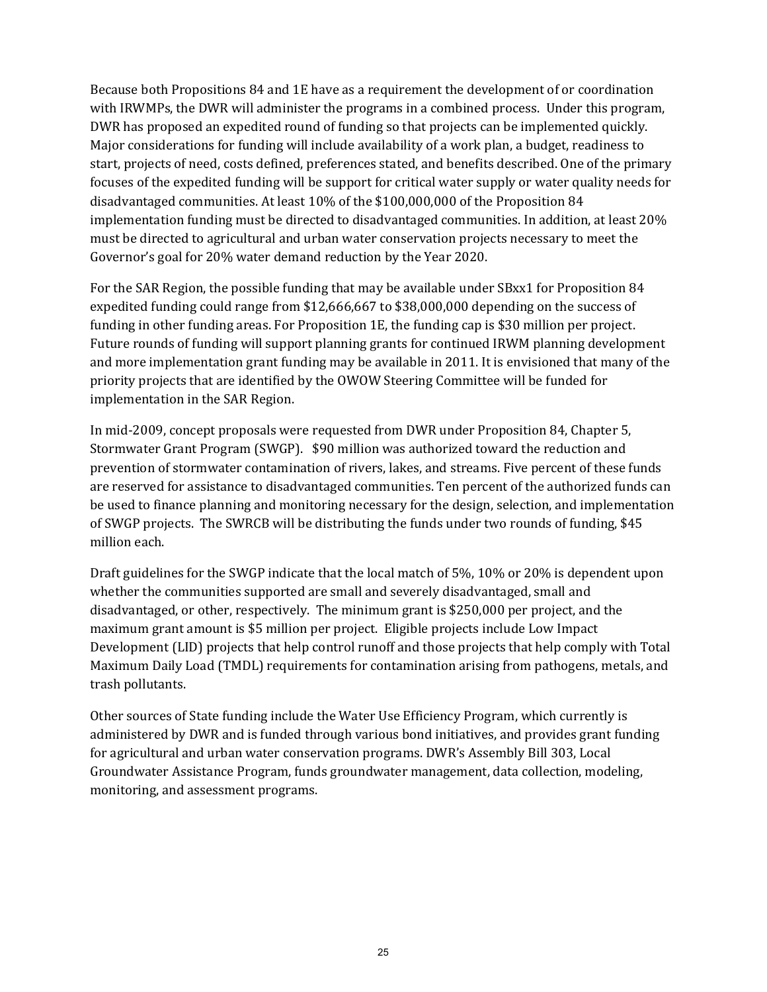Because both Propositions 84 and 1E have as a requirement the development of or coordination with IRWMPs, the DWR will administer the programs in a combined process. Under this program, DWR has proposed an expedited round of funding so that projects can be implemented quickly. Major considerations for funding will include availability of a work plan, a budget, readiness to start, projects of need, costs defined, preferences stated, and benefits described. One of the primary focuses of the expedited funding will be support for critical water supply or water quality needs for disadvantaged communities. At least 10% of the \$100,000,000 of the Proposition 84 implementation funding must be directed to disadvantaged communities. In addition, at least 20% must be directed to agricultural and urban water conservation projects necessary to meet the Governor's goal for 20% water demand reduction by the Year 2020.

For the SAR Region, the possible funding that may be available under SBxx1 for Proposition 84 expedited funding could range from \$12,666,667 to \$38,000,000 depending on the success of funding in other funding areas. For Proposition 1E, the funding cap is \$30 million per project. Future rounds of funding will support planning grants for continued IRWM planning development and more implementation grant funding may be available in 2011. It is envisioned that many of the priority projects that are identified by the OWOW Steering Committee will be funded for implementation in the SAR Region.

In mid‐2009, concept proposals were requested from DWR under Proposition 84, Chapter 5, Stormwater Grant Program (SWGP). \$90 million was authorized toward the reduction and prevention of stormwater contamination of rivers, lakes, and streams. Five percent of these funds are reserved for assistance to disadvantaged communities. Ten percent of the authorized funds can be used to finance planning and monitoring necessary for the design, selection, and implementation of SWGP projects. The SWRCB will be distributing the funds under two rounds of funding, \$45 million each.

Draft guidelines for the SWGP indicate that the local match of 5%, 10% or 20% is dependent upon whether the communities supported are small and severely disadvantaged, small and disadvantaged, or other, respectively. The minimum grant is \$250,000 per project, and the maximum grant amount is \$5 million per project. Eligible projects include Low Impact Development (LID) projects that help control runoff and those projects that help comply with Total Maximum Daily Load (TMDL) requirements for contamination arising from pathogens, metals, and trash pollutants.

Other sources of State funding include the Water Use Efficiency Program, which currently is administered by DWR and is funded through various bond initiatives, and provides grant funding for agricultural and urban water conservation programs. DWR's Assembly Bill 303, Local Groundwater Assistance Program, funds groundwater management, data collection, modeling, monitoring, and assessment programs.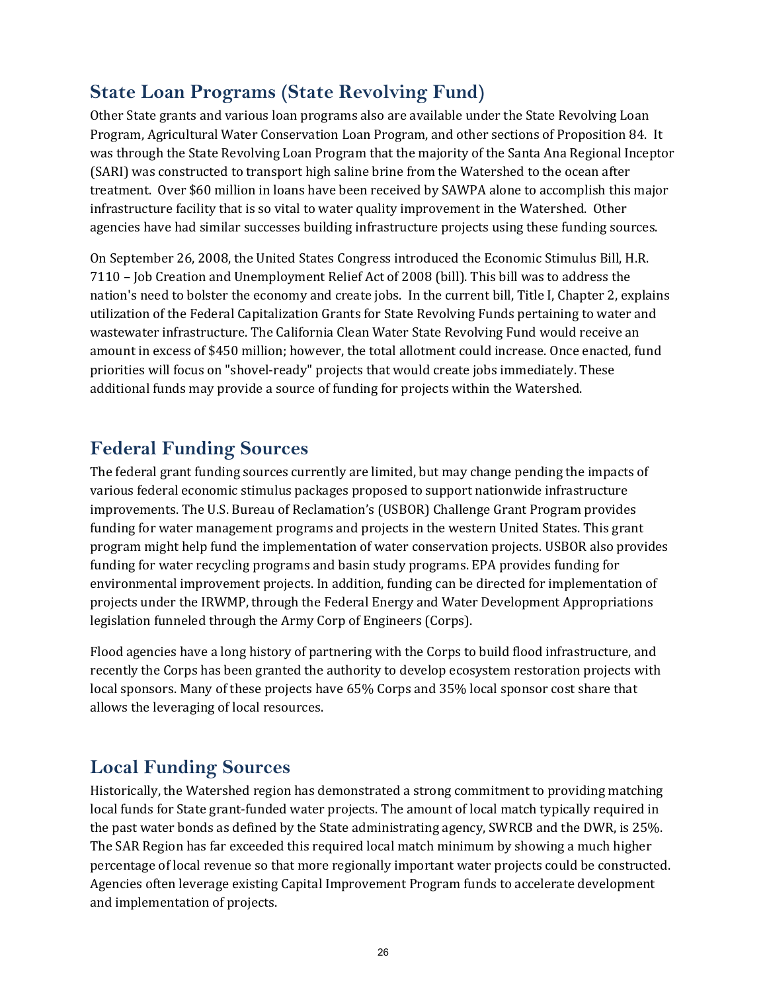### **State Loan Programs (State Revolving Fund)**

Other State grants and various loan programs also are available under the State Revolving Loan Program, Agricultural Water Conservation Loan Program, and other sections of Proposition 84. It was through the State Revolving Loan Program that the majority of the Santa Ana Regional Inceptor (SARI) was constructed to transport high saline brine from the Watershed to the ocean after treatment. Over \$60 million in loans have been received by SAWPA alone to accomplish this major infrastructure facility that is so vital to water quality improvement in the Watershed. Other agencies have had similar successes building infrastructure projects using these funding sources.

On September 26, 2008, the United States Congress introduced the Economic Stimulus Bill, H.R. 7110 – Job Creation and Unemployment Relief Act of 2008 (bill). This bill was to address the nation's need to bolster the economy and create jobs. In the current bill, Title I, Chapter 2, explains utilization of the Federal Capitalization Grants for State Revolving Funds pertaining to water and wastewater infrastructure. The California Clean Water State Revolving Fund would receive an amount in excess of \$450 million; however, the total allotment could increase. Once enacted, fund priorities will focus on "shovel‐ready" projects that would create jobs immediately. These additional funds may provide a source of funding for projects within the Watershed.

#### **Federal Funding Sources**

The federal grant funding sources currently are limited, but may change pending the impacts of various federal economic stimulus packages proposed to support nationwide infrastructure improvements. The U.S. Bureau of Reclamation's (USBOR) Challenge Grant Program provides funding for water management programs and projects in the western United States. This grant program might help fund the implementation of water conservation projects. USBOR also provides funding for water recycling programs and basin study programs. EPA provides funding for environmental improvement projects. In addition, funding can be directed for implementation of projects under the IRWMP, through the Federal Energy and Water Development Appropriations legislation funneled through the Army Corp of Engineers (Corps).

Flood agencies have a long history of partnering with the Corps to build flood infrastructure, and recently the Corps has been granted the authority to develop ecosystem restoration projects with local sponsors. Many of these projects have 65% Corps and 35% local sponsor cost share that allows the leveraging of local resources.

#### **Local Funding Sources**

Historically, the Watershed region has demonstrated a strong commitment to providing matching local funds for State grant‐funded water projects. The amount of local match typically required in the past water bonds as defined by the State administrating agency, SWRCB and the DWR, is 25%. The SAR Region has far exceeded this required local match minimum by showing a much higher percentage of local revenue so that more regionally important water projects could be constructed. Agencies often leverage existing Capital Improvement Program funds to accelerate development and implementation of projects.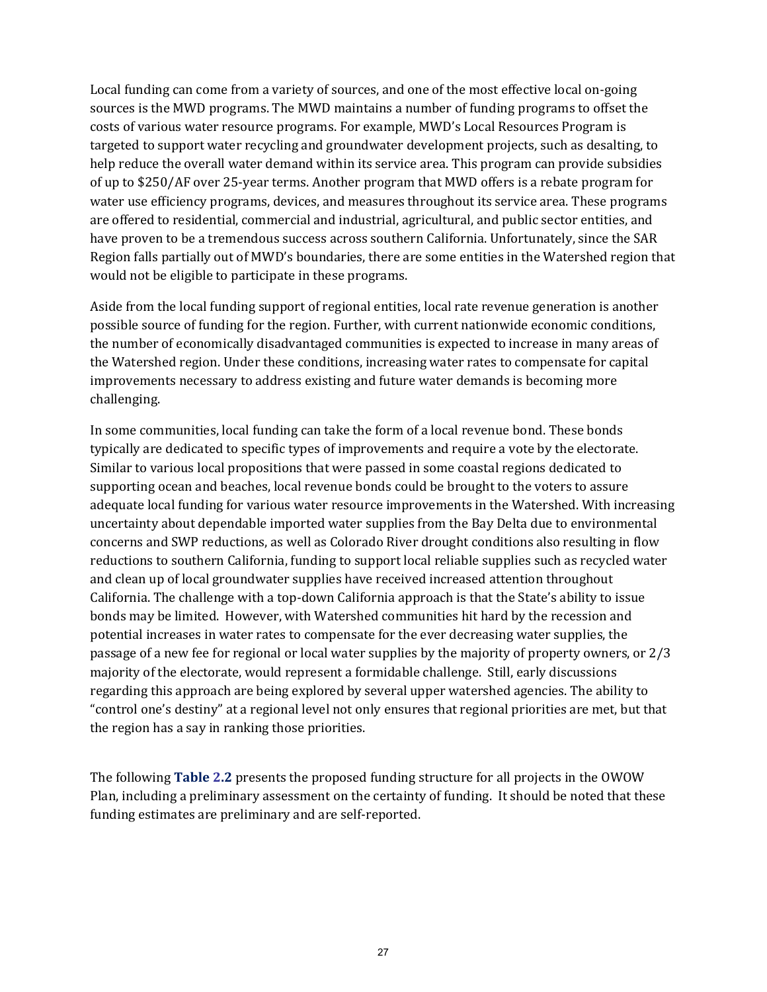Local funding can come from a variety of sources, and one of the most effective local on‐going sources is the MWD programs. The MWD maintains a number of funding programs to offset the costs of various water resource programs. For example, MWD's Local Resources Program is targeted to support water recycling and groundwater development projects, such as desalting, to help reduce the overall water demand within its service area. This program can provide subsidies of up to \$250/AF over 25‐year terms. Another program that MWD offers is a rebate program for water use efficiency programs, devices, and measures throughout its service area. These programs are offered to residential, commercial and industrial, agricultural, and public sector entities, and have proven to be a tremendous success across southern California. Unfortunately, since the SAR Region falls partially out of MWD's boundaries, there are some entities in the Watershed region that would not be eligible to participate in these programs.

Aside from the local funding support of regional entities, local rate revenue generation is another possible source of funding for the region. Further, with current nationwide economic conditions, the number of economically disadvantaged communities is expected to increase in many areas of the Watershed region. Under these conditions, increasing water rates to compensate for capital improvements necessary to address existing and future water demands is becoming more challenging.

In some communities, local funding can take the form of a local revenue bond. These bonds typically are dedicated to specific types of improvements and require a vote by the electorate. Similar to various local propositions that were passed in some coastal regions dedicated to supporting ocean and beaches, local revenue bonds could be brought to the voters to assure adequate local funding for various water resource improvements in the Watershed. With increasing uncertainty about dependable imported water supplies from the Bay Delta due to environmental concerns and SWP reductions, as well as Colorado River drought conditions also resulting in flow reductions to southern California, funding to support local reliable supplies such as recycled water and clean up of local groundwater supplies have received increased attention throughout California. The challenge with a top‐down California approach is that the State's ability to issue bonds may be limited. However, with Watershed communities hit hard by the recession and potential increases in water rates to compensate for the ever decreasing water supplies, the passage of a new fee for regional or local water supplies by the majority of property owners, or 2/3 majority of the electorate, would represent a formidable challenge. Still, early discussions regarding this approach are being explored by several upper watershed agencies. The ability to "control one's destiny" at a regional level not only ensures that regional priorities are met, but that the region has a say in ranking those priorities.

The following **Table 2.2** presents the proposed funding structure for all projects in the OWOW Plan, including a preliminary assessment on the certainty of funding. It should be noted that these funding estimates are preliminary and are self-reported.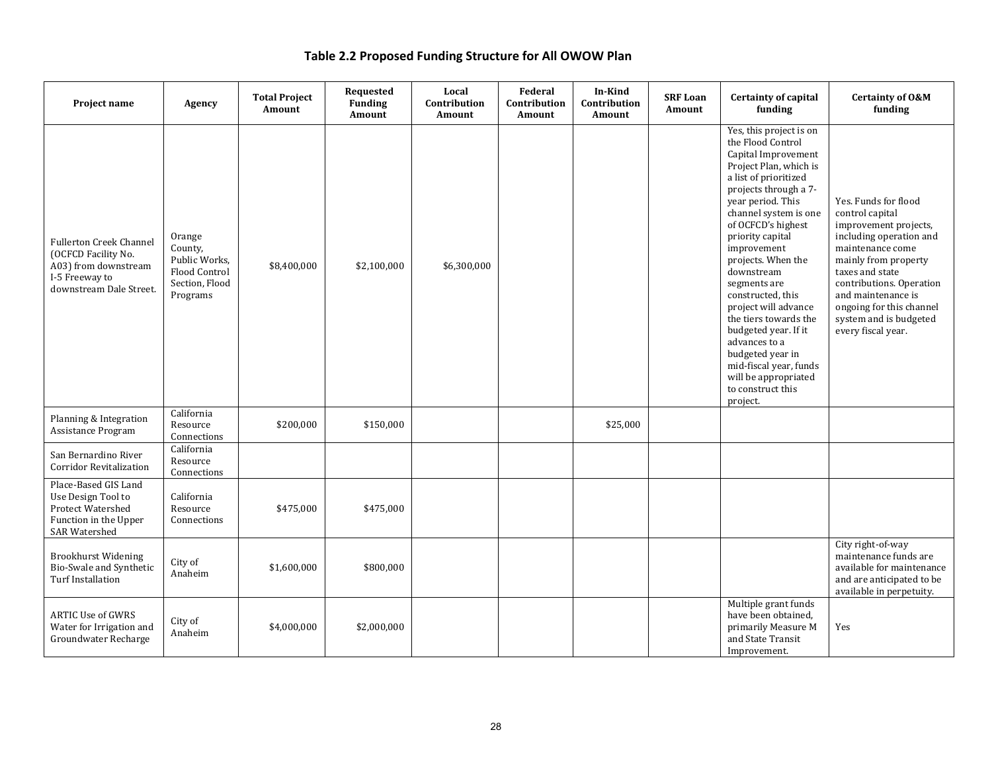#### **Table 2.2 Proposed Funding Structure for All OWOW Plan**

| Project name                                                                                                               | Agency                                                                            | <b>Total Project</b><br>Amount | Requested<br>Funding<br>Amount | Local<br>Contribution<br>Amount | Federal<br>Contribution<br>Amount | In-Kind<br>Contribution<br>Amount | <b>SRF</b> Loan<br>Amount | <b>Certainty of capital</b><br>funding                                                                                                                                                                                                                                                                                                                                                                                                                                                                                           | Certainty of O&M<br>funding                                                                                                                                                                                                                                                              |
|----------------------------------------------------------------------------------------------------------------------------|-----------------------------------------------------------------------------------|--------------------------------|--------------------------------|---------------------------------|-----------------------------------|-----------------------------------|---------------------------|----------------------------------------------------------------------------------------------------------------------------------------------------------------------------------------------------------------------------------------------------------------------------------------------------------------------------------------------------------------------------------------------------------------------------------------------------------------------------------------------------------------------------------|------------------------------------------------------------------------------------------------------------------------------------------------------------------------------------------------------------------------------------------------------------------------------------------|
| <b>Fullerton Creek Channel</b><br>(OCFCD Facility No.<br>A03) from downstream<br>I-5 Freeway to<br>downstream Dale Street. | Orange<br>County,<br>Public Works,<br>Flood Control<br>Section, Flood<br>Programs | \$8,400,000                    | \$2,100,000                    | \$6,300,000                     |                                   |                                   |                           | Yes, this project is on<br>the Flood Control<br>Capital Improvement<br>Project Plan, which is<br>a list of prioritized<br>projects through a 7-<br>year period. This<br>channel system is one<br>of OCFCD's highest<br>priority capital<br>improvement<br>projects. When the<br>downstream<br>segments are<br>constructed, this<br>project will advance<br>the tiers towards the<br>budgeted year. If it<br>advances to a<br>budgeted year in<br>mid-fiscal year, funds<br>will be appropriated<br>to construct this<br>project. | Yes. Funds for flood<br>control capital<br>improvement projects,<br>including operation and<br>maintenance come<br>mainly from property<br>taxes and state<br>contributions. Operation<br>and maintenance is<br>ongoing for this channel<br>system and is budgeted<br>every fiscal year. |
| Planning & Integration<br>Assistance Program                                                                               | California<br>Resource<br>Connections                                             | \$200,000                      | \$150,000                      |                                 |                                   | \$25,000                          |                           |                                                                                                                                                                                                                                                                                                                                                                                                                                                                                                                                  |                                                                                                                                                                                                                                                                                          |
| San Bernardino River<br><b>Corridor Revitalization</b>                                                                     | California<br>Resource<br>Connections                                             |                                |                                |                                 |                                   |                                   |                           |                                                                                                                                                                                                                                                                                                                                                                                                                                                                                                                                  |                                                                                                                                                                                                                                                                                          |
| Place-Based GIS Land<br>Use Design Tool to<br>Protect Watershed<br>Function in the Upper<br><b>SAR Watershed</b>           | California<br>Resource<br>Connections                                             | \$475,000                      | \$475,000                      |                                 |                                   |                                   |                           |                                                                                                                                                                                                                                                                                                                                                                                                                                                                                                                                  |                                                                                                                                                                                                                                                                                          |
| <b>Brookhurst Widening</b><br>Bio-Swale and Synthetic<br><b>Turf Installation</b>                                          | City of<br>Anaheim                                                                | \$1,600,000                    | \$800,000                      |                                 |                                   |                                   |                           |                                                                                                                                                                                                                                                                                                                                                                                                                                                                                                                                  | City right-of-way<br>maintenance funds are<br>available for maintenance<br>and are anticipated to be<br>available in perpetuity.                                                                                                                                                         |
| <b>ARTIC Use of GWRS</b><br>Water for Irrigation and<br>Groundwater Recharge                                               | City of<br>Anaheim                                                                | \$4,000,000                    | \$2,000,000                    |                                 |                                   |                                   |                           | Multiple grant funds<br>have been obtained,<br>primarily Measure M<br>and State Transit<br>Improvement.                                                                                                                                                                                                                                                                                                                                                                                                                          | Yes                                                                                                                                                                                                                                                                                      |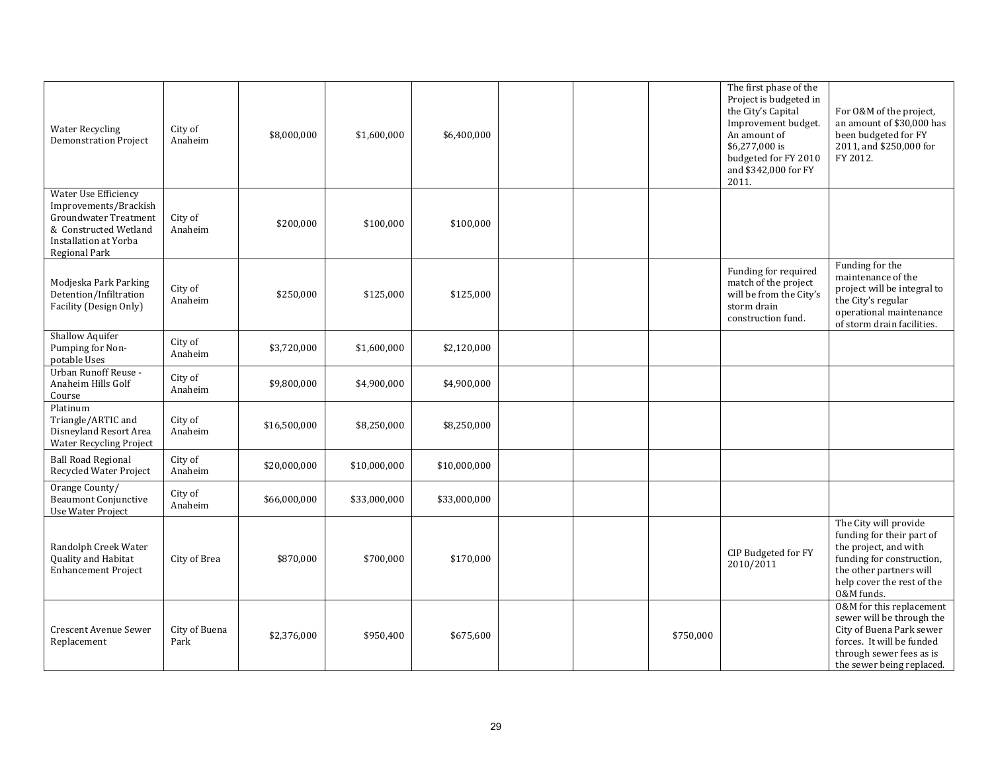| <b>Water Recycling</b><br><b>Demonstration Project</b>                                                                                    | City of<br>Anaheim    | \$8,000,000  | \$1,600,000  | \$6,400,000  |  |           | The first phase of the<br>Project is budgeted in<br>the City's Capital<br>Improvement budget.<br>An amount of<br>\$6,277,000 is<br>budgeted for FY 2010<br>and \$342,000 for FY<br>2011. | For O&M of the project,<br>an amount of \$30,000 has<br>been budgeted for FY<br>2011, and \$250,000 for<br>FY 2012.                                                             |
|-------------------------------------------------------------------------------------------------------------------------------------------|-----------------------|--------------|--------------|--------------|--|-----------|------------------------------------------------------------------------------------------------------------------------------------------------------------------------------------------|---------------------------------------------------------------------------------------------------------------------------------------------------------------------------------|
| Water Use Efficiency<br>Improvements/Brackish<br>Groundwater Treatment<br>& Constructed Wetland<br>Installation at Yorba<br>Regional Park | City of<br>Anaheim    | \$200,000    | \$100,000    | \$100,000    |  |           |                                                                                                                                                                                          |                                                                                                                                                                                 |
| Modjeska Park Parking<br>Detention/Infiltration<br>Facility (Design Only)                                                                 | City of<br>Anaheim    | \$250,000    | \$125,000    | \$125,000    |  |           | Funding for required<br>match of the project<br>will be from the City's<br>storm drain<br>construction fund.                                                                             | Funding for the<br>maintenance of the<br>project will be integral to<br>the City's regular<br>operational maintenance<br>of storm drain facilities.                             |
| Shallow Aquifer<br>Pumping for Non-<br>potable Uses                                                                                       | City of<br>Anaheim    | \$3,720,000  | \$1,600,000  | \$2,120,000  |  |           |                                                                                                                                                                                          |                                                                                                                                                                                 |
| Urban Runoff Reuse -<br>Anaheim Hills Golf<br>Course                                                                                      | City of<br>Anaheim    | \$9,800,000  | \$4,900,000  | \$4,900,000  |  |           |                                                                                                                                                                                          |                                                                                                                                                                                 |
| Platinum<br>Triangle/ARTIC and<br>Disneyland Resort Area<br>Water Recycling Project                                                       | City of<br>Anaheim    | \$16,500,000 | \$8,250,000  | \$8,250,000  |  |           |                                                                                                                                                                                          |                                                                                                                                                                                 |
| <b>Ball Road Regional</b><br>Recycled Water Project                                                                                       | City of<br>Anaheim    | \$20,000,000 | \$10,000,000 | \$10,000,000 |  |           |                                                                                                                                                                                          |                                                                                                                                                                                 |
| Orange County/<br><b>Beaumont Conjunctive</b><br>Use Water Project                                                                        | City of<br>Anaheim    | \$66,000,000 | \$33,000,000 | \$33,000,000 |  |           |                                                                                                                                                                                          |                                                                                                                                                                                 |
| Randolph Creek Water<br>Quality and Habitat<br><b>Enhancement Project</b>                                                                 | City of Brea          | \$870,000    | \$700,000    | \$170,000    |  |           | CIP Budgeted for FY<br>2010/2011                                                                                                                                                         | The City will provide<br>funding for their part of<br>the project, and with<br>funding for construction,<br>the other partners will<br>help cover the rest of the<br>0&M funds. |
| <b>Crescent Avenue Sewer</b><br>Replacement                                                                                               | City of Buena<br>Park | \$2,376,000  | \$950,400    | \$675,600    |  | \$750,000 |                                                                                                                                                                                          | 0&M for this replacement<br>sewer will be through the<br>City of Buena Park sewer<br>forces. It will be funded<br>through sewer fees as is<br>the sewer being replaced.         |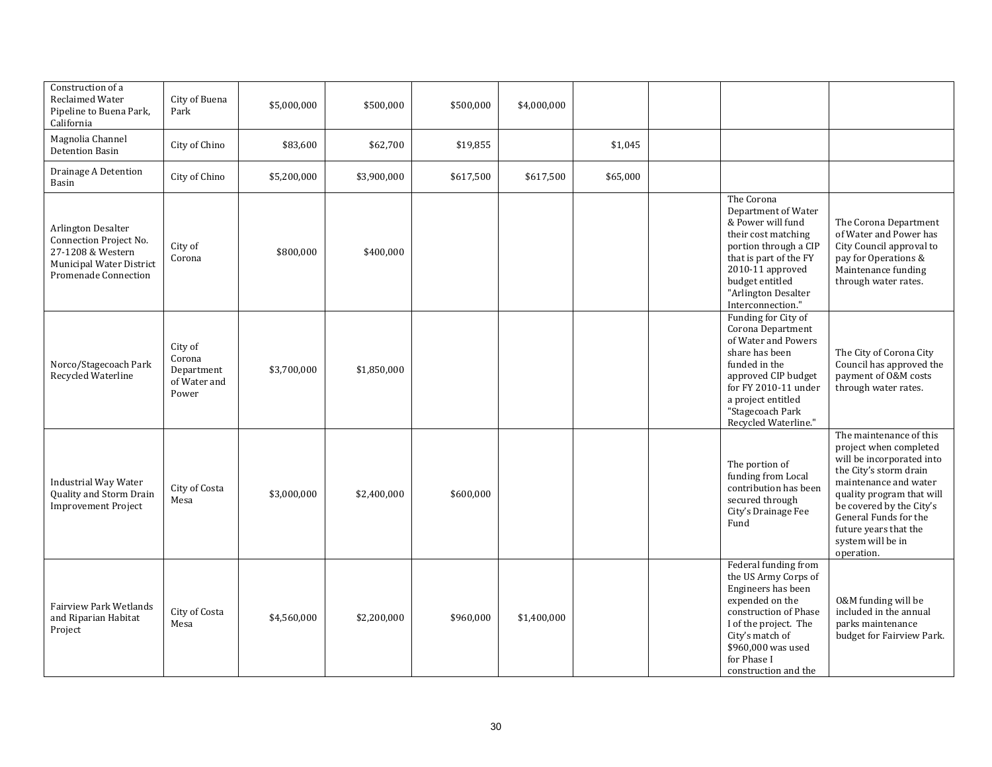| Construction of a<br>Reclaimed Water<br>Pipeline to Buena Park,<br>California                                         | City of Buena<br>Park                                    | \$5,000,000 | \$500,000   | \$500,000 | \$4,000,000 |          |                                                                                                                                                                                                                         |                                                                                                                                                                                                                                                                                 |
|-----------------------------------------------------------------------------------------------------------------------|----------------------------------------------------------|-------------|-------------|-----------|-------------|----------|-------------------------------------------------------------------------------------------------------------------------------------------------------------------------------------------------------------------------|---------------------------------------------------------------------------------------------------------------------------------------------------------------------------------------------------------------------------------------------------------------------------------|
| Magnolia Channel<br>Detention Basin                                                                                   | City of Chino                                            | \$83,600    | \$62,700    | \$19,855  |             | \$1,045  |                                                                                                                                                                                                                         |                                                                                                                                                                                                                                                                                 |
| Drainage A Detention<br>Basin                                                                                         | City of Chino                                            | \$5,200,000 | \$3,900,000 | \$617,500 | \$617,500   | \$65,000 |                                                                                                                                                                                                                         |                                                                                                                                                                                                                                                                                 |
| Arlington Desalter<br>Connection Project No.<br>27-1208 & Western<br>Municipal Water District<br>Promenade Connection | City of<br>Corona                                        | \$800,000   | \$400,000   |           |             |          | The Corona<br>Department of Water<br>& Power will fund<br>their cost matching<br>portion through a CIP<br>that is part of the FY<br>2010-11 approved<br>budget entitled<br>"Arlington Desalter<br>Interconnection."     | The Corona Department<br>of Water and Power has<br>City Council approval to<br>pay for Operations &<br>Maintenance funding<br>through water rates.                                                                                                                              |
| Norco/Stagecoach Park<br>Recycled Waterline                                                                           | City of<br>Corona<br>Department<br>of Water and<br>Power | \$3,700,000 | \$1,850,000 |           |             |          | Funding for City of<br>Corona Department<br>of Water and Powers<br>share has been<br>funded in the<br>approved CIP budget<br>for FY 2010-11 under<br>a project entitled<br>"Stagecoach Park<br>Recycled Waterline."     | The City of Corona City<br>Council has approved the<br>payment of O&M costs<br>through water rates.                                                                                                                                                                             |
| <b>Industrial Way Water</b><br>Quality and Storm Drain<br><b>Improvement Project</b>                                  | City of Costa<br>Mesa                                    | \$3,000,000 | \$2,400,000 | \$600,000 |             |          | The portion of<br>funding from Local<br>contribution has been<br>secured through<br>City's Drainage Fee<br>Fund                                                                                                         | The maintenance of this<br>project when completed<br>will be incorporated into<br>the City's storm drain<br>maintenance and water<br>quality program that will<br>be covered by the City's<br>General Funds for the<br>future years that the<br>system will be in<br>operation. |
| Fairview Park Wetlands<br>and Riparian Habitat<br>Project                                                             | City of Costa<br>Mesa                                    | \$4,560,000 | \$2,200,000 | \$960,000 | \$1,400,000 |          | Federal funding from<br>the US Army Corps of<br>Engineers has been<br>expended on the<br>construction of Phase<br>I of the project. The<br>City's match of<br>\$960,000 was used<br>for Phase I<br>construction and the | 0&M funding will be<br>included in the annual<br>parks maintenance<br>budget for Fairview Park.                                                                                                                                                                                 |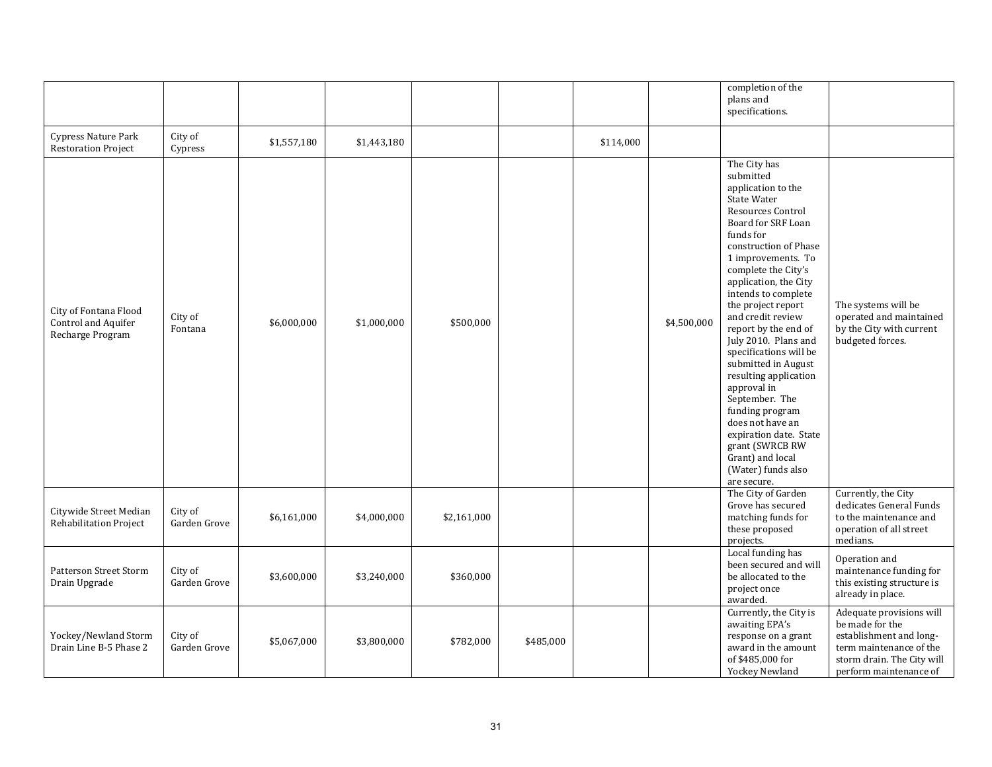|                                                                  |                         |             |             |             |           |           |             | completion of the<br>plans and<br>specifications.                                                                                                                                                                                                                                                                                                                                                                                                                                                                                                                                                      |                                                                                                                                                           |
|------------------------------------------------------------------|-------------------------|-------------|-------------|-------------|-----------|-----------|-------------|--------------------------------------------------------------------------------------------------------------------------------------------------------------------------------------------------------------------------------------------------------------------------------------------------------------------------------------------------------------------------------------------------------------------------------------------------------------------------------------------------------------------------------------------------------------------------------------------------------|-----------------------------------------------------------------------------------------------------------------------------------------------------------|
| Cypress Nature Park<br><b>Restoration Project</b>                | City of<br>Cypress      | \$1,557,180 | \$1,443,180 |             |           | \$114,000 |             |                                                                                                                                                                                                                                                                                                                                                                                                                                                                                                                                                                                                        |                                                                                                                                                           |
| City of Fontana Flood<br>Control and Aquifer<br>Recharge Program | City of<br>Fontana      | \$6,000,000 | \$1,000,000 | \$500,000   |           |           | \$4,500,000 | The City has<br>submitted<br>application to the<br>State Water<br><b>Resources Control</b><br>Board for SRF Loan<br>funds for<br>construction of Phase<br>1 improvements. To<br>complete the City's<br>application, the City<br>intends to complete<br>the project report<br>and credit review<br>report by the end of<br>July 2010. Plans and<br>specifications will be<br>submitted in August<br>resulting application<br>approval in<br>September. The<br>funding program<br>does not have an<br>expiration date. State<br>grant (SWRCB RW<br>Grant) and local<br>(Water) funds also<br>are secure. | The systems will be<br>operated and maintained<br>by the City with current<br>budgeted forces.                                                            |
|                                                                  |                         |             |             |             |           |           |             | The City of Garden                                                                                                                                                                                                                                                                                                                                                                                                                                                                                                                                                                                     | Currently, the City                                                                                                                                       |
| Citywide Street Median<br>Rehabilitation Project                 | City of<br>Garden Grove | \$6,161,000 | \$4,000,000 | \$2,161,000 |           |           |             | Grove has secured<br>matching funds for<br>these proposed<br>projects.                                                                                                                                                                                                                                                                                                                                                                                                                                                                                                                                 | dedicates General Funds<br>to the maintenance and<br>operation of all street<br>medians.                                                                  |
| Patterson Street Storm<br>Drain Upgrade                          | City of<br>Garden Grove | \$3,600,000 | \$3,240,000 | \$360,000   |           |           |             | Local funding has<br>been secured and will<br>be allocated to the<br>project once<br>awarded.                                                                                                                                                                                                                                                                                                                                                                                                                                                                                                          | Operation and<br>maintenance funding for<br>this existing structure is<br>already in place.                                                               |
| Yockey/Newland Storm<br>Drain Line B-5 Phase 2                   | City of<br>Garden Grove | \$5,067,000 | \$3,800,000 | \$782,000   | \$485,000 |           |             | Currently, the City is<br>awaiting EPA's<br>response on a grant<br>award in the amount<br>of \$485,000 for<br>Yockey Newland                                                                                                                                                                                                                                                                                                                                                                                                                                                                           | Adequate provisions will<br>be made for the<br>establishment and long-<br>term maintenance of the<br>storm drain. The City will<br>perform maintenance of |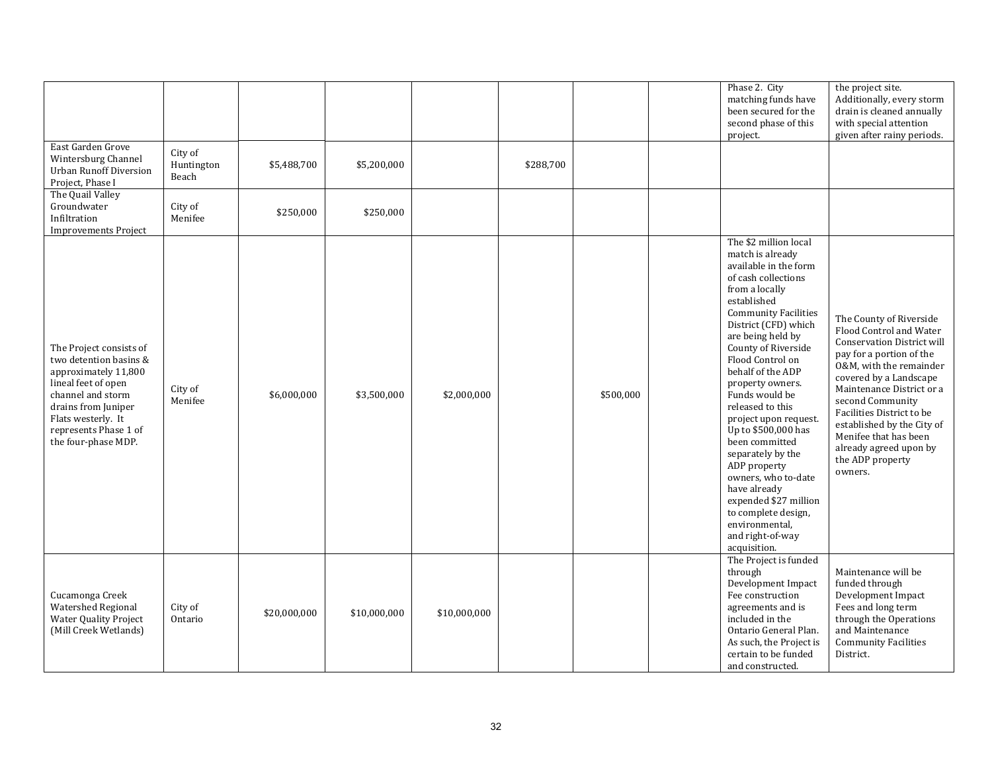| East Garden Grove                                                                                                                                                                                                  |                                |              |              |              |           |           | Phase 2. City<br>matching funds have<br>been secured for the<br>second phase of this<br>project.                                                                                                                                                                                                                                                                                                                                                                                                                                                                                     | the project site.<br>Additionally, every storm<br>drain is cleaned annually<br>with special attention<br>given after rainy periods.                                                                                                                                                                                                                                    |
|--------------------------------------------------------------------------------------------------------------------------------------------------------------------------------------------------------------------|--------------------------------|--------------|--------------|--------------|-----------|-----------|--------------------------------------------------------------------------------------------------------------------------------------------------------------------------------------------------------------------------------------------------------------------------------------------------------------------------------------------------------------------------------------------------------------------------------------------------------------------------------------------------------------------------------------------------------------------------------------|------------------------------------------------------------------------------------------------------------------------------------------------------------------------------------------------------------------------------------------------------------------------------------------------------------------------------------------------------------------------|
| Wintersburg Channel<br><b>Urban Runoff Diversion</b><br>Project, Phase I                                                                                                                                           | City of<br>Huntington<br>Beach | \$5,488,700  | \$5,200,000  |              | \$288,700 |           |                                                                                                                                                                                                                                                                                                                                                                                                                                                                                                                                                                                      |                                                                                                                                                                                                                                                                                                                                                                        |
| The Quail Valley<br>Groundwater<br>Infiltration<br><b>Improvements Project</b>                                                                                                                                     | City of<br>Menifee             | \$250,000    | \$250,000    |              |           |           |                                                                                                                                                                                                                                                                                                                                                                                                                                                                                                                                                                                      |                                                                                                                                                                                                                                                                                                                                                                        |
| The Project consists of<br>two detention basins &<br>approximately 11,800<br>lineal feet of open<br>channel and storm<br>drains from Juniper<br>Flats westerly. It<br>represents Phase 1 of<br>the four-phase MDP. | City of<br>Menifee             | \$6,000,000  | \$3,500,000  | \$2,000,000  |           | \$500,000 | The \$2 million local<br>match is already<br>available in the form<br>of cash collections<br>from a locally<br>established<br><b>Community Facilities</b><br>District (CFD) which<br>are being held by<br>County of Riverside<br>Flood Control on<br>behalf of the ADP<br>property owners.<br>Funds would be<br>released to this<br>project upon request.<br>Up to \$500,000 has<br>been committed<br>separately by the<br>ADP property<br>owners, who to-date<br>have already<br>expended \$27 million<br>to complete design,<br>environmental,<br>and right-of-way<br>acquisition. | The County of Riverside<br>Flood Control and Water<br><b>Conservation District will</b><br>pay for a portion of the<br>0&M, with the remainder<br>covered by a Landscape<br>Maintenance District or a<br>second Community<br>Facilities District to be<br>established by the City of<br>Menifee that has been<br>already agreed upon by<br>the ADP property<br>owners. |
| Cucamonga Creek<br>Watershed Regional<br><b>Water Quality Project</b><br>(Mill Creek Wetlands)                                                                                                                     | City of<br>Ontario             | \$20,000,000 | \$10,000,000 | \$10,000,000 |           |           | The Project is funded<br>through<br>Development Impact<br>Fee construction<br>agreements and is<br>included in the<br>Ontario General Plan.<br>As such, the Project is<br>certain to be funded<br>and constructed.                                                                                                                                                                                                                                                                                                                                                                   | Maintenance will be<br>funded through<br>Development Impact<br>Fees and long term<br>through the Operations<br>and Maintenance<br><b>Community Facilities</b><br>District.                                                                                                                                                                                             |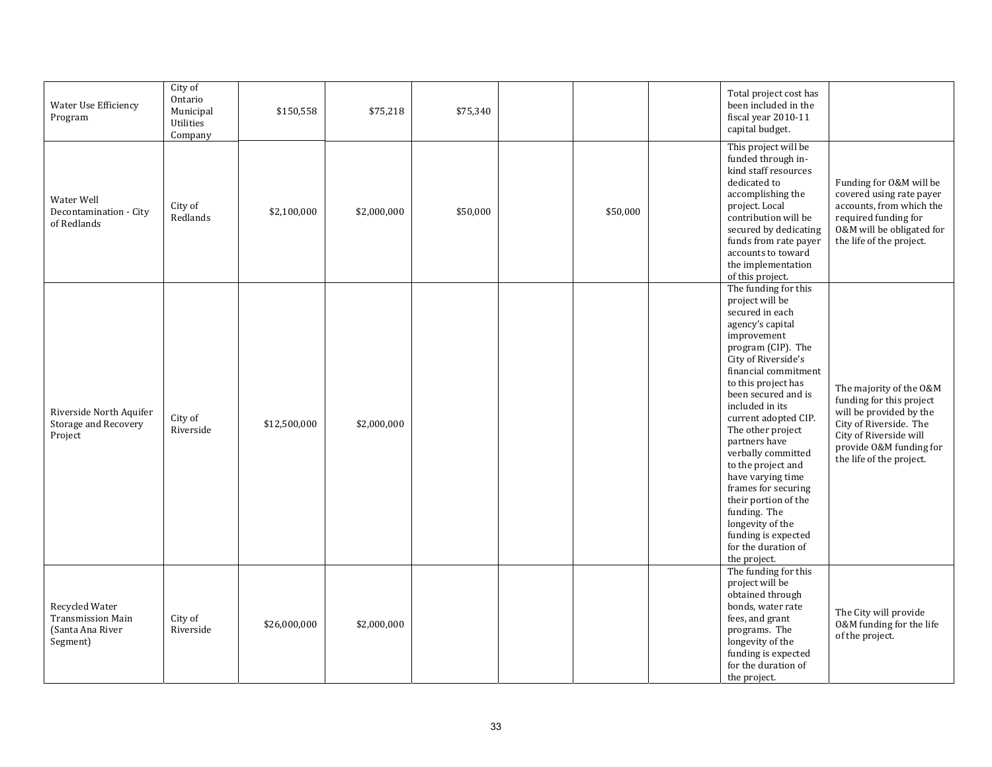| Water Use Efficiency<br>Program                                            | City of<br>Ontario<br>Municipal<br>Utilities<br>Company | \$150,558    | \$75,218    | \$75,340 |          | Total project cost has<br>been included in the<br>fiscal year 2010-11<br>capital budget.                                                                                                                                                                                                                                                                                                                                                                                                                            |                                                                                                                                                                                           |
|----------------------------------------------------------------------------|---------------------------------------------------------|--------------|-------------|----------|----------|---------------------------------------------------------------------------------------------------------------------------------------------------------------------------------------------------------------------------------------------------------------------------------------------------------------------------------------------------------------------------------------------------------------------------------------------------------------------------------------------------------------------|-------------------------------------------------------------------------------------------------------------------------------------------------------------------------------------------|
| Water Well<br>Decontamination - City<br>of Redlands                        | City of<br>Redlands                                     | \$2,100,000  | \$2,000,000 | \$50,000 | \$50,000 | This project will be<br>funded through in-<br>kind staff resources<br>dedicated to<br>accomplishing the<br>project. Local<br>contribution will be<br>secured by dedicating<br>funds from rate payer<br>accounts to toward<br>the implementation<br>of this project.                                                                                                                                                                                                                                                 | Funding for O&M will be<br>covered using rate payer<br>accounts, from which the<br>required funding for<br>0&M will be obligated for<br>the life of the project.                          |
| Riverside North Aquifer<br>Storage and Recovery<br>Project                 | City of<br>Riverside                                    | \$12,500,000 | \$2,000,000 |          |          | The funding for this<br>project will be<br>secured in each<br>agency's capital<br>improvement<br>program (CIP). The<br>City of Riverside's<br>financial commitment<br>to this project has<br>been secured and is<br>included in its<br>current adopted CIP.<br>The other project<br>partners have<br>verbally committed<br>to the project and<br>have varying time<br>frames for securing<br>their portion of the<br>funding. The<br>longevity of the<br>funding is expected<br>for the duration of<br>the project. | The majority of the O&M<br>funding for this project<br>will be provided by the<br>City of Riverside. The<br>City of Riverside will<br>provide O&M funding for<br>the life of the project. |
| Recycled Water<br><b>Transmission Main</b><br>(Santa Ana River<br>Segment) | City of<br>Riverside                                    | \$26,000,000 | \$2,000,000 |          |          | The funding for this<br>project will be<br>obtained through<br>bonds, water rate<br>fees, and grant<br>programs. The<br>longevity of the<br>funding is expected<br>for the duration of<br>the project.                                                                                                                                                                                                                                                                                                              | The City will provide<br>0&M funding for the life<br>of the project.                                                                                                                      |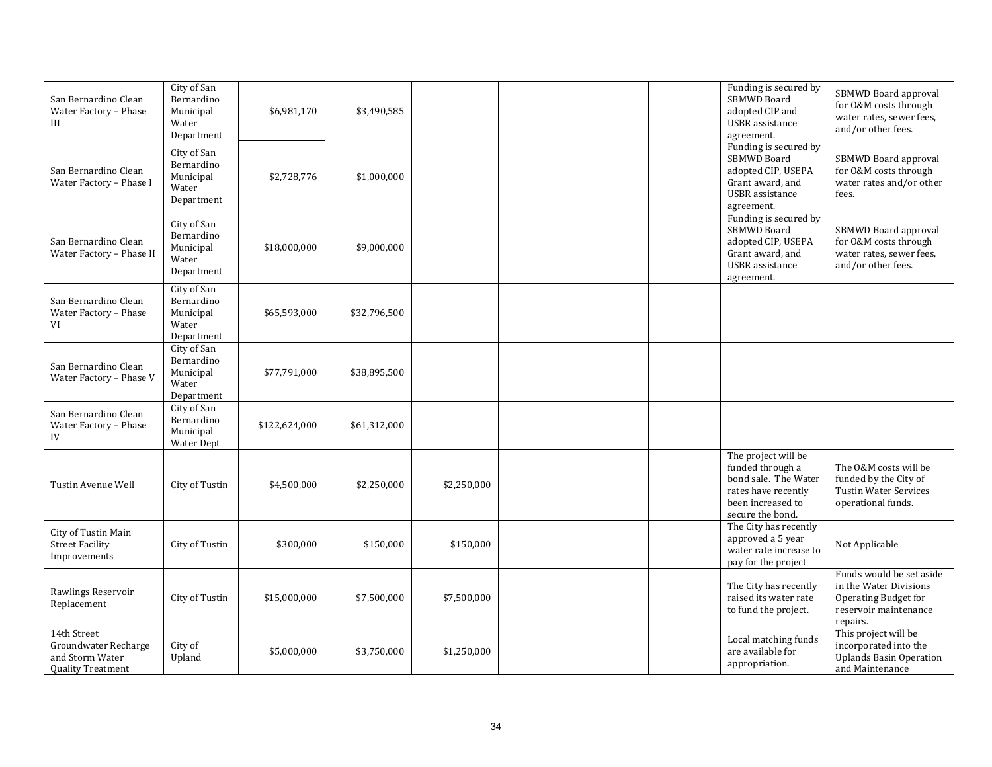| San Bernardino Clean<br>Water Factory - Phase<br>Ш                                 | City of San<br>Bernardino<br>Municipal<br>Water<br>Department | \$6,981,170   | \$3,490,585  |             |  | Funding is secured by<br>SBMWD Board<br>adopted CIP and<br><b>USBR</b> assistance<br>agreement.                                 | SBMWD Board approval<br>for O&M costs through<br>water rates, sewer fees,<br>and/or other fees.                 |
|------------------------------------------------------------------------------------|---------------------------------------------------------------|---------------|--------------|-------------|--|---------------------------------------------------------------------------------------------------------------------------------|-----------------------------------------------------------------------------------------------------------------|
| San Bernardino Clean<br>Water Factory - Phase I                                    | City of San<br>Bernardino<br>Municipal<br>Water<br>Department | \$2,728,776   | \$1,000,000  |             |  | Funding is secured by<br><b>SBMWD Board</b><br>adopted CIP, USEPA<br>Grant award, and<br><b>USBR</b> assistance<br>agreement.   | SBMWD Board approval<br>for O&M costs through<br>water rates and/or other<br>fees.                              |
| San Bernardino Clean<br>Water Factory - Phase II                                   | City of San<br>Bernardino<br>Municipal<br>Water<br>Department | \$18,000,000  | \$9,000,000  |             |  | Funding is secured by<br>SBMWD Board<br>adopted CIP, USEPA<br>Grant award, and<br><b>USBR</b> assistance<br>agreement.          | SBMWD Board approval<br>for O&M costs through<br>water rates, sewer fees,<br>and/or other fees.                 |
| San Bernardino Clean<br>Water Factory - Phase<br>VI                                | City of San<br>Bernardino<br>Municipal<br>Water<br>Department | \$65,593,000  | \$32,796,500 |             |  |                                                                                                                                 |                                                                                                                 |
| San Bernardino Clean<br>Water Factory - Phase V                                    | City of San<br>Bernardino<br>Municipal<br>Water<br>Department | \$77,791,000  | \$38,895,500 |             |  |                                                                                                                                 |                                                                                                                 |
| San Bernardino Clean<br>Water Factory - Phase<br>IV                                | City of San<br>Bernardino<br>Municipal<br><b>Water Dept</b>   | \$122,624,000 | \$61,312,000 |             |  |                                                                                                                                 |                                                                                                                 |
| Tustin Avenue Well                                                                 | City of Tustin                                                | \$4,500,000   | \$2,250,000  | \$2,250,000 |  | The project will be<br>funded through a<br>bond sale. The Water<br>rates have recently<br>been increased to<br>secure the bond. | The O&M costs will be<br>funded by the City of<br><b>Tustin Water Services</b><br>operational funds.            |
| City of Tustin Main<br><b>Street Facility</b><br>Improvements                      | City of Tustin                                                | \$300,000     | \$150,000    | \$150,000   |  | The City has recently<br>approved a 5 year<br>water rate increase to<br>pay for the project                                     | Not Applicable                                                                                                  |
| Rawlings Reservoir<br>Replacement                                                  | City of Tustin                                                | \$15,000,000  | \$7,500,000  | \$7,500,000 |  | The City has recently<br>raised its water rate<br>to fund the project.                                                          | Funds would be set aside<br>in the Water Divisions<br>Operating Budget for<br>reservoir maintenance<br>repairs. |
| 14th Street<br>Groundwater Recharge<br>and Storm Water<br><b>Quality Treatment</b> | City of<br>Upland                                             | \$5,000,000   | \$3,750,000  | \$1,250,000 |  | Local matching funds<br>are available for<br>appropriation.                                                                     | This project will be<br>incorporated into the<br><b>Uplands Basin Operation</b><br>and Maintenance              |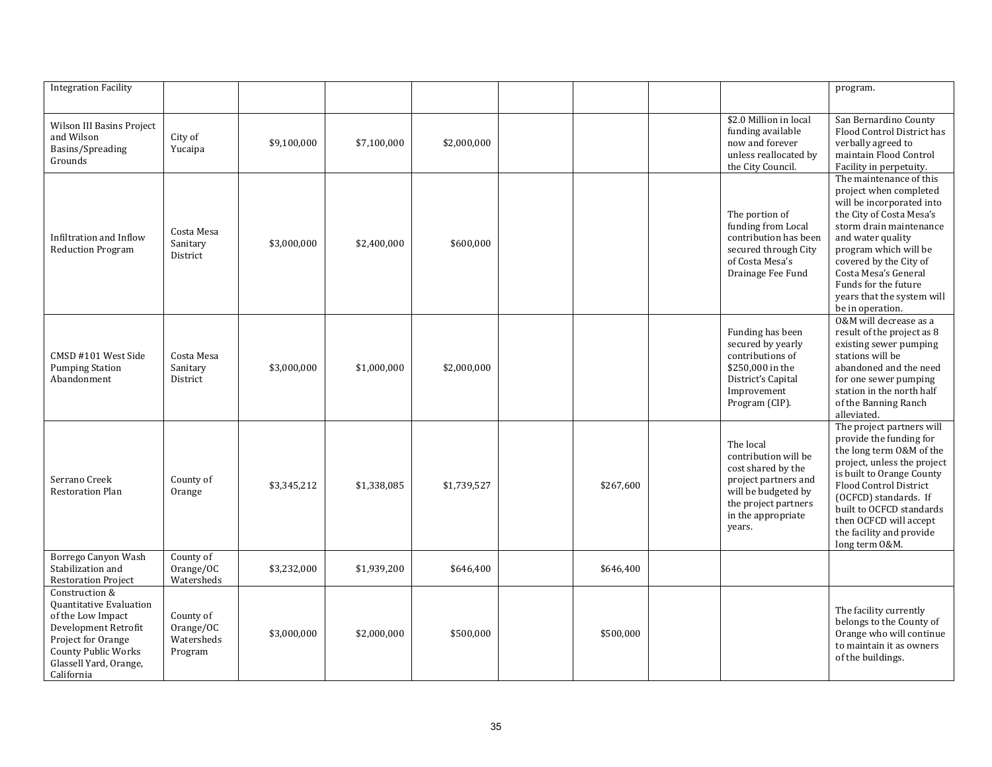| <b>Integration Facility</b>                                                                                                                                                               |                                                 |             |             |             |           |                                                                                                                                                                | program.                                                                                                                                                                                                                                                                                                        |
|-------------------------------------------------------------------------------------------------------------------------------------------------------------------------------------------|-------------------------------------------------|-------------|-------------|-------------|-----------|----------------------------------------------------------------------------------------------------------------------------------------------------------------|-----------------------------------------------------------------------------------------------------------------------------------------------------------------------------------------------------------------------------------------------------------------------------------------------------------------|
| Wilson III Basins Project<br>and Wilson<br>Basins/Spreading<br>Grounds                                                                                                                    | City of<br>Yucaipa                              | \$9,100,000 | \$7,100,000 | \$2,000,000 |           | \$2.0 Million in local<br>funding available<br>now and forever<br>unless reallocated by<br>the City Council.                                                   | San Bernardino County<br>Flood Control District has<br>verbally agreed to<br>maintain Flood Control<br>Facility in perpetuity.                                                                                                                                                                                  |
| Infiltration and Inflow<br><b>Reduction Program</b>                                                                                                                                       | Costa Mesa<br>Sanitary<br>District              | \$3,000,000 | \$2,400,000 | \$600,000   |           | The portion of<br>funding from Local<br>contribution has been<br>secured through City<br>of Costa Mesa's<br>Drainage Fee Fund                                  | The maintenance of this<br>project when completed<br>will be incorporated into<br>the City of Costa Mesa's<br>storm drain maintenance<br>and water quality<br>program which will be<br>covered by the City of<br>Costa Mesa's General<br>Funds for the future<br>years that the system will<br>be in operation. |
| CMSD #101 West Side<br><b>Pumping Station</b><br>Abandonment                                                                                                                              | Costa Mesa<br>Sanitary<br>District              | \$3,000,000 | \$1,000,000 | \$2,000,000 |           | Funding has been<br>secured by yearly<br>contributions of<br>\$250,000 in the<br>District's Capital<br>Improvement<br>Program (CIP).                           | 0&M will decrease as a<br>result of the project as 8<br>existing sewer pumping<br>stations will be<br>abandoned and the need<br>for one sewer pumping<br>station in the north half<br>of the Banning Ranch<br>alleviated.                                                                                       |
| Serrano Creek<br><b>Restoration Plan</b>                                                                                                                                                  | County of<br>Orange                             | \$3,345,212 | \$1,338,085 | \$1,739,527 | \$267,600 | The local<br>contribution will be<br>cost shared by the<br>project partners and<br>will be budgeted by<br>the project partners<br>in the appropriate<br>years. | The project partners will<br>provide the funding for<br>the long term O&M of the<br>project, unless the project<br>is built to Orange County<br>Flood Control District<br>(OCFCD) standards. If<br>built to OCFCD standards<br>then OCFCD will accept<br>the facility and provide<br>long term O&M.             |
| Borrego Canyon Wash<br>Stabilization and<br><b>Restoration Project</b>                                                                                                                    | County of<br>Orange/OC<br>Watersheds            | \$3,232,000 | \$1,939,200 | \$646,400   | \$646,400 |                                                                                                                                                                |                                                                                                                                                                                                                                                                                                                 |
| Construction &<br><b>Quantitative Evaluation</b><br>of the Low Impact<br>Development Retrofit<br>Project for Orange<br><b>County Public Works</b><br>Glassell Yard, Orange,<br>California | County of<br>Orange/OC<br>Watersheds<br>Program | \$3,000,000 | \$2,000,000 | \$500,000   | \$500,000 |                                                                                                                                                                | The facility currently<br>belongs to the County of<br>Orange who will continue<br>to maintain it as owners<br>of the buildings.                                                                                                                                                                                 |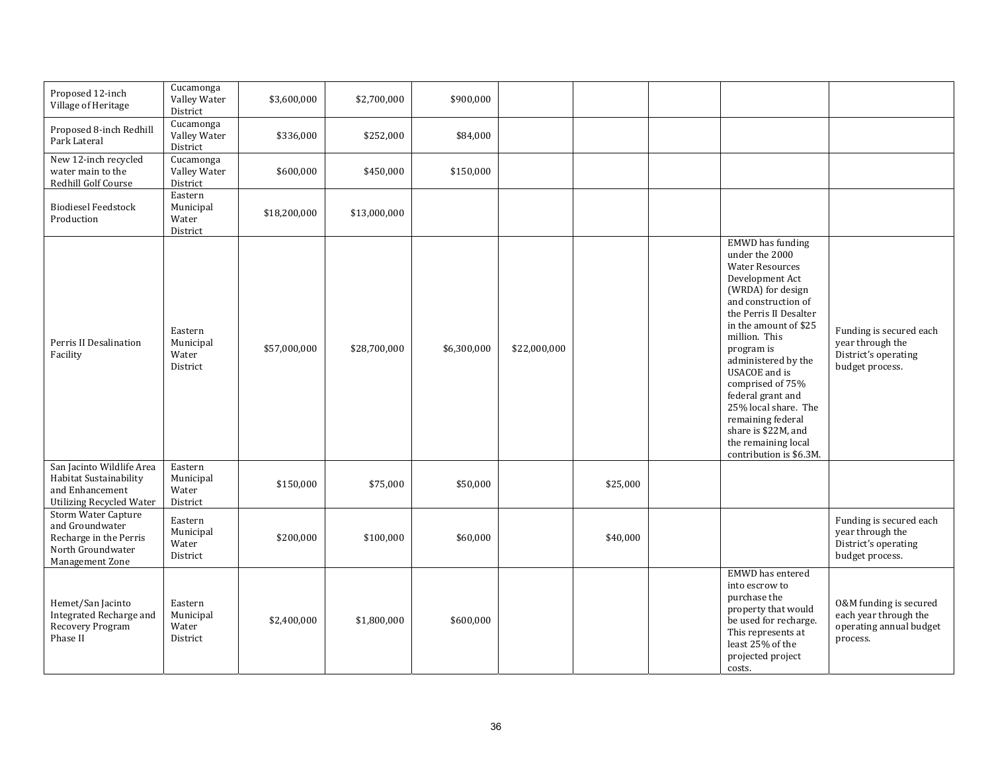| Proposed 12-inch<br>Village of Heritage                                                                          | Cucamonga<br>Valley Water<br>District     | \$3,600,000  | \$2,700,000  | \$900,000   |              |          |                                                                                                                                                                                                                                                                                                                                                                                                                             |                                                                                        |
|------------------------------------------------------------------------------------------------------------------|-------------------------------------------|--------------|--------------|-------------|--------------|----------|-----------------------------------------------------------------------------------------------------------------------------------------------------------------------------------------------------------------------------------------------------------------------------------------------------------------------------------------------------------------------------------------------------------------------------|----------------------------------------------------------------------------------------|
| Proposed 8-inch Redhill<br>Park Lateral                                                                          | Cucamonga<br>Valley Water<br>District     | \$336,000    | \$252,000    | \$84,000    |              |          |                                                                                                                                                                                                                                                                                                                                                                                                                             |                                                                                        |
| New 12-inch recycled<br>water main to the<br>Redhill Golf Course                                                 | Cucamonga<br>Valley Water<br>District     | \$600,000    | \$450,000    | \$150,000   |              |          |                                                                                                                                                                                                                                                                                                                                                                                                                             |                                                                                        |
| <b>Biodiesel Feedstock</b><br>Production                                                                         | Eastern<br>Municipal<br>Water<br>District | \$18,200,000 | \$13,000,000 |             |              |          |                                                                                                                                                                                                                                                                                                                                                                                                                             |                                                                                        |
| Perris II Desalination<br>Facility                                                                               | Eastern<br>Municipal<br>Water<br>District | \$57,000,000 | \$28,700,000 | \$6,300,000 | \$22,000,000 |          | <b>EMWD</b> has funding<br>under the 2000<br><b>Water Resources</b><br>Development Act<br>(WRDA) for design<br>and construction of<br>the Perris II Desalter<br>in the amount of \$25<br>million. This<br>program is<br>administered by the<br>USACOE and is<br>comprised of 75%<br>federal grant and<br>25% local share. The<br>remaining federal<br>share is \$22M, and<br>the remaining local<br>contribution is \$6.3M. | Funding is secured each<br>year through the<br>District's operating<br>budget process. |
| San Jacinto Wildlife Area<br><b>Habitat Sustainability</b><br>and Enhancement<br><b>Utilizing Recycled Water</b> | Eastern<br>Municipal<br>Water<br>District | \$150,000    | \$75,000     | \$50,000    |              | \$25,000 |                                                                                                                                                                                                                                                                                                                                                                                                                             |                                                                                        |
| Storm Water Capture<br>and Groundwater<br>Recharge in the Perris<br>North Groundwater<br>Management Zone         | Eastern<br>Municipal<br>Water<br>District | \$200,000    | \$100,000    | \$60,000    |              | \$40,000 |                                                                                                                                                                                                                                                                                                                                                                                                                             | Funding is secured each<br>year through the<br>District's operating<br>budget process. |
| Hemet/San Jacinto<br>Integrated Recharge and<br>Recovery Program<br>Phase II                                     | Eastern<br>Municipal<br>Water<br>District | \$2,400,000  | \$1,800,000  | \$600,000   |              |          | <b>EMWD</b> has entered<br>into escrow to<br>purchase the<br>property that would<br>be used for recharge.<br>This represents at<br>least 25% of the<br>projected project<br>costs.                                                                                                                                                                                                                                          | 0&M funding is secured<br>each year through the<br>operating annual budget<br>process. |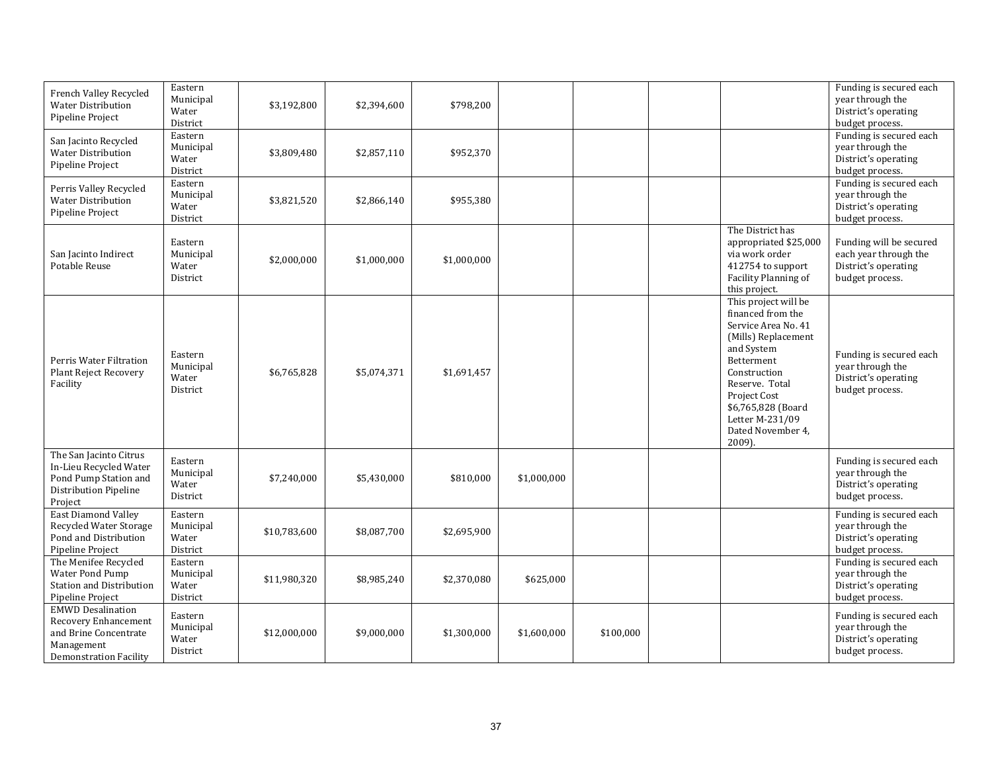| French Valley Recycled<br><b>Water Distribution</b><br>Pipeline Project                                                  | Eastern<br>Municipal<br>Water<br>District | \$3,192,800  | \$2,394,600 | \$798,200   |             |           |                                                                                                                                                                                                                                                         | Funding is secured each<br>year through the<br>District's operating<br>budget process.      |
|--------------------------------------------------------------------------------------------------------------------------|-------------------------------------------|--------------|-------------|-------------|-------------|-----------|---------------------------------------------------------------------------------------------------------------------------------------------------------------------------------------------------------------------------------------------------------|---------------------------------------------------------------------------------------------|
| San Jacinto Recycled<br><b>Water Distribution</b><br>Pipeline Project                                                    | Eastern<br>Municipal<br>Water<br>District | \$3,809,480  | \$2,857,110 | \$952,370   |             |           |                                                                                                                                                                                                                                                         | Funding is secured each<br>year through the<br>District's operating<br>budget process.      |
| Perris Valley Recycled<br><b>Water Distribution</b><br>Pipeline Project                                                  | Eastern<br>Municipal<br>Water<br>District | \$3,821,520  | \$2,866,140 | \$955,380   |             |           |                                                                                                                                                                                                                                                         | Funding is secured each<br>year through the<br>District's operating<br>budget process.      |
| San Jacinto Indirect<br>Potable Reuse                                                                                    | Eastern<br>Municipal<br>Water<br>District | \$2,000,000  | \$1,000,000 | \$1,000,000 |             |           | The District has<br>appropriated \$25,000<br>via work order<br>412754 to support<br>Facility Planning of<br>this project.                                                                                                                               | Funding will be secured<br>each year through the<br>District's operating<br>budget process. |
| Perris Water Filtration<br>Plant Reject Recovery<br>Facility                                                             | Eastern<br>Municipal<br>Water<br>District | \$6,765,828  | \$5,074,371 | \$1,691,457 |             |           | This project will be<br>financed from the<br>Service Area No. 41<br>(Mills) Replacement<br>and System<br>Betterment<br>Construction<br>Reserve. Total<br><b>Project Cost</b><br>\$6,765,828 (Board<br>Letter M-231/09<br>Dated November 4,<br>$2009$ ). | Funding is secured each<br>year through the<br>District's operating<br>budget process.      |
| The San Jacinto Citrus<br>In-Lieu Recycled Water<br>Pond Pump Station and<br>Distribution Pipeline<br>Project            | Eastern<br>Municipal<br>Water<br>District | \$7,240,000  | \$5,430,000 | \$810,000   | \$1,000,000 |           |                                                                                                                                                                                                                                                         | Funding is secured each<br>year through the<br>District's operating<br>budget process.      |
| <b>East Diamond Valley</b><br><b>Recycled Water Storage</b><br>Pond and Distribution<br>Pipeline Project                 | Eastern<br>Municipal<br>Water<br>District | \$10,783,600 | \$8,087,700 | \$2,695,900 |             |           |                                                                                                                                                                                                                                                         | Funding is secured each<br>year through the<br>District's operating<br>budget process.      |
| The Menifee Recycled<br>Water Pond Pump<br><b>Station and Distribution</b><br>Pipeline Project                           | Eastern<br>Municipal<br>Water<br>District | \$11,980,320 | \$8,985,240 | \$2,370,080 | \$625,000   |           |                                                                                                                                                                                                                                                         | Funding is secured each<br>year through the<br>District's operating<br>budget process.      |
| <b>EMWD Desalination</b><br>Recovery Enhancement<br>and Brine Concentrate<br>Management<br><b>Demonstration Facility</b> | Eastern<br>Municipal<br>Water<br>District | \$12,000,000 | \$9,000,000 | \$1,300,000 | \$1,600,000 | \$100,000 |                                                                                                                                                                                                                                                         | Funding is secured each<br>year through the<br>District's operating<br>budget process.      |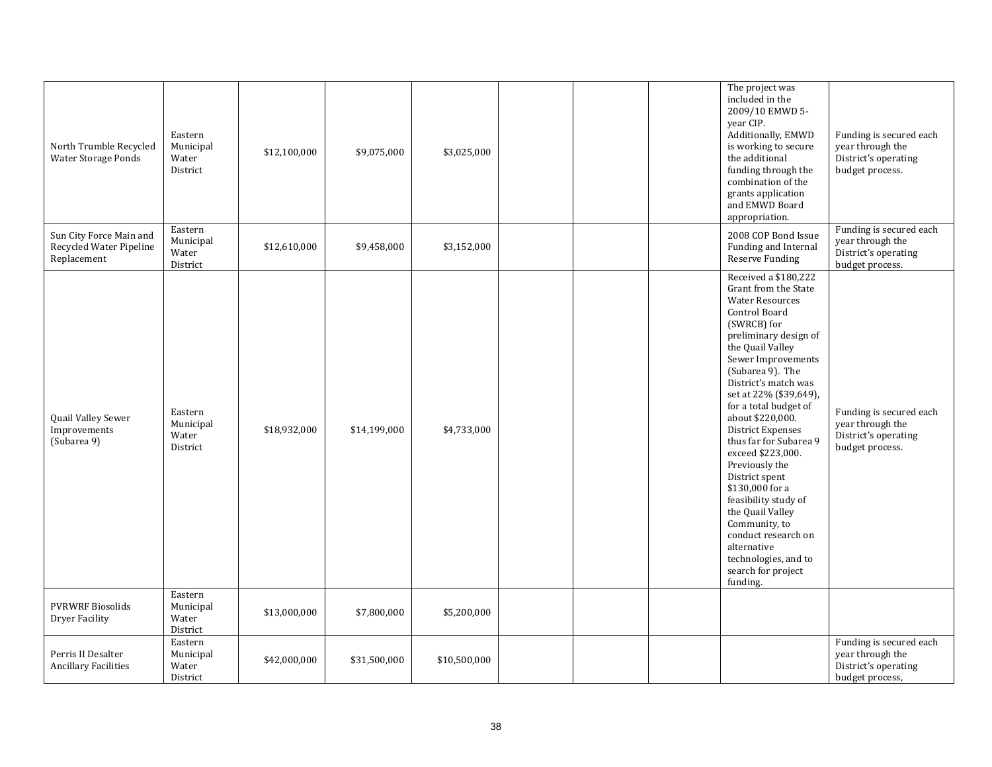| North Trumble Recycled<br><b>Water Storage Ponds</b>              | Eastern<br>Municipal<br>Water<br>District | \$12,100,000 | \$9,075,000  | \$3,025,000  |  | The project was<br>included in the<br>2009/10 EMWD 5-<br>year CIP.<br>Additionally, EMWD<br>is working to secure<br>the additional<br>funding through the<br>combination of the<br>grants application<br>and EMWD Board<br>appropriation.                                                                                                                                                                                                                                                                                                                                            | Funding is secured each<br>year through the<br>District's operating<br>budget process. |
|-------------------------------------------------------------------|-------------------------------------------|--------------|--------------|--------------|--|--------------------------------------------------------------------------------------------------------------------------------------------------------------------------------------------------------------------------------------------------------------------------------------------------------------------------------------------------------------------------------------------------------------------------------------------------------------------------------------------------------------------------------------------------------------------------------------|----------------------------------------------------------------------------------------|
| Sun City Force Main and<br>Recycled Water Pipeline<br>Replacement | Eastern<br>Municipal<br>Water<br>District | \$12,610,000 | \$9,458,000  | \$3,152,000  |  | 2008 COP Bond Issue<br>Funding and Internal<br><b>Reserve Funding</b>                                                                                                                                                                                                                                                                                                                                                                                                                                                                                                                | Funding is secured each<br>year through the<br>District's operating<br>budget process. |
| Quail Valley Sewer<br>Improvements<br>(Subarea 9)                 | Eastern<br>Municipal<br>Water<br>District | \$18,932,000 | \$14,199,000 | \$4,733,000  |  | Received a \$180,222<br>Grant from the State<br><b>Water Resources</b><br>Control Board<br>(SWRCB) for<br>preliminary design of<br>the Quail Valley<br>Sewer Improvements<br>(Subarea 9). The<br>District's match was<br>set at 22% (\$39,649),<br>for a total budget of<br>about \$220,000.<br>District Expenses<br>thus far for Subarea 9<br>exceed \$223,000.<br>Previously the<br>District spent<br>\$130,000 for a<br>feasibility study of<br>the Quail Valley<br>Community, to<br>conduct research on<br>alternative<br>technologies, and to<br>search for project<br>funding. | Funding is secured each<br>year through the<br>District's operating<br>budget process. |
| <b>PVRWRF Biosolids</b><br>Dryer Facility                         | Eastern<br>Municipal<br>Water<br>District | \$13,000,000 | \$7,800,000  | \$5,200,000  |  |                                                                                                                                                                                                                                                                                                                                                                                                                                                                                                                                                                                      |                                                                                        |
| Perris II Desalter<br><b>Ancillary Facilities</b>                 | Eastern<br>Municipal<br>Water<br>District | \$42,000,000 | \$31,500,000 | \$10,500,000 |  |                                                                                                                                                                                                                                                                                                                                                                                                                                                                                                                                                                                      | Funding is secured each<br>year through the<br>District's operating<br>budget process, |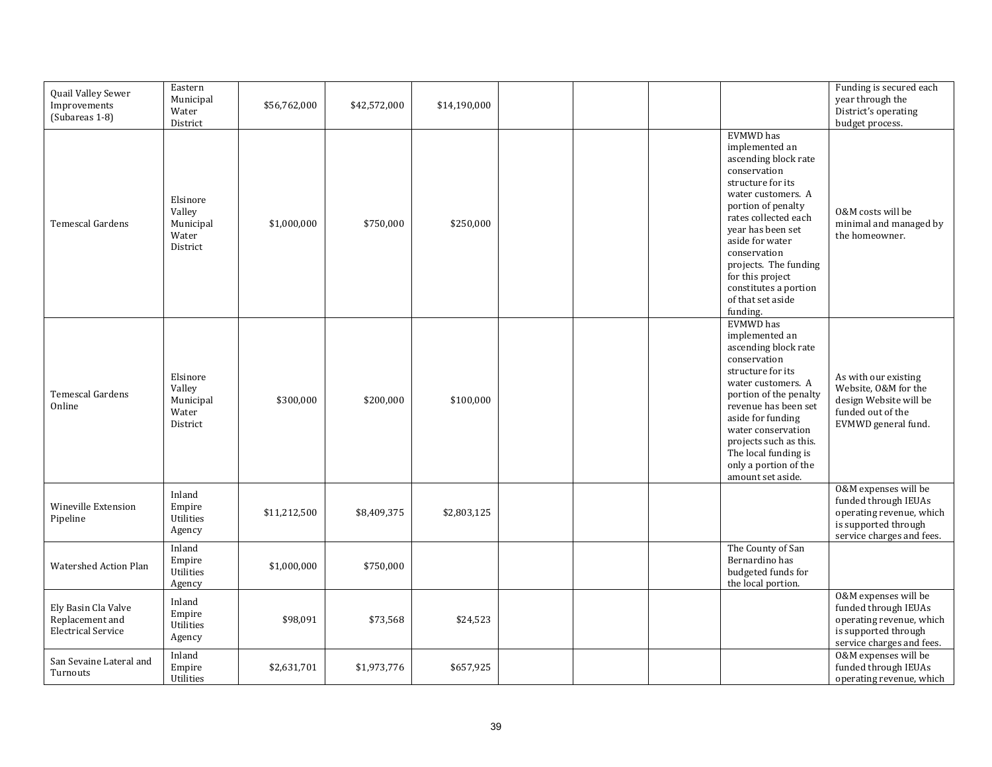| Quail Valley Sewer<br>Improvements<br>(Subareas 1-8)                | Eastern<br>Municipal<br>Water<br>District            | \$56,762,000 | \$42,572,000 | \$14,190,000 |  |                                                                                                                                                                                                                                                                                                                                    | Funding is secured each<br>year through the<br>District's operating<br>budget process.                                        |
|---------------------------------------------------------------------|------------------------------------------------------|--------------|--------------|--------------|--|------------------------------------------------------------------------------------------------------------------------------------------------------------------------------------------------------------------------------------------------------------------------------------------------------------------------------------|-------------------------------------------------------------------------------------------------------------------------------|
| <b>Temescal Gardens</b>                                             | Elsinore<br>Valley<br>Municipal<br>Water<br>District | \$1,000,000  | \$750,000    | \$250,000    |  | <b>EVMWD</b> has<br>implemented an<br>ascending block rate<br>conservation<br>structure for its<br>water customers. A<br>portion of penalty<br>rates collected each<br>vear has been set<br>aside for water<br>conservation<br>projects. The funding<br>for this project<br>constitutes a portion<br>of that set aside<br>funding. | 0&M costs will be<br>minimal and managed by<br>the homeowner.                                                                 |
| Temescal Gardens<br>Online                                          | Elsinore<br>Valley<br>Municipal<br>Water<br>District | \$300,000    | \$200,000    | \$100,000    |  | <b>EVMWD</b> has<br>implemented an<br>ascending block rate<br>conservation<br>structure for its<br>water customers. A<br>portion of the penalty<br>revenue has been set<br>aside for funding<br>water conservation<br>projects such as this.<br>The local funding is<br>only a portion of the<br>amount set aside.                 | As with our existing<br>Website, O&M for the<br>design Website will be<br>funded out of the<br>EVMWD general fund.            |
| Wineville Extension<br>Pipeline                                     | Inland<br>Empire<br>Utilities<br>Agency              | \$11,212,500 | \$8,409,375  | \$2,803,125  |  |                                                                                                                                                                                                                                                                                                                                    | 0&M expenses will be<br>funded through IEUAs<br>operating revenue, which<br>is supported through<br>service charges and fees. |
| Watershed Action Plan                                               | Inland<br>Empire<br>Utilities<br>Agency              | \$1,000,000  | \$750,000    |              |  | The County of San<br>Bernardino has<br>budgeted funds for<br>the local portion.                                                                                                                                                                                                                                                    |                                                                                                                               |
| Ely Basin Cla Valve<br>Replacement and<br><b>Electrical Service</b> | Inland<br>Empire<br>Utilities<br>Agency              | \$98,091     | \$73,568     | \$24,523     |  |                                                                                                                                                                                                                                                                                                                                    | 0&M expenses will be<br>funded through IEUAs<br>operating revenue, which<br>is supported through<br>service charges and fees. |
| San Sevaine Lateral and<br>Turnouts                                 | Inland<br>Empire<br>Utilities                        | \$2,631,701  | \$1,973,776  | \$657,925    |  |                                                                                                                                                                                                                                                                                                                                    | 0&M expenses will be<br>funded through IEUAs<br>operating revenue, which                                                      |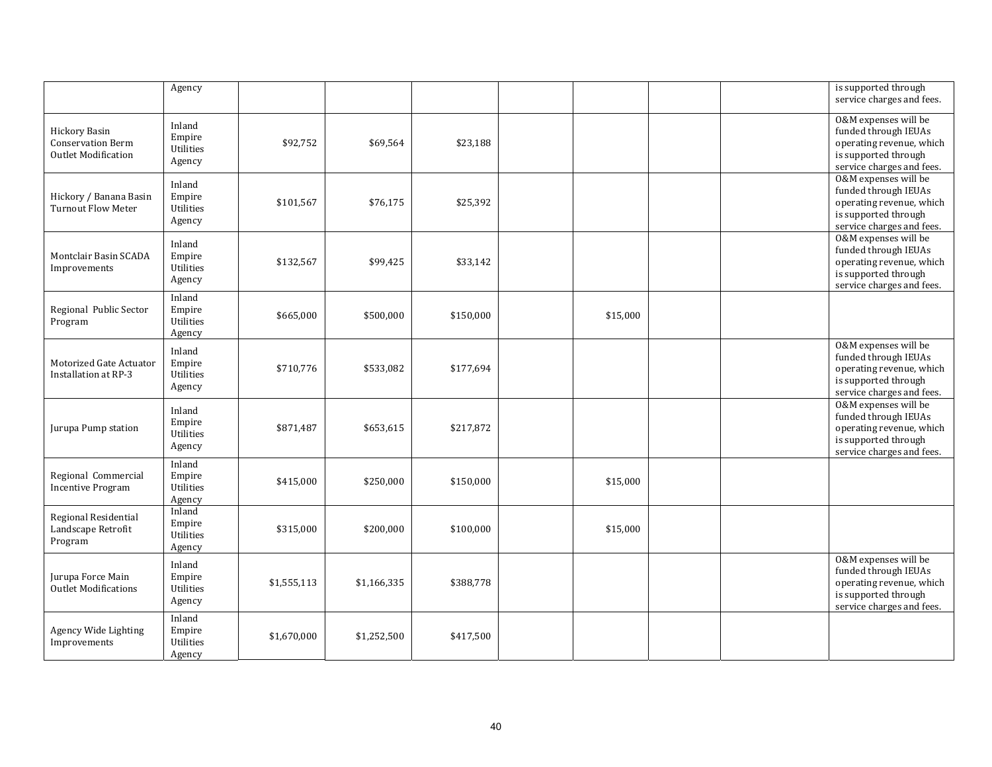|                                                                         | Agency                                  |             |             |           |          |  | is supported through<br>service charges and fees.                                                                             |
|-------------------------------------------------------------------------|-----------------------------------------|-------------|-------------|-----------|----------|--|-------------------------------------------------------------------------------------------------------------------------------|
| Hickory Basin<br><b>Conservation Berm</b><br><b>Outlet Modification</b> | Inland<br>Empire<br>Utilities<br>Agency | \$92,752    | \$69,564    | \$23,188  |          |  | 0&M expenses will be<br>funded through IEUAs<br>operating revenue, which<br>is supported through<br>service charges and fees. |
| Hickory / Banana Basin<br><b>Turnout Flow Meter</b>                     | Inland<br>Empire<br>Utilities<br>Agency | \$101,567   | \$76,175    | \$25,392  |          |  | 0&M expenses will be<br>funded through IEUAs<br>operating revenue, which<br>is supported through<br>service charges and fees. |
| Montclair Basin SCADA<br>Improvements                                   | Inland<br>Empire<br>Utilities<br>Agency | \$132,567   | \$99,425    | \$33,142  |          |  | 0&M expenses will be<br>funded through IEUAs<br>operating revenue, which<br>is supported through<br>service charges and fees. |
| Regional Public Sector<br>Program                                       | Inland<br>Empire<br>Utilities<br>Agency | \$665,000   | \$500,000   | \$150,000 | \$15,000 |  |                                                                                                                               |
| Motorized Gate Actuator<br>Installation at RP-3                         | Inland<br>Empire<br>Utilities<br>Agency | \$710,776   | \$533,082   | \$177,694 |          |  | 0&M expenses will be<br>funded through IEUAs<br>operating revenue, which<br>is supported through<br>service charges and fees. |
| Jurupa Pump station                                                     | Inland<br>Empire<br>Utilities<br>Agency | \$871,487   | \$653,615   | \$217,872 |          |  | 0&M expenses will be<br>funded through IEUAs<br>operating revenue, which<br>is supported through<br>service charges and fees. |
| Regional Commercial<br><b>Incentive Program</b>                         | Inland<br>Empire<br>Utilities<br>Agency | \$415,000   | \$250,000   | \$150,000 | \$15,000 |  |                                                                                                                               |
| Regional Residential<br>Landscape Retrofit<br>Program                   | Inland<br>Empire<br>Utilities<br>Agency | \$315,000   | \$200,000   | \$100,000 | \$15,000 |  |                                                                                                                               |
| Jurupa Force Main<br><b>Outlet Modifications</b>                        | Inland<br>Empire<br>Utilities<br>Agency | \$1,555,113 | \$1,166,335 | \$388,778 |          |  | 0&M expenses will be<br>funded through IEUAs<br>operating revenue, which<br>is supported through<br>service charges and fees. |
| Agency Wide Lighting<br>Improvements                                    | Inland<br>Empire<br>Utilities<br>Agency | \$1,670,000 | \$1,252,500 | \$417,500 |          |  |                                                                                                                               |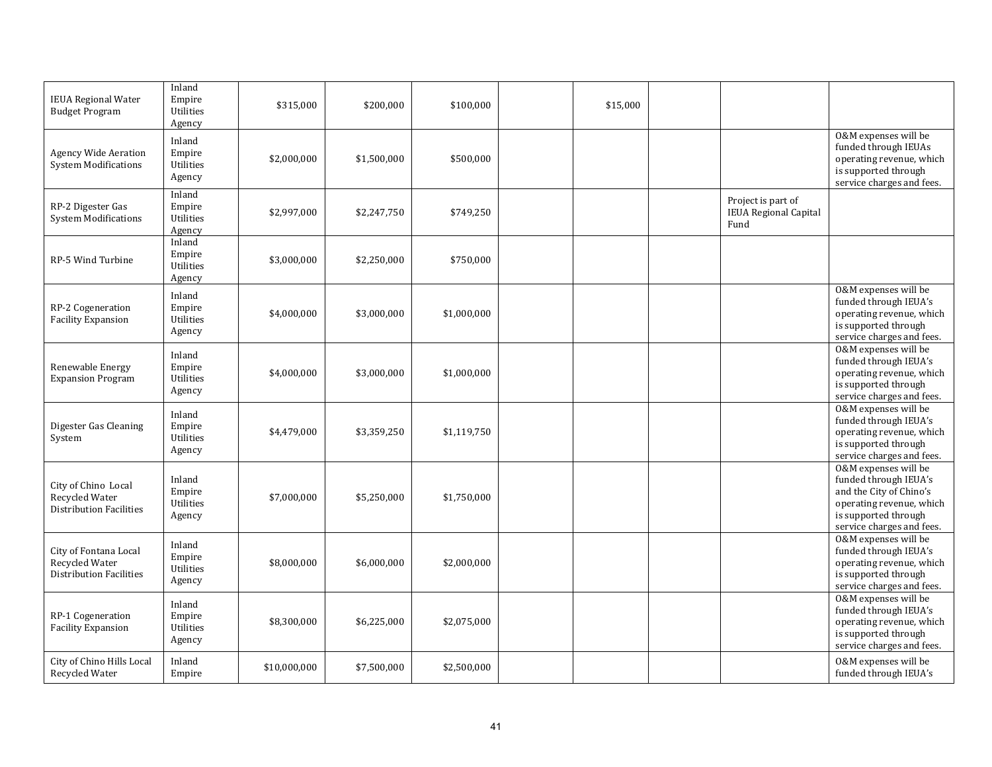| <b>IEUA Regional Water</b><br><b>Budget Program</b>                       | Inland<br>Empire<br><b>Utilities</b><br>Agency | \$315,000    | \$200,000   | \$100,000   | \$15,000 |                                                            |                                                                                                                                                           |
|---------------------------------------------------------------------------|------------------------------------------------|--------------|-------------|-------------|----------|------------------------------------------------------------|-----------------------------------------------------------------------------------------------------------------------------------------------------------|
| <b>Agency Wide Aeration</b><br><b>System Modifications</b>                | Inland<br>Empire<br>Utilities<br>Agency        | \$2,000,000  | \$1,500,000 | \$500,000   |          |                                                            | 0&M expenses will be<br>funded through IEUAs<br>operating revenue, which<br>is supported through<br>service charges and fees.                             |
| RP-2 Digester Gas<br><b>System Modifications</b>                          | Inland<br>Empire<br>Utilities<br>Agency        | \$2,997,000  | \$2,247,750 | \$749,250   |          | Project is part of<br><b>IEUA Regional Capital</b><br>Fund |                                                                                                                                                           |
| RP-5 Wind Turbine                                                         | Inland<br>Empire<br>Utilities<br>Agency        | \$3,000,000  | \$2,250,000 | \$750,000   |          |                                                            |                                                                                                                                                           |
| RP-2 Cogeneration<br><b>Facility Expansion</b>                            | Inland<br>Empire<br>Utilities<br>Agency        | \$4,000,000  | \$3,000,000 | \$1,000,000 |          |                                                            | 0&M expenses will be<br>funded through IEUA's<br>operating revenue, which<br>is supported through<br>service charges and fees.                            |
| Renewable Energy<br><b>Expansion Program</b>                              | Inland<br>Empire<br>Utilities<br>Agency        | \$4,000,000  | \$3,000,000 | \$1,000,000 |          |                                                            | 0&M expenses will be<br>funded through IEUA's<br>operating revenue, which<br>is supported through<br>service charges and fees.                            |
| Digester Gas Cleaning<br>System                                           | Inland<br>Empire<br><b>Utilities</b><br>Agency | \$4,479,000  | \$3,359,250 | \$1,119,750 |          |                                                            | 0&M expenses will be<br>funded through IEUA's<br>operating revenue, which<br>is supported through<br>service charges and fees.                            |
| City of Chino Local<br>Recycled Water<br>Distribution Facilities          | Inland<br>Empire<br>Utilities<br>Agency        | \$7,000,000  | \$5,250,000 | \$1,750,000 |          |                                                            | 0&M expenses will be<br>funded through IEUA's<br>and the City of Chino's<br>operating revenue, which<br>is supported through<br>service charges and fees. |
| City of Fontana Local<br>Recycled Water<br><b>Distribution Facilities</b> | Inland<br>Empire<br>Utilities<br>Agency        | \$8,000,000  | \$6,000,000 | \$2,000,000 |          |                                                            | 0&M expenses will be<br>funded through IEUA's<br>operating revenue, which<br>is supported through<br>service charges and fees.                            |
| RP-1 Cogeneration<br><b>Facility Expansion</b>                            | Inland<br>Empire<br>Utilities<br>Agency        | \$8,300,000  | \$6,225,000 | \$2,075,000 |          |                                                            | 0&M expenses will be<br>funded through IEUA's<br>operating revenue, which<br>is supported through<br>service charges and fees.                            |
| City of Chino Hills Local<br>Recycled Water                               | Inland<br>Empire                               | \$10,000,000 | \$7,500,000 | \$2,500,000 |          |                                                            | 0&M expenses will be<br>funded through IEUA's                                                                                                             |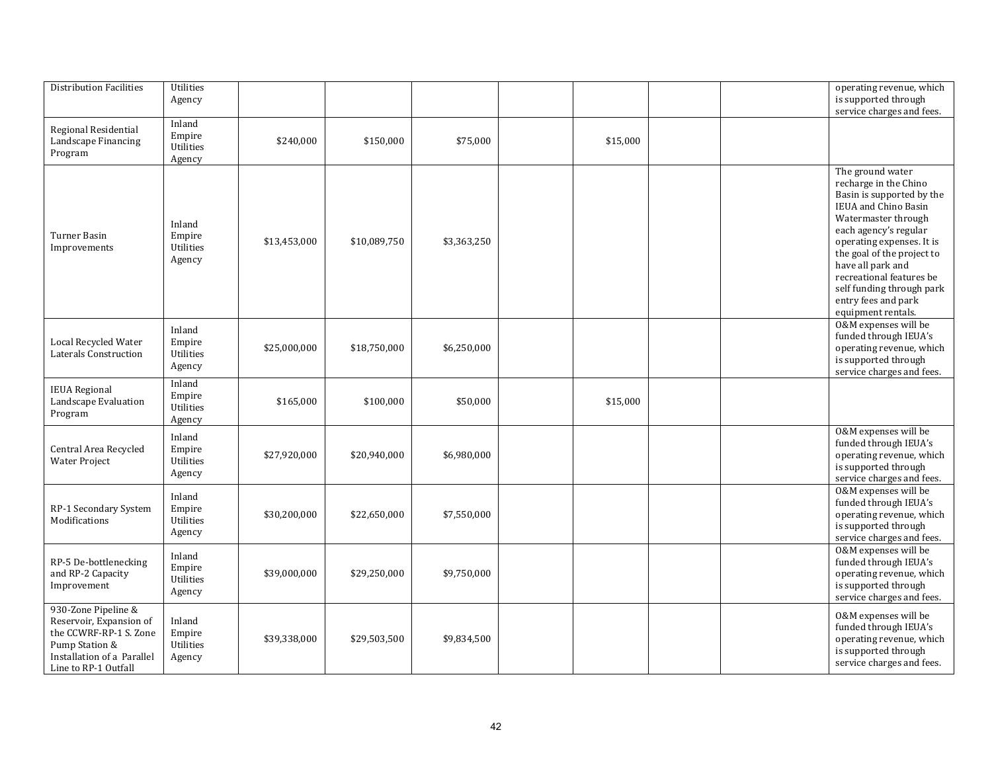| Distribution Facilities                                                                                                                          | Utilities<br>Agency                            |              |              |             |          |  | operating revenue, which<br>is supported through<br>service charges and fees.                                                                                                                                                                                                                                                        |
|--------------------------------------------------------------------------------------------------------------------------------------------------|------------------------------------------------|--------------|--------------|-------------|----------|--|--------------------------------------------------------------------------------------------------------------------------------------------------------------------------------------------------------------------------------------------------------------------------------------------------------------------------------------|
| Regional Residential<br>Landscape Financing<br>Program                                                                                           | Inland<br>Empire<br><b>Utilities</b><br>Agency | \$240,000    | \$150,000    | \$75,000    | \$15,000 |  |                                                                                                                                                                                                                                                                                                                                      |
| Turner Basin<br>Improvements                                                                                                                     | Inland<br>Empire<br>Utilities<br>Agency        | \$13,453,000 | \$10,089,750 | \$3,363,250 |          |  | The ground water<br>recharge in the Chino<br>Basin is supported by the<br>IEUA and Chino Basin<br>Watermaster through<br>each agency's regular<br>operating expenses. It is<br>the goal of the project to<br>have all park and<br>recreational features be<br>self funding through park<br>entry fees and park<br>equipment rentals. |
| Local Recycled Water<br>Laterals Construction                                                                                                    | Inland<br>Empire<br>Utilities<br>Agency        | \$25,000,000 | \$18,750,000 | \$6,250,000 |          |  | 0&M expenses will be<br>funded through IEUA's<br>operating revenue, which<br>is supported through<br>service charges and fees.                                                                                                                                                                                                       |
| <b>IEUA Regional</b><br>Landscape Evaluation<br>Program                                                                                          | Inland<br>Empire<br>Utilities<br>Agency        | \$165,000    | \$100,000    | \$50,000    | \$15,000 |  |                                                                                                                                                                                                                                                                                                                                      |
| Central Area Recycled<br><b>Water Project</b>                                                                                                    | Inland<br>Empire<br>Utilities<br>Agency        | \$27,920,000 | \$20,940,000 | \$6,980,000 |          |  | 0&M expenses will be<br>funded through IEUA's<br>operating revenue, which<br>is supported through<br>service charges and fees.                                                                                                                                                                                                       |
| RP-1 Secondary System<br>Modifications                                                                                                           | Inland<br>Empire<br>Utilities<br>Agency        | \$30,200,000 | \$22,650,000 | \$7,550,000 |          |  | 0&M expenses will be<br>funded through IEUA's<br>operating revenue, which<br>is supported through<br>service charges and fees.                                                                                                                                                                                                       |
| RP-5 De-bottlenecking<br>and RP-2 Capacity<br>Improvement                                                                                        | Inland<br>Empire<br>Utilities<br>Agency        | \$39,000,000 | \$29,250,000 | \$9,750,000 |          |  | 0&M expenses will be<br>funded through IEUA's<br>operating revenue, which<br>is supported through<br>service charges and fees.                                                                                                                                                                                                       |
| 930-Zone Pipeline &<br>Reservoir, Expansion of<br>the CCWRF-RP-1 S. Zone<br>Pump Station &<br>Installation of a Parallel<br>Line to RP-1 Outfall | Inland<br>Empire<br>Utilities<br>Agency        | \$39,338,000 | \$29,503,500 | \$9,834,500 |          |  | 0&M expenses will be<br>funded through IEUA's<br>operating revenue, which<br>is supported through<br>service charges and fees.                                                                                                                                                                                                       |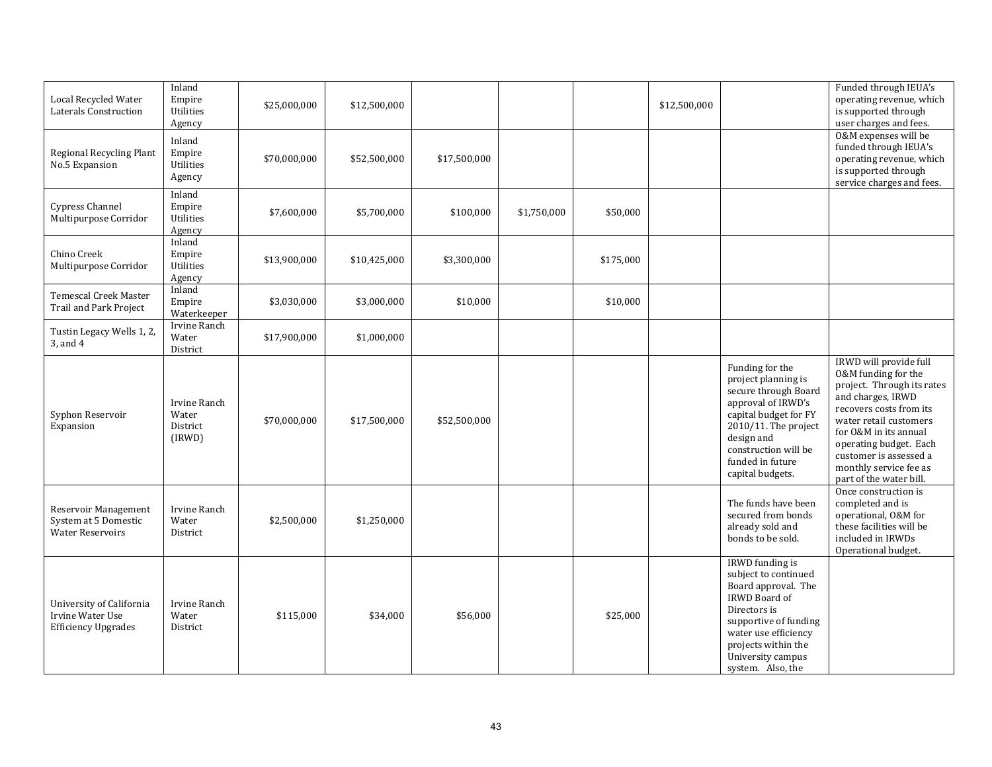| Local Recycled Water<br>Laterals Construction                              | Inland<br>Empire<br>Utilities<br>Agency     | \$25,000,000 | \$12,500,000 |              |             |           | \$12,500,000 |                                                                                                                                                                                                                          | Funded through IEUA's<br>operating revenue, which<br>is supported through<br>user charges and fees.                                                                                                                                                                                     |
|----------------------------------------------------------------------------|---------------------------------------------|--------------|--------------|--------------|-------------|-----------|--------------|--------------------------------------------------------------------------------------------------------------------------------------------------------------------------------------------------------------------------|-----------------------------------------------------------------------------------------------------------------------------------------------------------------------------------------------------------------------------------------------------------------------------------------|
| Regional Recycling Plant<br>No.5 Expansion                                 | Inland<br>Empire<br>Utilities<br>Agency     | \$70,000,000 | \$52,500,000 | \$17,500,000 |             |           |              |                                                                                                                                                                                                                          | 0&M expenses will be<br>funded through IEUA's<br>operating revenue, which<br>is supported through<br>service charges and fees.                                                                                                                                                          |
| Cypress Channel<br>Multipurpose Corridor                                   | Inland<br>Empire<br>Utilities<br>Agency     | \$7,600,000  | \$5,700,000  | \$100,000    | \$1,750,000 | \$50,000  |              |                                                                                                                                                                                                                          |                                                                                                                                                                                                                                                                                         |
| Chino Creek<br>Multipurpose Corridor                                       | Inland<br>Empire<br>Utilities<br>Agency     | \$13,900,000 | \$10,425,000 | \$3,300,000  |             | \$175,000 |              |                                                                                                                                                                                                                          |                                                                                                                                                                                                                                                                                         |
| Temescal Creek Master<br>Trail and Park Project                            | Inland<br>Empire<br>Waterkeeper             | \$3,030,000  | \$3,000,000  | \$10,000     |             | \$10,000  |              |                                                                                                                                                                                                                          |                                                                                                                                                                                                                                                                                         |
| Tustin Legacy Wells 1, 2,<br>$3$ , and $4$                                 | Irvine Ranch<br>Water<br>District           | \$17,900,000 | \$1,000,000  |              |             |           |              |                                                                                                                                                                                                                          |                                                                                                                                                                                                                                                                                         |
| Syphon Reservoir<br>Expansion                                              | Irvine Ranch<br>Water<br>District<br>(IRWD) | \$70,000,000 | \$17,500,000 | \$52,500,000 |             |           |              | Funding for the<br>project planning is<br>secure through Board<br>approval of IRWD's<br>capital budget for FY<br>2010/11. The project<br>design and<br>construction will be<br>funded in future<br>capital budgets.      | IRWD will provide full<br>0&M funding for the<br>project. Through its rates<br>and charges, IRWD<br>recovers costs from its<br>water retail customers<br>for O&M in its annual<br>operating budget. Each<br>customer is assessed a<br>monthly service fee as<br>part of the water bill. |
| Reservoir Management<br>System at 5 Domestic<br><b>Water Reservoirs</b>    | Irvine Ranch<br>Water<br>District           | \$2,500,000  | \$1,250,000  |              |             |           |              | The funds have been<br>secured from bonds<br>already sold and<br>bonds to be sold.                                                                                                                                       | Once construction is<br>completed and is<br>operational, O&M for<br>these facilities will be<br>included in IRWDs<br>Operational budget.                                                                                                                                                |
| University of California<br>Irvine Water Use<br><b>Efficiency Upgrades</b> | Irvine Ranch<br>Water<br>District           | \$115,000    | \$34,000     | \$56,000     |             | \$25,000  |              | IRWD funding is<br>subject to continued<br>Board approval. The<br><b>IRWD</b> Board of<br>Directors is<br>supportive of funding<br>water use efficiency<br>projects within the<br>University campus<br>system. Also, the |                                                                                                                                                                                                                                                                                         |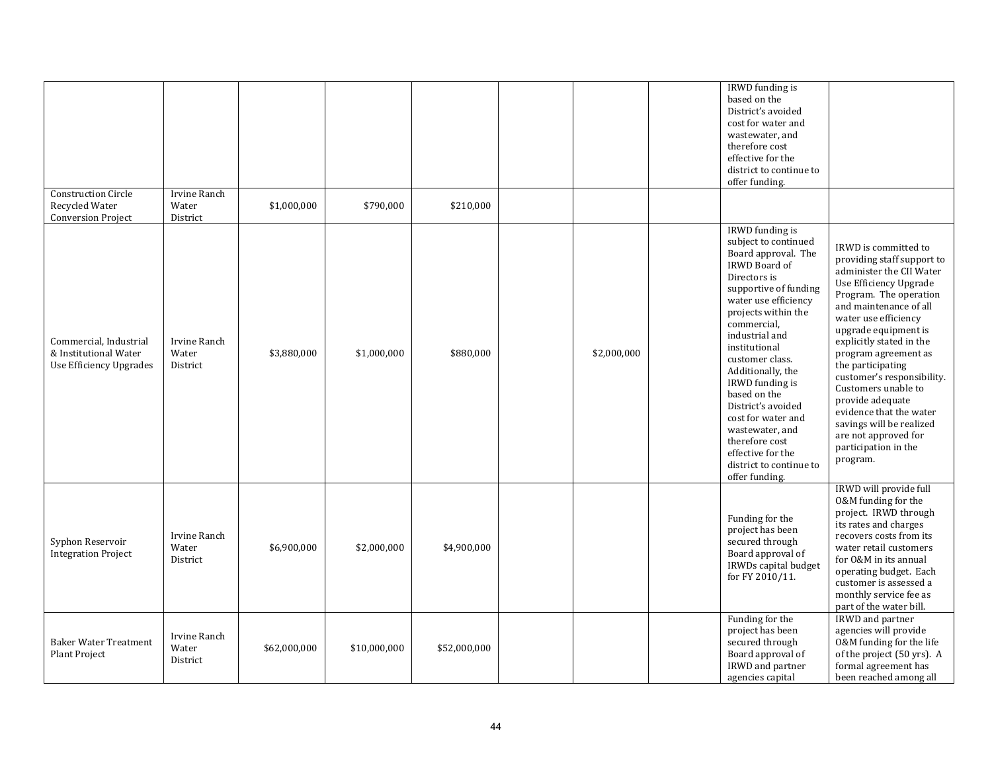|                                                                            |                                   |              |              |              |             | IRWD funding is<br>based on the<br>District's avoided<br>cost for water and<br>wastewater, and<br>therefore cost<br>effective for the<br>district to continue to<br>offer funding.                                                                                                                                                                                                                                                                                    |                                                                                                                                                                                                                                                                                                                                                                                                                                                                                   |
|----------------------------------------------------------------------------|-----------------------------------|--------------|--------------|--------------|-------------|-----------------------------------------------------------------------------------------------------------------------------------------------------------------------------------------------------------------------------------------------------------------------------------------------------------------------------------------------------------------------------------------------------------------------------------------------------------------------|-----------------------------------------------------------------------------------------------------------------------------------------------------------------------------------------------------------------------------------------------------------------------------------------------------------------------------------------------------------------------------------------------------------------------------------------------------------------------------------|
| <b>Construction Circle</b><br>Recycled Water<br><b>Conversion Project</b>  | Irvine Ranch<br>Water<br>District | \$1,000,000  | \$790,000    | \$210,000    |             |                                                                                                                                                                                                                                                                                                                                                                                                                                                                       |                                                                                                                                                                                                                                                                                                                                                                                                                                                                                   |
| Commercial, Industrial<br>& Institutional Water<br>Use Efficiency Upgrades | Irvine Ranch<br>Water<br>District | \$3,880,000  | \$1,000,000  | \$880,000    | \$2,000,000 | <b>IRWD</b> funding is<br>subject to continued<br>Board approval. The<br><b>IRWD</b> Board of<br>Directors is<br>supportive of funding<br>water use efficiency<br>projects within the<br>commercial,<br>industrial and<br>institutional<br>customer class.<br>Additionally, the<br>IRWD funding is<br>based on the<br>District's avoided<br>cost for water and<br>wastewater, and<br>therefore cost<br>effective for the<br>district to continue to<br>offer funding. | IRWD is committed to<br>providing staff support to<br>administer the CII Water<br>Use Efficiency Upgrade<br>Program. The operation<br>and maintenance of all<br>water use efficiency<br>upgrade equipment is<br>explicitly stated in the<br>program agreement as<br>the participating<br>customer's responsibility.<br>Customers unable to<br>provide adequate<br>evidence that the water<br>savings will be realized<br>are not approved for<br>participation in the<br>program. |
| Syphon Reservoir<br><b>Integration Project</b>                             | Irvine Ranch<br>Water<br>District | \$6,900,000  | \$2,000,000  | \$4,900,000  |             | Funding for the<br>project has been<br>secured through<br>Board approval of<br>IRWDs capital budget<br>for FY 2010/11.                                                                                                                                                                                                                                                                                                                                                | IRWD will provide full<br>0&M funding for the<br>project. IRWD through<br>its rates and charges<br>recovers costs from its<br>water retail customers<br>for O&M in its annual<br>operating budget. Each<br>customer is assessed a<br>monthly service fee as<br>part of the water bill.                                                                                                                                                                                            |
| <b>Baker Water Treatment</b><br>Plant Project                              | Irvine Ranch<br>Water<br>District | \$62,000,000 | \$10,000,000 | \$52,000,000 |             | Funding for the<br>project has been<br>secured through<br>Board approval of<br>IRWD and partner<br>agencies capital                                                                                                                                                                                                                                                                                                                                                   | <b>IRWD</b> and partner<br>agencies will provide<br>0&M funding for the life<br>of the project (50 yrs). A<br>formal agreement has<br>been reached among all                                                                                                                                                                                                                                                                                                                      |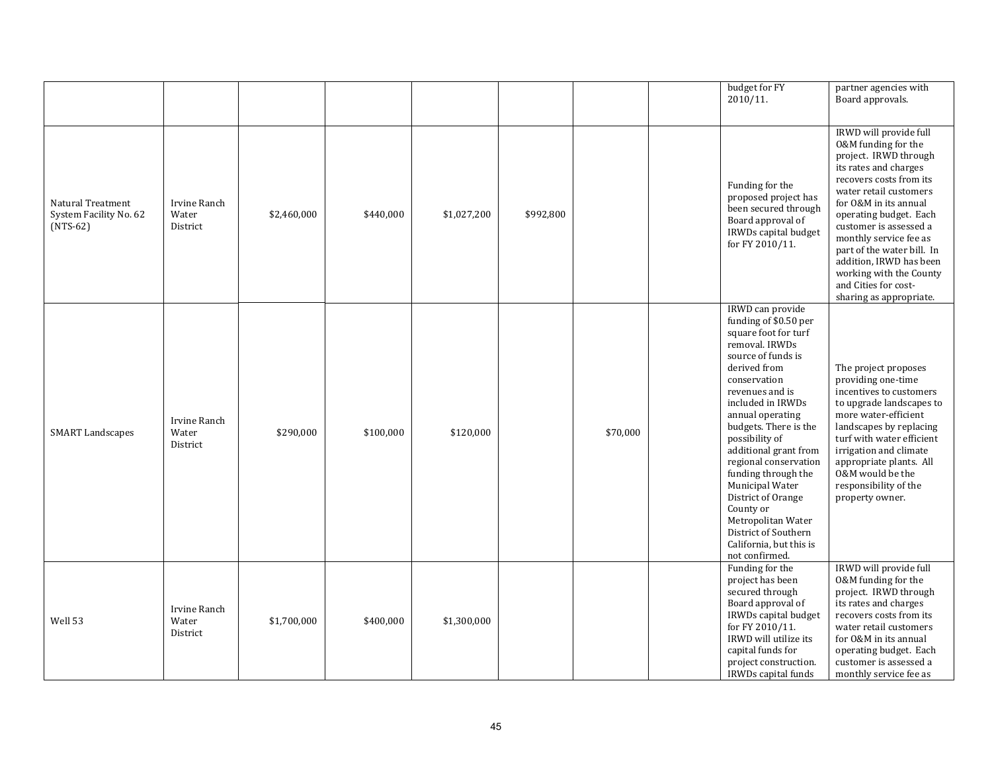|                                                           |                                   |             |           |             |           |          | budget for FY<br>2010/11.                                                                                                                                                                                                                                                                                                                                                                                                                                                  | partner agencies with<br>Board approvals.                                                                                                                                                                                                                                                                                                                                                          |
|-----------------------------------------------------------|-----------------------------------|-------------|-----------|-------------|-----------|----------|----------------------------------------------------------------------------------------------------------------------------------------------------------------------------------------------------------------------------------------------------------------------------------------------------------------------------------------------------------------------------------------------------------------------------------------------------------------------------|----------------------------------------------------------------------------------------------------------------------------------------------------------------------------------------------------------------------------------------------------------------------------------------------------------------------------------------------------------------------------------------------------|
| Natural Treatment<br>System Facility No. 62<br>$(NTS-62)$ | Irvine Ranch<br>Water<br>District | \$2,460,000 | \$440,000 | \$1,027,200 | \$992,800 |          | Funding for the<br>proposed project has<br>been secured through<br>Board approval of<br>IRWDs capital budget<br>for FY 2010/11.                                                                                                                                                                                                                                                                                                                                            | IRWD will provide full<br>0&M funding for the<br>project. IRWD through<br>its rates and charges<br>recovers costs from its<br>water retail customers<br>for O&M in its annual<br>operating budget. Each<br>customer is assessed a<br>monthly service fee as<br>part of the water bill. In<br>addition, IRWD has been<br>working with the County<br>and Cities for cost-<br>sharing as appropriate. |
| <b>SMART Landscapes</b>                                   | Irvine Ranch<br>Water<br>District | \$290,000   | \$100,000 | \$120,000   |           | \$70,000 | IRWD can provide<br>funding of \$0.50 per<br>square foot for turf<br>removal. IRWDs<br>source of funds is<br>derived from<br>conservation<br>revenues and is<br>included in IRWDs<br>annual operating<br>budgets. There is the<br>possibility of<br>additional grant from<br>regional conservation<br>funding through the<br>Municipal Water<br>District of Orange<br>County or<br>Metropolitan Water<br>District of Southern<br>California, but this is<br>not confirmed. | The project proposes<br>providing one-time<br>incentives to customers<br>to upgrade landscapes to<br>more water-efficient<br>landscapes by replacing<br>turf with water efficient<br>irrigation and climate<br>appropriate plants. All<br>0&M would be the<br>responsibility of the<br>property owner.                                                                                             |
| Well 53                                                   | Irvine Ranch<br>Water<br>District | \$1,700,000 | \$400,000 | \$1,300,000 |           |          | Funding for the<br>project has been<br>secured through<br>Board approval of<br>IRWDs capital budget<br>for FY 2010/11.<br>IRWD will utilize its<br>capital funds for<br>project construction.<br>IRWDs capital funds                                                                                                                                                                                                                                                       | IRWD will provide full<br>0&M funding for the<br>project. IRWD through<br>its rates and charges<br>recovers costs from its<br>water retail customers<br>for O&M in its annual<br>operating budget. Each<br>customer is assessed a<br>monthly service fee as                                                                                                                                        |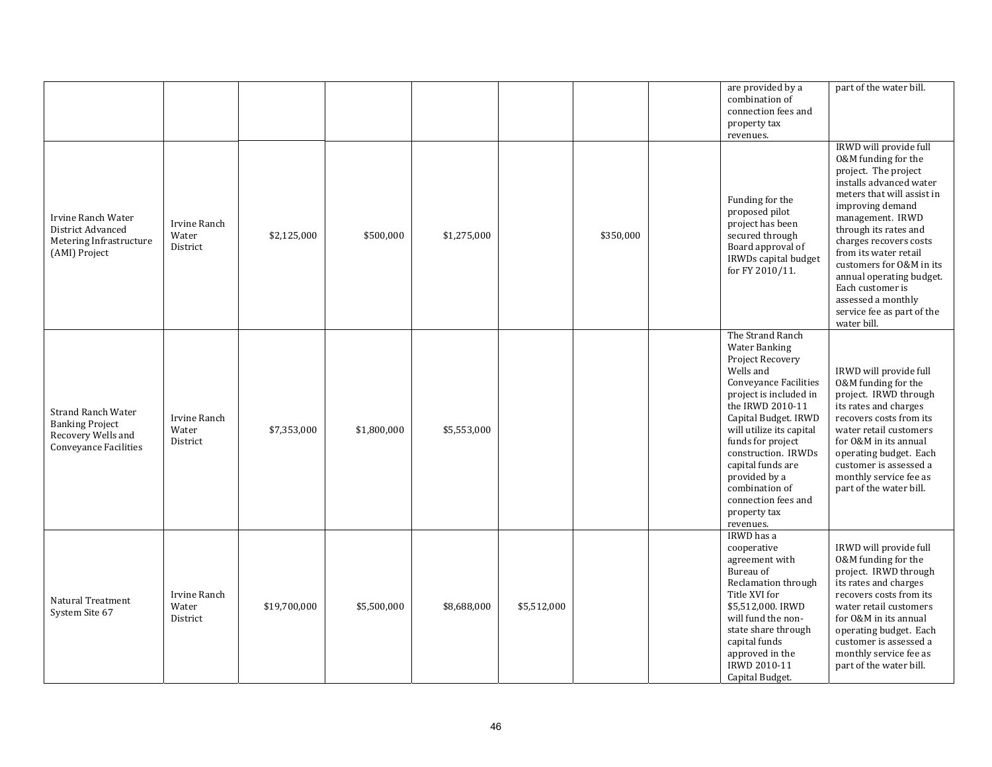|                                                                                             |                                   |              |             |             |             |           | are provided by a<br>combination of<br>connection fees and<br>property tax<br>revenues.                                                                                                                                                                                                                                                               | part of the water bill.                                                                                                                                                                                                                                                                                                                                                                           |
|---------------------------------------------------------------------------------------------|-----------------------------------|--------------|-------------|-------------|-------------|-----------|-------------------------------------------------------------------------------------------------------------------------------------------------------------------------------------------------------------------------------------------------------------------------------------------------------------------------------------------------------|---------------------------------------------------------------------------------------------------------------------------------------------------------------------------------------------------------------------------------------------------------------------------------------------------------------------------------------------------------------------------------------------------|
| Irvine Ranch Water<br>District Advanced<br>Metering Infrastructure<br>(AMI) Project         | Irvine Ranch<br>Water<br>District | \$2,125,000  | \$500,000   | \$1,275,000 |             | \$350,000 | Funding for the<br>proposed pilot<br>project has been<br>secured through<br>Board approval of<br>IRWDs capital budget<br>for FY 2010/11.                                                                                                                                                                                                              | IRWD will provide full<br>0&M funding for the<br>project. The project<br>installs advanced water<br>meters that will assist in<br>improving demand<br>management. IRWD<br>through its rates and<br>charges recovers costs<br>from its water retail<br>customers for O&M in its<br>annual operating budget.<br>Each customer is<br>assessed a monthly<br>service fee as part of the<br>water bill. |
| Strand Ranch Water<br><b>Banking Project</b><br>Recovery Wells and<br>Conveyance Facilities | Irvine Ranch<br>Water<br>District | \$7,353,000  | \$1,800,000 | \$5,553,000 |             |           | The Strand Ranch<br>Water Banking<br>Project Recovery<br>Wells and<br>Conveyance Facilities<br>project is included in<br>the IRWD 2010-11<br>Capital Budget. IRWD<br>will utilize its capital<br>funds for project<br>construction. IRWDs<br>capital funds are<br>provided by a<br>combination of<br>connection fees and<br>property tax<br>revenues. | IRWD will provide full<br>0&M funding for the<br>project. IRWD through<br>its rates and charges<br>recovers costs from its<br>water retail customers<br>for O&M in its annual<br>operating budget. Each<br>customer is assessed a<br>monthly service fee as<br>part of the water bill.                                                                                                            |
| Natural Treatment<br>System Site 67                                                         | Irvine Ranch<br>Water<br>District | \$19,700,000 | \$5,500,000 | \$8,688,000 | \$5,512,000 |           | IRWD has a<br>cooperative<br>agreement with<br>Bureau of<br>Reclamation through<br>Title XVI for<br>\$5,512,000. IRWD<br>will fund the non-<br>state share through<br>capital funds<br>approved in the<br>IRWD 2010-11<br>Capital Budget.                                                                                                             | IRWD will provide full<br>0&M funding for the<br>project. IRWD through<br>its rates and charges<br>recovers costs from its<br>water retail customers<br>for O&M in its annual<br>operating budget. Each<br>customer is assessed a<br>monthly service fee as<br>part of the water bill.                                                                                                            |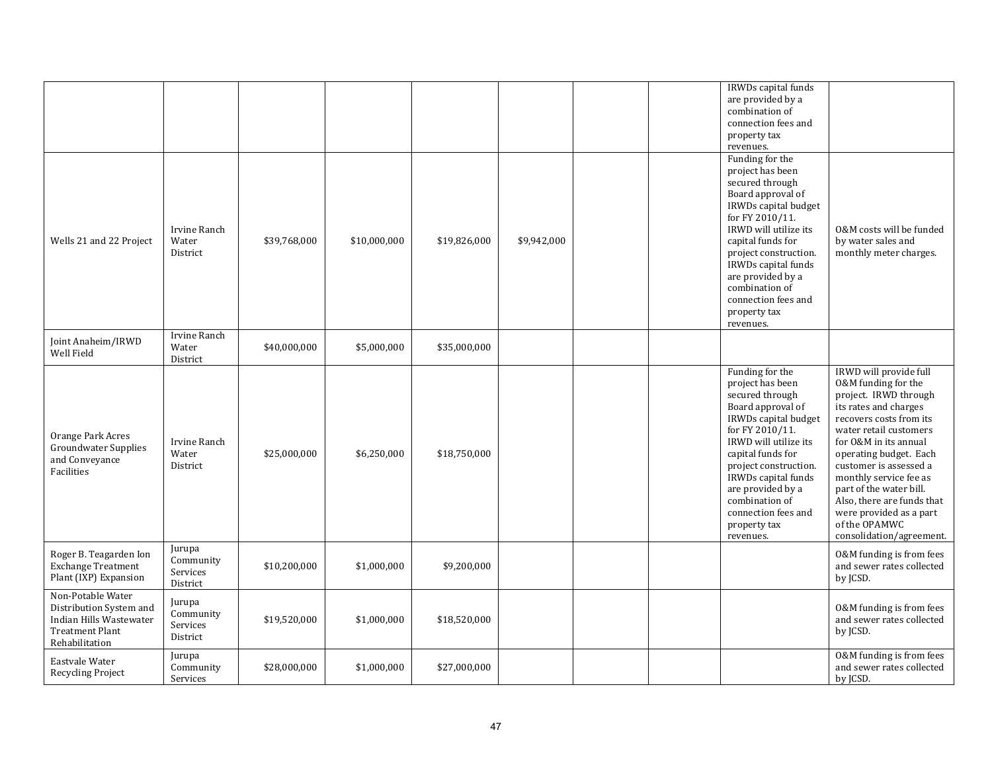|                                                                                                                     |                                             |              |              |              |             |  | IRWDs capital funds<br>are provided by a<br>combination of<br>connection fees and<br>property tax<br>revenues.                                                                                                                                                                                                  |                                                                                                                                                                                                                                                                                                                                                                                              |
|---------------------------------------------------------------------------------------------------------------------|---------------------------------------------|--------------|--------------|--------------|-------------|--|-----------------------------------------------------------------------------------------------------------------------------------------------------------------------------------------------------------------------------------------------------------------------------------------------------------------|----------------------------------------------------------------------------------------------------------------------------------------------------------------------------------------------------------------------------------------------------------------------------------------------------------------------------------------------------------------------------------------------|
| Wells 21 and 22 Project                                                                                             | Irvine Ranch<br>Water<br>District           | \$39,768,000 | \$10,000,000 | \$19,826,000 | \$9,942,000 |  | Funding for the<br>project has been<br>secured through<br>Board approval of<br>IRWDs capital budget<br>for FY 2010/11.<br>IRWD will utilize its<br>capital funds for<br>project construction.<br>IRWDs capital funds<br>are provided by a<br>combination of<br>connection fees and<br>property tax<br>revenues. | 0&M costs will be funded<br>by water sales and<br>monthly meter charges.                                                                                                                                                                                                                                                                                                                     |
| Joint Anaheim/IRWD<br>Well Field                                                                                    | Irvine Ranch<br>Water<br>District           | \$40,000,000 | \$5,000,000  | \$35,000,000 |             |  |                                                                                                                                                                                                                                                                                                                 |                                                                                                                                                                                                                                                                                                                                                                                              |
| Orange Park Acres<br><b>Groundwater Supplies</b><br>and Conveyance<br>Facilities                                    | Irvine Ranch<br>Water<br>District           | \$25,000,000 | \$6,250,000  | \$18,750,000 |             |  | Funding for the<br>project has been<br>secured through<br>Board approval of<br>IRWDs capital budget<br>for FY 2010/11.<br>IRWD will utilize its<br>capital funds for<br>project construction.<br>IRWDs capital funds<br>are provided by a<br>combination of<br>connection fees and<br>property tax<br>revenues. | IRWD will provide full<br>0&M funding for the<br>project. IRWD through<br>its rates and charges<br>recovers costs from its<br>water retail customers<br>for O&M in its annual<br>operating budget. Each<br>customer is assessed a<br>monthly service fee as<br>part of the water bill.<br>Also, there are funds that<br>were provided as a part<br>of the OPAMWC<br>consolidation/agreement. |
| Roger B. Teagarden Ion<br><b>Exchange Treatment</b><br>Plant (IXP) Expansion                                        | Jurupa<br>Community<br>Services<br>District | \$10,200,000 | \$1,000,000  | \$9,200,000  |             |  |                                                                                                                                                                                                                                                                                                                 | 0&M funding is from fees<br>and sewer rates collected<br>by JCSD.                                                                                                                                                                                                                                                                                                                            |
| Non-Potable Water<br>Distribution System and<br>Indian Hills Wastewater<br><b>Treatment Plant</b><br>Rehabilitation | Jurupa<br>Community<br>Services<br>District | \$19,520,000 | \$1,000,000  | \$18,520,000 |             |  |                                                                                                                                                                                                                                                                                                                 | 0&M funding is from fees<br>and sewer rates collected<br>by JCSD.                                                                                                                                                                                                                                                                                                                            |
| Eastvale Water<br>Recycling Project                                                                                 | Jurupa<br>Community<br>Services             | \$28,000,000 | \$1,000,000  | \$27,000,000 |             |  |                                                                                                                                                                                                                                                                                                                 | 0&M funding is from fees<br>and sewer rates collected<br>by JCSD.                                                                                                                                                                                                                                                                                                                            |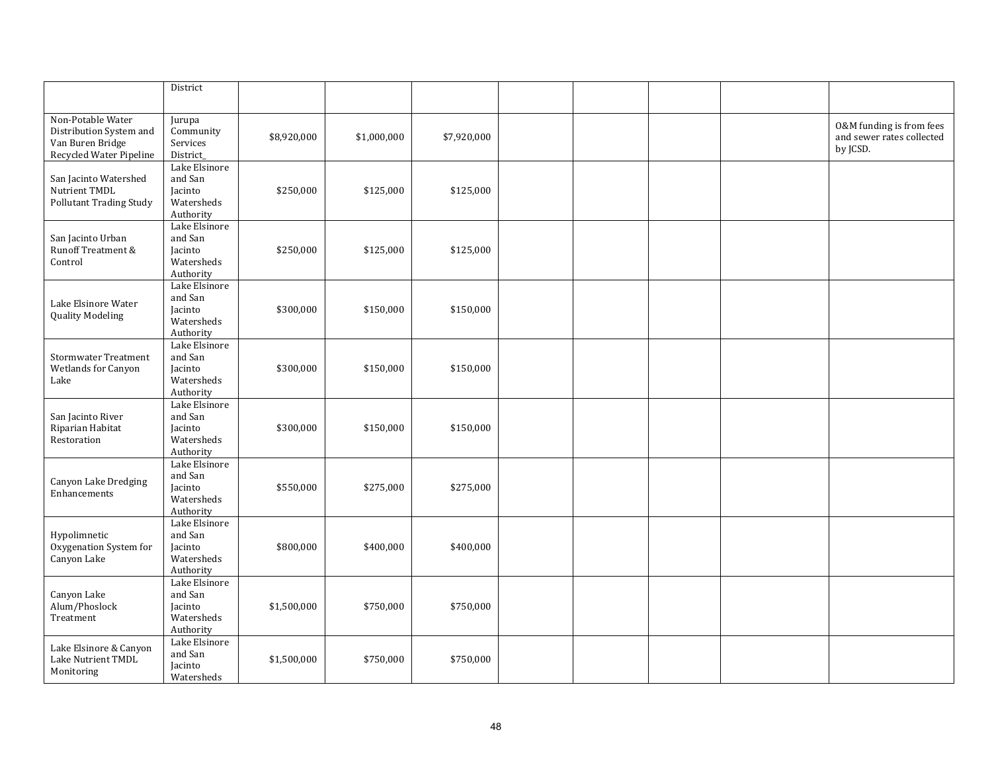|                                                                                             | District                                                       |             |             |             |  |  |                                                                   |
|---------------------------------------------------------------------------------------------|----------------------------------------------------------------|-------------|-------------|-------------|--|--|-------------------------------------------------------------------|
| Non-Potable Water<br>Distribution System and<br>Van Buren Bridge<br>Recycled Water Pipeline | Jurupa<br>Community<br>Services<br><b>District</b>             | \$8,920,000 | \$1,000,000 | \$7,920,000 |  |  | 0&M funding is from fees<br>and sewer rates collected<br>by JCSD. |
| San Jacinto Watershed<br>Nutrient TMDL<br><b>Pollutant Trading Study</b>                    | Lake Elsinore<br>and San<br>Jacinto<br>Watersheds<br>Authority | \$250,000   | \$125,000   | \$125,000   |  |  |                                                                   |
| San Jacinto Urban<br>Runoff Treatment &<br>Control                                          | Lake Elsinore<br>and San<br>Jacinto<br>Watersheds<br>Authority | \$250,000   | \$125,000   | \$125,000   |  |  |                                                                   |
| Lake Elsinore Water<br><b>Quality Modeling</b>                                              | Lake Elsinore<br>and San<br>Jacinto<br>Watersheds<br>Authority | \$300,000   | \$150,000   | \$150,000   |  |  |                                                                   |
| Stormwater Treatment<br>Wetlands for Canyon<br>Lake                                         | Lake Elsinore<br>and San<br>Jacinto<br>Watersheds<br>Authority | \$300,000   | \$150,000   | \$150,000   |  |  |                                                                   |
| San Jacinto River<br>Riparian Habitat<br>Restoration                                        | Lake Elsinore<br>and San<br>Jacinto<br>Watersheds<br>Authority | \$300,000   | \$150,000   | \$150,000   |  |  |                                                                   |
| Canyon Lake Dredging<br>Enhancements                                                        | Lake Elsinore<br>and San<br>Jacinto<br>Watersheds<br>Authority | \$550,000   | \$275,000   | \$275,000   |  |  |                                                                   |
| Hypolimnetic<br>Oxygenation System for<br>Canyon Lake                                       | Lake Elsinore<br>and San<br>Jacinto<br>Watersheds<br>Authority | \$800,000   | \$400,000   | \$400,000   |  |  |                                                                   |
| Canyon Lake<br>Alum/Phoslock<br>Treatment                                                   | Lake Elsinore<br>and San<br>Jacinto<br>Watersheds<br>Authority | \$1,500,000 | \$750,000   | \$750,000   |  |  |                                                                   |
| Lake Elsinore & Canyon<br>Lake Nutrient TMDL<br>Monitoring                                  | Lake Elsinore<br>and San<br>Jacinto<br>Watersheds              | \$1,500,000 | \$750,000   | \$750,000   |  |  |                                                                   |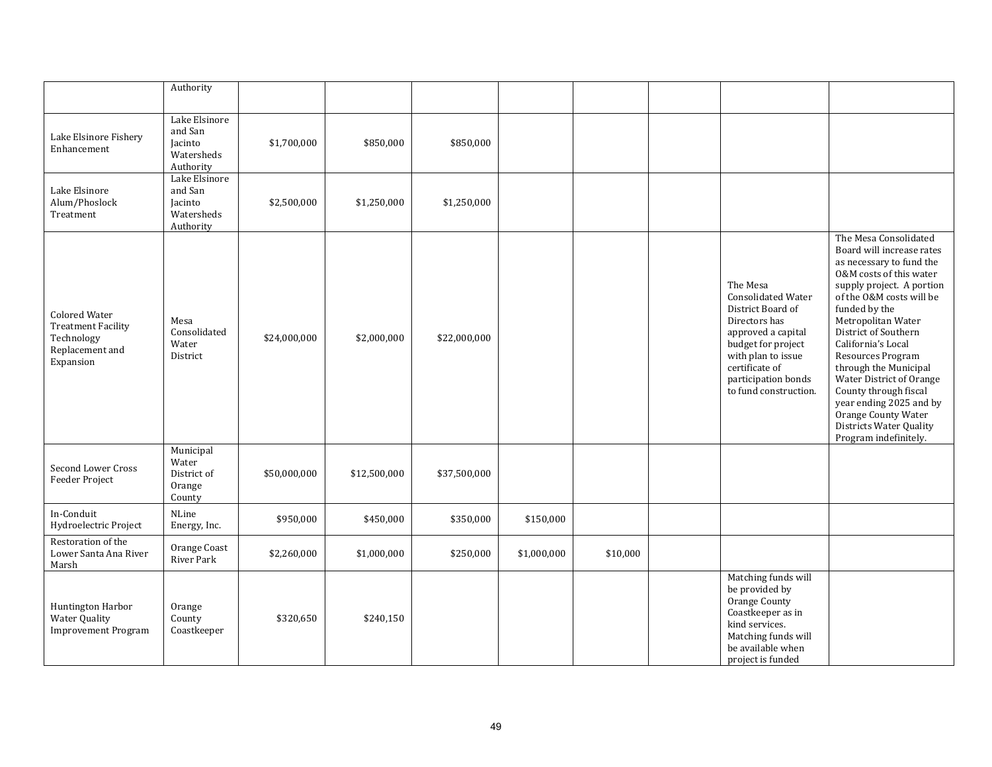|                                                                                                 | Authority                                                      |              |              |              |             |          |                                                                                                                                                                                                                 |                                                                                                                                                                                                                                                                                                                                                                                                                                                                  |
|-------------------------------------------------------------------------------------------------|----------------------------------------------------------------|--------------|--------------|--------------|-------------|----------|-----------------------------------------------------------------------------------------------------------------------------------------------------------------------------------------------------------------|------------------------------------------------------------------------------------------------------------------------------------------------------------------------------------------------------------------------------------------------------------------------------------------------------------------------------------------------------------------------------------------------------------------------------------------------------------------|
| Lake Elsinore Fishery<br>Enhancement                                                            | Lake Elsinore<br>and San<br>Jacinto<br>Watersheds<br>Authority | \$1,700,000  | \$850,000    | \$850,000    |             |          |                                                                                                                                                                                                                 |                                                                                                                                                                                                                                                                                                                                                                                                                                                                  |
| Lake Elsinore<br>Alum/Phoslock<br>Treatment                                                     | Lake Elsinore<br>and San<br>Jacinto<br>Watersheds<br>Authority | \$2,500,000  | \$1,250,000  | \$1,250,000  |             |          |                                                                                                                                                                                                                 |                                                                                                                                                                                                                                                                                                                                                                                                                                                                  |
| <b>Colored Water</b><br><b>Treatment Facility</b><br>Technology<br>Replacement and<br>Expansion | Mesa<br>Consolidated<br>Water<br>District                      | \$24,000,000 | \$2,000,000  | \$22,000,000 |             |          | The Mesa<br><b>Consolidated Water</b><br>District Board of<br>Directors has<br>approved a capital<br>budget for project<br>with plan to issue<br>certificate of<br>participation bonds<br>to fund construction. | The Mesa Consolidated<br>Board will increase rates<br>as necessary to fund the<br>0&M costs of this water<br>supply project. A portion<br>of the O&M costs will be<br>funded by the<br>Metropolitan Water<br>District of Southern<br>California's Local<br>Resources Program<br>through the Municipal<br>Water District of Orange<br>County through fiscal<br>year ending 2025 and by<br>Orange County Water<br>Districts Water Quality<br>Program indefinitely. |
| Second Lower Cross<br>Feeder Project                                                            | Municipal<br>Water<br>District of<br>Orange<br>County          | \$50,000,000 | \$12,500,000 | \$37,500,000 |             |          |                                                                                                                                                                                                                 |                                                                                                                                                                                                                                                                                                                                                                                                                                                                  |
| In-Conduit<br>Hydroelectric Project                                                             | NLine<br>Energy, Inc.                                          | \$950,000    | \$450,000    | \$350,000    | \$150,000   |          |                                                                                                                                                                                                                 |                                                                                                                                                                                                                                                                                                                                                                                                                                                                  |
| Restoration of the<br>Lower Santa Ana River<br>Marsh                                            | Orange Coast<br>River Park                                     | \$2,260,000  | \$1,000,000  | \$250,000    | \$1,000,000 | \$10,000 |                                                                                                                                                                                                                 |                                                                                                                                                                                                                                                                                                                                                                                                                                                                  |
| Huntington Harbor<br>Water Quality<br><b>Improvement Program</b>                                | Orange<br>County<br>Coastkeeper                                | \$320,650    | \$240,150    |              |             |          | Matching funds will<br>be provided by<br>Orange County<br>Coastkeeper as in<br>kind services.<br>Matching funds will<br>be available when<br>project is funded                                                  |                                                                                                                                                                                                                                                                                                                                                                                                                                                                  |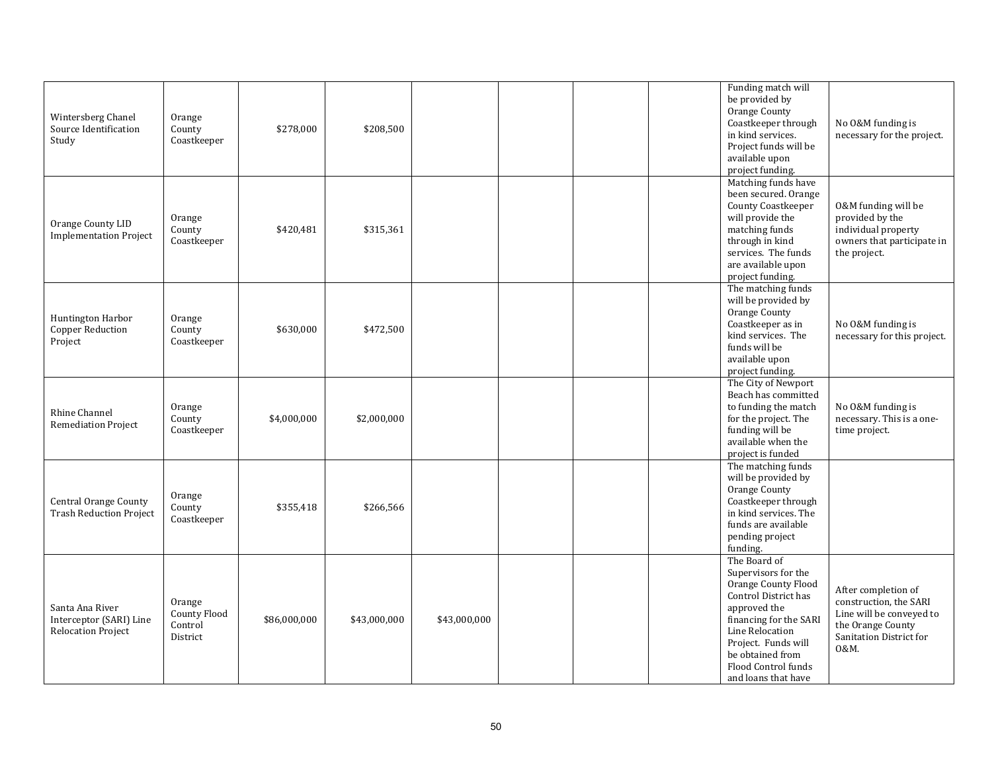| Wintersberg Chanel<br>Source Identification<br>Study                    | Orange<br>County<br>Coastkeeper                      | \$278,000    | \$208,500    |              |  | Funding match will<br>be provided by<br>Orange County<br>Coastkeeper through<br>in kind services.<br>Project funds will be<br>available upon<br>project funding.                                                                         | No O&M funding is<br>necessary for the project.                                                                                   |
|-------------------------------------------------------------------------|------------------------------------------------------|--------------|--------------|--------------|--|------------------------------------------------------------------------------------------------------------------------------------------------------------------------------------------------------------------------------------------|-----------------------------------------------------------------------------------------------------------------------------------|
| Orange County LID<br><b>Implementation Project</b>                      | Orange<br>County<br>Coastkeeper                      | \$420,481    | \$315,361    |              |  | Matching funds have<br>been secured. Orange<br>County Coastkeeper<br>will provide the<br>matching funds<br>through in kind<br>services. The funds<br>are available upon<br>project funding.                                              | 0&M funding will be<br>provided by the<br>individual property<br>owners that participate in<br>the project.                       |
| Huntington Harbor<br>Copper Reduction<br>Project                        | Orange<br>County<br>Coastkeeper                      | \$630,000    | \$472,500    |              |  | The matching funds<br>will be provided by<br>Orange County<br>Coastkeeper as in<br>kind services. The<br>funds will be<br>available upon<br>project funding.                                                                             | No O&M funding is<br>necessary for this project.                                                                                  |
| Rhine Channel<br>Remediation Project                                    | Orange<br>County<br>Coastkeeper                      | \$4,000,000  | \$2,000,000  |              |  | The City of Newport<br>Beach has committed<br>to funding the match<br>for the project. The<br>funding will be<br>available when the<br>project is funded                                                                                 | No O&M funding is<br>necessary. This is a one-<br>time project.                                                                   |
| Central Orange County<br><b>Trash Reduction Project</b>                 | Orange<br>County<br>Coastkeeper                      | \$355,418    | \$266,566    |              |  | The matching funds<br>will be provided by<br>Orange County<br>Coastkeeper through<br>in kind services. The<br>funds are available<br>pending project<br>funding.                                                                         |                                                                                                                                   |
| Santa Ana River<br>Interceptor (SARI) Line<br><b>Relocation Project</b> | Orange<br><b>County Flood</b><br>Control<br>District | \$86,000,000 | \$43,000,000 | \$43,000,000 |  | The Board of<br>Supervisors for the<br>Orange County Flood<br>Control District has<br>approved the<br>financing for the SARI<br>Line Relocation<br>Project. Funds will<br>be obtained from<br>Flood Control funds<br>and loans that have | After completion of<br>construction, the SARI<br>Line will be conveyed to<br>the Orange County<br>Sanitation District for<br>0&M. |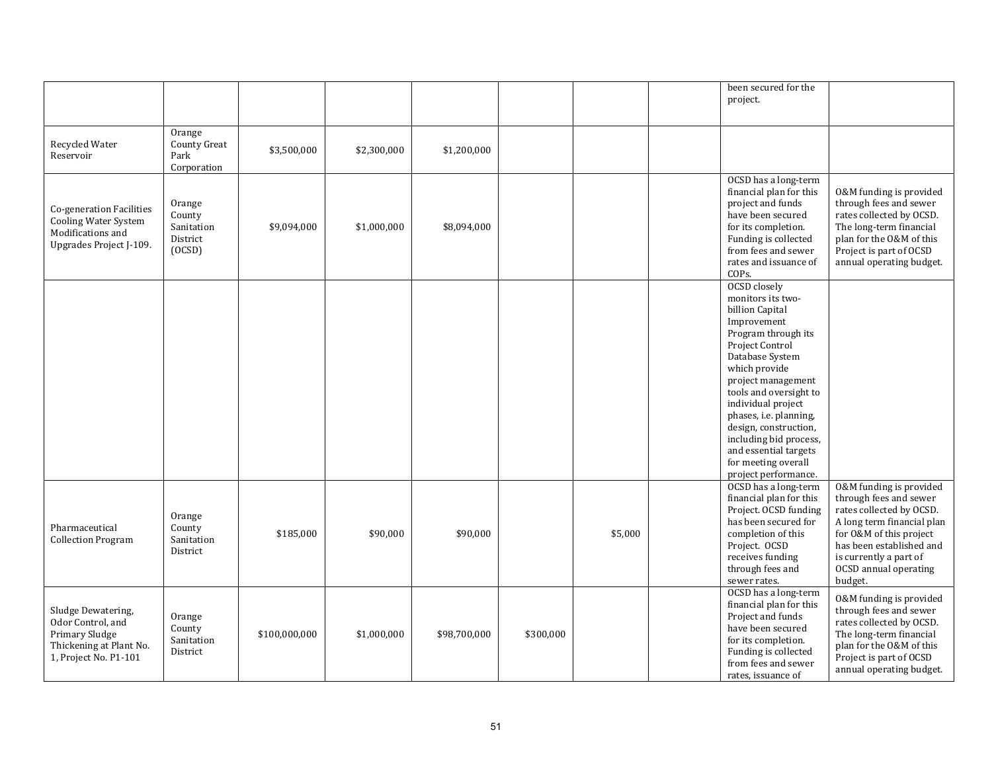|                                                                                                               |                                                      |               |             |              |           |         | been secured for the<br>project.                                                                                                                                                                                                                                                                                                                                             |                                                                                                                                                                                                                                  |
|---------------------------------------------------------------------------------------------------------------|------------------------------------------------------|---------------|-------------|--------------|-----------|---------|------------------------------------------------------------------------------------------------------------------------------------------------------------------------------------------------------------------------------------------------------------------------------------------------------------------------------------------------------------------------------|----------------------------------------------------------------------------------------------------------------------------------------------------------------------------------------------------------------------------------|
| Recycled Water<br>Reservoir                                                                                   | Orange<br>County Great<br>Park<br>Corporation        | \$3,500,000   | \$2,300,000 | \$1,200,000  |           |         |                                                                                                                                                                                                                                                                                                                                                                              |                                                                                                                                                                                                                                  |
| Co-generation Facilities<br><b>Cooling Water System</b><br>Modifications and<br>Upgrades Project J-109.       | Orange<br>County<br>Sanitation<br>District<br>(OCSD) | \$9,094,000   | \$1,000,000 | \$8,094,000  |           |         | OCSD has a long-term<br>financial plan for this<br>project and funds<br>have been secured<br>for its completion.<br>Funding is collected<br>from fees and sewer<br>rates and issuance of<br>COPs.                                                                                                                                                                            | 0&M funding is provided<br>through fees and sewer<br>rates collected by OCSD.<br>The long-term financial<br>plan for the O&M of this<br>Project is part of OCSD<br>annual operating budget.                                      |
|                                                                                                               |                                                      |               |             |              |           |         | OCSD closely<br>monitors its two-<br>billion Capital<br>Improvement<br>Program through its<br>Project Control<br>Database System<br>which provide<br>project management<br>tools and oversight to<br>individual project<br>phases, i.e. planning,<br>design, construction,<br>including bid process,<br>and essential targets<br>for meeting overall<br>project performance. |                                                                                                                                                                                                                                  |
| Pharmaceutical<br><b>Collection Program</b>                                                                   | Orange<br>County<br>Sanitation<br>District           | \$185,000     | \$90,000    | \$90,000     |           | \$5,000 | OCSD has a long-term<br>financial plan for this<br>Project. OCSD funding<br>has been secured for<br>completion of this<br>Project. OCSD<br>receives funding<br>through fees and<br>sewer rates.                                                                                                                                                                              | 0&M funding is provided<br>through fees and sewer<br>rates collected by OCSD.<br>A long term financial plan<br>for O&M of this project<br>has been established and<br>is currently a part of<br>OCSD annual operating<br>budget. |
| Sludge Dewatering,<br>Odor Control, and<br>Primary Sludge<br>Thickening at Plant No.<br>1, Project No. P1-101 | Orange<br>County<br>Sanitation<br>District           | \$100,000,000 | \$1,000,000 | \$98,700,000 | \$300,000 |         | OCSD has a long-term<br>financial plan for this<br>Project and funds<br>have been secured<br>for its completion.<br>Funding is collected<br>from fees and sewer<br>rates, issuance of                                                                                                                                                                                        | 0&M funding is provided<br>through fees and sewer<br>rates collected by OCSD.<br>The long-term financial<br>plan for the O&M of this<br>Project is part of OCSD<br>annual operating budget.                                      |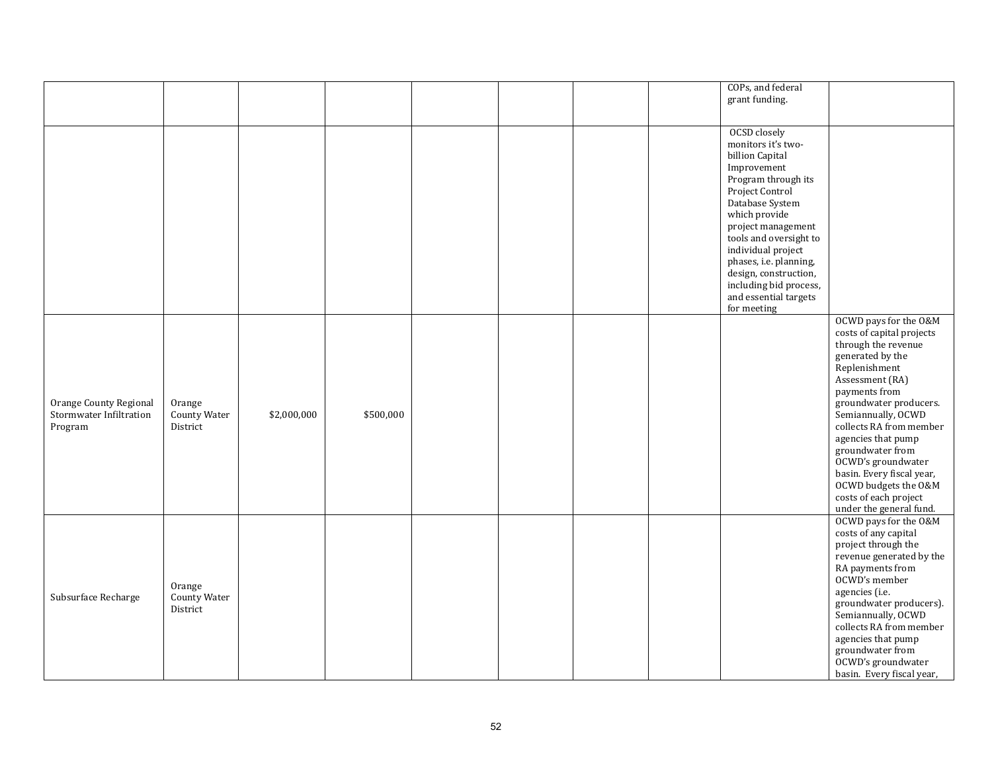|                         |              |             |           |  |  | COPs, and federal      |                           |
|-------------------------|--------------|-------------|-----------|--|--|------------------------|---------------------------|
|                         |              |             |           |  |  | grant funding.         |                           |
|                         |              |             |           |  |  |                        |                           |
|                         |              |             |           |  |  |                        |                           |
|                         |              |             |           |  |  | OCSD closely           |                           |
|                         |              |             |           |  |  | monitors it's two-     |                           |
|                         |              |             |           |  |  | billion Capital        |                           |
|                         |              |             |           |  |  | Improvement            |                           |
|                         |              |             |           |  |  | Program through its    |                           |
|                         |              |             |           |  |  | Project Control        |                           |
|                         |              |             |           |  |  | Database System        |                           |
|                         |              |             |           |  |  | which provide          |                           |
|                         |              |             |           |  |  | project management     |                           |
|                         |              |             |           |  |  | tools and oversight to |                           |
|                         |              |             |           |  |  | individual project     |                           |
|                         |              |             |           |  |  | phases, i.e. planning, |                           |
|                         |              |             |           |  |  | design, construction,  |                           |
|                         |              |             |           |  |  | including bid process, |                           |
|                         |              |             |           |  |  | and essential targets  |                           |
|                         |              |             |           |  |  |                        |                           |
|                         |              |             |           |  |  | for meeting            |                           |
|                         |              |             |           |  |  |                        | OCWD pays for the O&M     |
|                         |              |             |           |  |  |                        | costs of capital projects |
|                         |              |             |           |  |  |                        | through the revenue       |
|                         |              |             |           |  |  |                        | generated by the          |
|                         |              |             |           |  |  |                        | Replenishment             |
|                         |              |             |           |  |  |                        | Assessment (RA)           |
|                         |              |             |           |  |  |                        | payments from             |
| Orange County Regional  | Orange       |             |           |  |  |                        | groundwater producers.    |
| Stormwater Infiltration | County Water | \$2,000,000 | \$500,000 |  |  |                        | Semiannually, OCWD        |
| Program                 | District     |             |           |  |  |                        | collects RA from member   |
|                         |              |             |           |  |  |                        | agencies that pump        |
|                         |              |             |           |  |  |                        | groundwater from          |
|                         |              |             |           |  |  |                        | OCWD's groundwater        |
|                         |              |             |           |  |  |                        | basin. Every fiscal year, |
|                         |              |             |           |  |  |                        | OCWD budgets the O&M      |
|                         |              |             |           |  |  |                        | costs of each project     |
|                         |              |             |           |  |  |                        | under the general fund.   |
|                         |              |             |           |  |  |                        | OCWD pays for the O&M     |
|                         |              |             |           |  |  |                        | costs of any capital      |
|                         |              |             |           |  |  |                        | project through the       |
|                         |              |             |           |  |  |                        | revenue generated by the  |
|                         |              |             |           |  |  |                        | RA payments from          |
|                         |              |             |           |  |  |                        | OCWD's member             |
|                         | Orange       |             |           |  |  |                        | agencies (i.e.            |
| Subsurface Recharge     | County Water |             |           |  |  |                        | groundwater producers).   |
|                         | District     |             |           |  |  |                        | Semiannually, OCWD        |
|                         |              |             |           |  |  |                        | collects RA from member   |
|                         |              |             |           |  |  |                        | agencies that pump        |
|                         |              |             |           |  |  |                        | groundwater from          |
|                         |              |             |           |  |  |                        | OCWD's groundwater        |
|                         |              |             |           |  |  |                        | basin. Every fiscal year, |
|                         |              |             |           |  |  |                        |                           |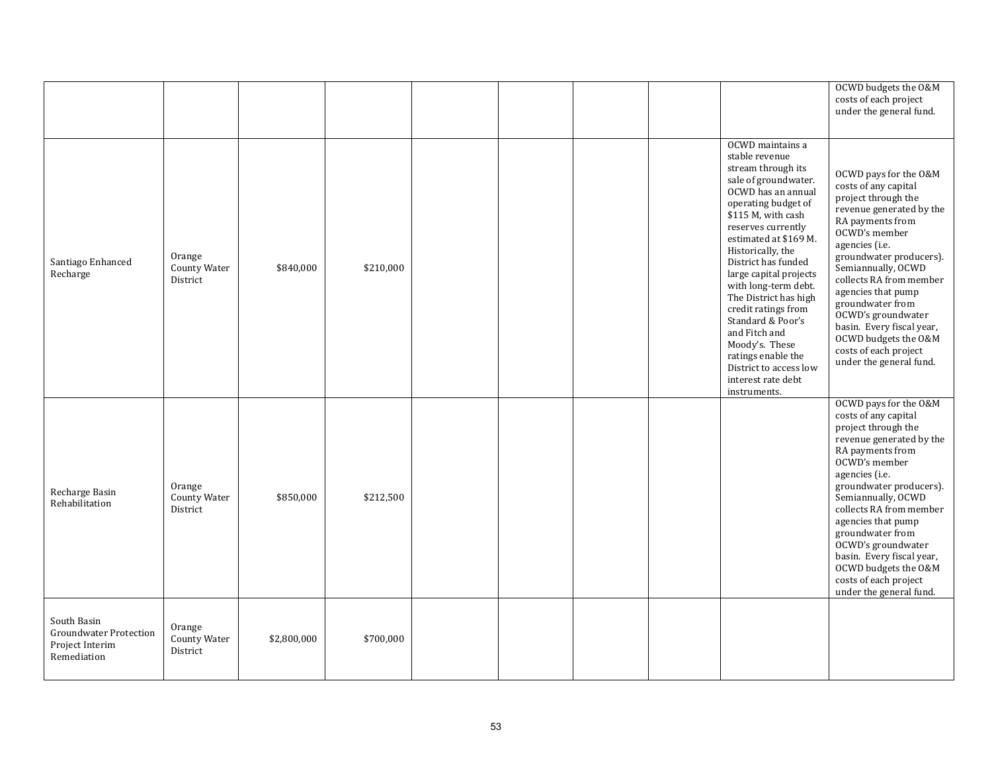|                                                                         |                                    |             |           |  |  |                                                                                                                                                                                                                                                                                                                                                                                                                                                                                                | OCWD budgets the O&M<br>costs of each project<br>under the general fund.                                                                                                                                                                                                                                                                                                                                     |
|-------------------------------------------------------------------------|------------------------------------|-------------|-----------|--|--|------------------------------------------------------------------------------------------------------------------------------------------------------------------------------------------------------------------------------------------------------------------------------------------------------------------------------------------------------------------------------------------------------------------------------------------------------------------------------------------------|--------------------------------------------------------------------------------------------------------------------------------------------------------------------------------------------------------------------------------------------------------------------------------------------------------------------------------------------------------------------------------------------------------------|
| Santiago Enhanced<br>Recharge                                           | Orange<br>County Water<br>District | \$840,000   | \$210,000 |  |  | OCWD maintains a<br>stable revenue<br>stream through its<br>sale of groundwater.<br>OCWD has an annual<br>operating budget of<br>\$115 M, with cash<br>reserves currently<br>estimated at \$169 M.<br>Historically, the<br>District has funded<br>large capital projects<br>with long-term debt.<br>The District has high<br>credit ratings from<br>Standard & Poor's<br>and Fitch and<br>Moody's. These<br>ratings enable the<br>District to access low<br>interest rate debt<br>instruments. | OCWD pays for the O&M<br>costs of any capital<br>project through the<br>revenue generated by the<br>RA payments from<br>OCWD's member<br>agencies (i.e.<br>groundwater producers).<br>Semiannually, OCWD<br>collects RA from member<br>agencies that pump<br>groundwater from<br>OCWD's groundwater<br>basin. Every fiscal year,<br>OCWD budgets the O&M<br>costs of each project<br>under the general fund. |
| Recharge Basin<br>Rehabilitation                                        | Orange<br>County Water<br>District | \$850,000   | \$212,500 |  |  |                                                                                                                                                                                                                                                                                                                                                                                                                                                                                                | OCWD pays for the O&M<br>costs of any capital<br>project through the<br>revenue generated by the<br>RA payments from<br>OCWD's member<br>agencies (i.e.<br>groundwater producers).<br>Semiannually, OCWD<br>collects RA from member<br>agencies that pump<br>groundwater from<br>OCWD's groundwater<br>basin. Every fiscal year,<br>OCWD budgets the O&M<br>costs of each project<br>under the general fund. |
| South Basin<br>Groundwater Protection<br>Project Interim<br>Remediation | Orange<br>County Water<br>District | \$2,800,000 | \$700,000 |  |  |                                                                                                                                                                                                                                                                                                                                                                                                                                                                                                |                                                                                                                                                                                                                                                                                                                                                                                                              |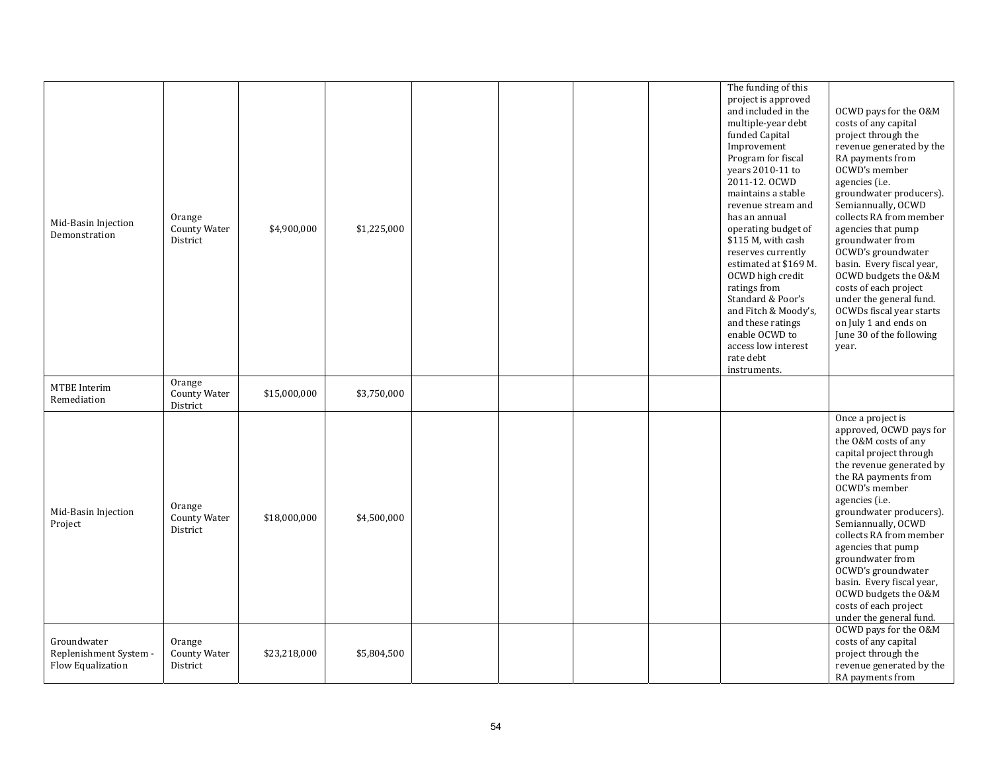| Mid-Basin Injection<br>Demonstration                       | Orange<br><b>County Water</b><br>District | \$4,900,000  | \$1,225,000 |  |  | The funding of this<br>project is approved<br>and included in the<br>multiple-year debt<br>funded Capital<br>Improvement<br>Program for fiscal<br>years 2010-11 to<br>2011-12. OCWD<br>maintains a stable<br>revenue stream and<br>has an annual<br>operating budget of<br>\$115 M, with cash<br>reserves currently<br>estimated at \$169 M.<br>OCWD high credit<br>ratings from<br>Standard & Poor's<br>and Fitch & Moody's,<br>and these ratings<br>enable OCWD to<br>access low interest<br>rate debt<br>instruments. | OCWD pays for the O&M<br>costs of any capital<br>project through the<br>revenue generated by the<br>RA payments from<br>OCWD's member<br>agencies (i.e.<br>groundwater producers).<br>Semiannually, OCWD<br>collects RA from member<br>agencies that pump<br>groundwater from<br>OCWD's groundwater<br>basin. Every fiscal year,<br>OCWD budgets the O&M<br>costs of each project<br>under the general fund.<br>OCWDs fiscal year starts<br>on July 1 and ends on<br>June 30 of the following<br>year. |
|------------------------------------------------------------|-------------------------------------------|--------------|-------------|--|--|--------------------------------------------------------------------------------------------------------------------------------------------------------------------------------------------------------------------------------------------------------------------------------------------------------------------------------------------------------------------------------------------------------------------------------------------------------------------------------------------------------------------------|--------------------------------------------------------------------------------------------------------------------------------------------------------------------------------------------------------------------------------------------------------------------------------------------------------------------------------------------------------------------------------------------------------------------------------------------------------------------------------------------------------|
| MTBE Interim<br>Remediation                                | Orange<br><b>County Water</b><br>District | \$15,000,000 | \$3,750,000 |  |  |                                                                                                                                                                                                                                                                                                                                                                                                                                                                                                                          |                                                                                                                                                                                                                                                                                                                                                                                                                                                                                                        |
| Mid-Basin Injection<br>Project                             | Orange<br>County Water<br>District        | \$18,000,000 | \$4,500,000 |  |  |                                                                                                                                                                                                                                                                                                                                                                                                                                                                                                                          | Once a project is<br>approved, OCWD pays for<br>the O&M costs of any<br>capital project through<br>the revenue generated by<br>the RA payments from<br>OCWD's member<br>agencies (i.e.<br>groundwater producers).<br>Semiannually, OCWD<br>collects RA from member<br>agencies that pump<br>groundwater from<br>OCWD's groundwater<br>basin. Every fiscal year,<br>OCWD budgets the O&M<br>costs of each project<br>under the general fund.                                                            |
| Groundwater<br>Replenishment System -<br>Flow Equalization | Orange<br><b>County Water</b><br>District | \$23,218,000 | \$5,804,500 |  |  |                                                                                                                                                                                                                                                                                                                                                                                                                                                                                                                          | OCWD pays for the O&M<br>costs of any capital<br>project through the<br>revenue generated by the<br>RA payments from                                                                                                                                                                                                                                                                                                                                                                                   |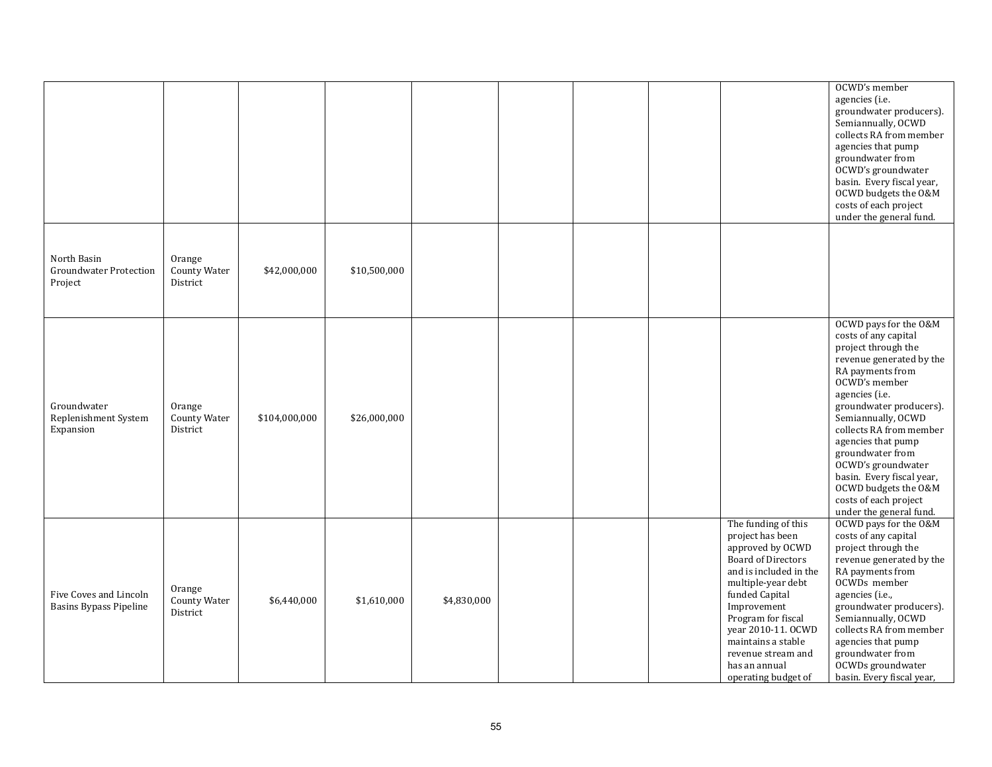|                                                         |                                    |               |              |             |  |                                                                                                                                                                                                                                                                                                           | OCWD's member<br>agencies (i.e.<br>groundwater producers).<br>Semiannually, OCWD<br>collects RA from member<br>agencies that pump<br>groundwater from<br>OCWD's groundwater<br>basin. Every fiscal year,<br>OCWD budgets the O&M<br>costs of each project<br>under the general fund.                                                                                                                         |
|---------------------------------------------------------|------------------------------------|---------------|--------------|-------------|--|-----------------------------------------------------------------------------------------------------------------------------------------------------------------------------------------------------------------------------------------------------------------------------------------------------------|--------------------------------------------------------------------------------------------------------------------------------------------------------------------------------------------------------------------------------------------------------------------------------------------------------------------------------------------------------------------------------------------------------------|
| North Basin<br><b>Groundwater Protection</b><br>Project | Orange<br>County Water<br>District | \$42,000,000  | \$10,500,000 |             |  |                                                                                                                                                                                                                                                                                                           |                                                                                                                                                                                                                                                                                                                                                                                                              |
| Groundwater<br>Replenishment System<br>Expansion        | Orange<br>County Water<br>District | \$104,000,000 | \$26,000,000 |             |  |                                                                                                                                                                                                                                                                                                           | OCWD pays for the O&M<br>costs of any capital<br>project through the<br>revenue generated by the<br>RA payments from<br>OCWD's member<br>agencies (i.e.<br>groundwater producers).<br>Semiannually, OCWD<br>collects RA from member<br>agencies that pump<br>groundwater from<br>OCWD's groundwater<br>basin. Every fiscal year,<br>OCWD budgets the O&M<br>costs of each project<br>under the general fund. |
| Five Coves and Lincoln<br><b>Basins Bypass Pipeline</b> | Orange<br>County Water<br>District | \$6,440,000   | \$1,610,000  | \$4,830,000 |  | The funding of this<br>project has been<br>approved by OCWD<br><b>Board of Directors</b><br>and is included in the<br>multiple-year debt<br>funded Capital<br>Improvement<br>Program for fiscal<br>year 2010-11. OCWD<br>maintains a stable<br>revenue stream and<br>has an annual<br>operating budget of | OCWD pays for the O&M<br>costs of any capital<br>project through the<br>revenue generated by the<br>RA payments from<br>OCWDs member<br>agencies (i.e.,<br>groundwater producers).<br>Semiannually, OCWD<br>collects RA from member<br>agencies that pump<br>groundwater from<br>OCWDs groundwater<br>basin. Every fiscal year,                                                                              |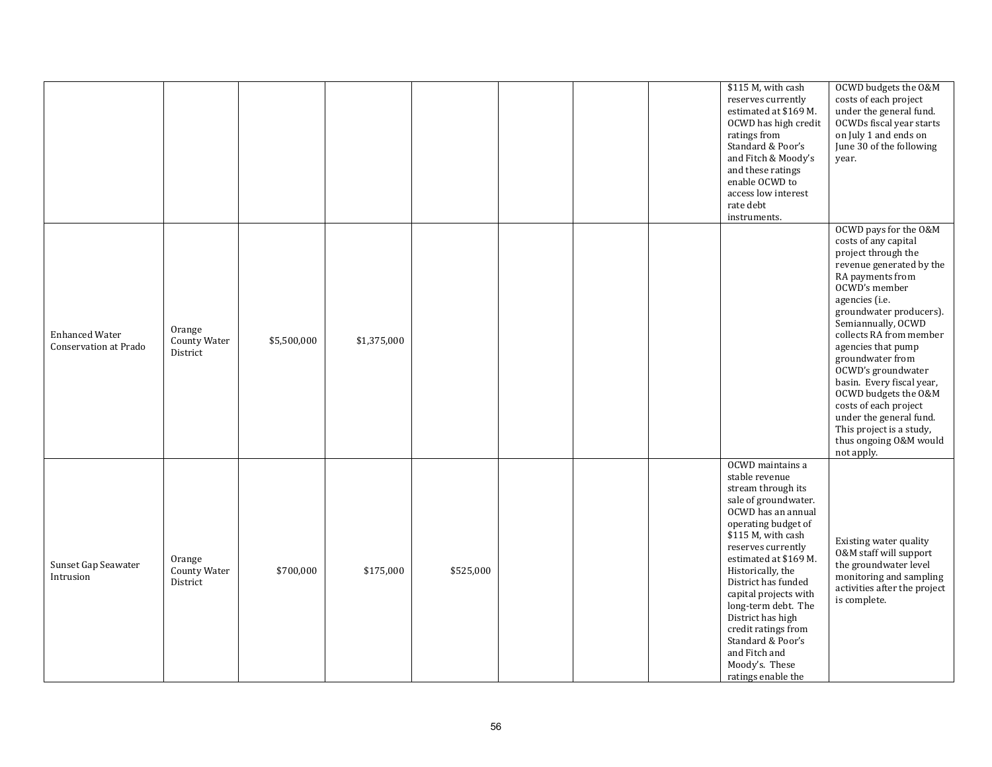|                                                       |                                    |             |             |           |  | \$115 M, with cash<br>reserves currently<br>estimated at \$169 M.<br>OCWD has high credit<br>ratings from<br>Standard & Poor's<br>and Fitch & Moody's<br>and these ratings<br>enable OCWD to<br>access low interest<br>rate debt<br>instruments.                                                                                                                                                                         | OCWD budgets the O&M<br>costs of each project<br>under the general fund.<br>OCWDs fiscal year starts<br>on July 1 and ends on<br>June 30 of the following<br>year.                                                                                                                                                                                                                                                                                                               |
|-------------------------------------------------------|------------------------------------|-------------|-------------|-----------|--|--------------------------------------------------------------------------------------------------------------------------------------------------------------------------------------------------------------------------------------------------------------------------------------------------------------------------------------------------------------------------------------------------------------------------|----------------------------------------------------------------------------------------------------------------------------------------------------------------------------------------------------------------------------------------------------------------------------------------------------------------------------------------------------------------------------------------------------------------------------------------------------------------------------------|
| <b>Enhanced Water</b><br><b>Conservation at Prado</b> | Orange<br>County Water<br>District | \$5,500,000 | \$1,375,000 |           |  |                                                                                                                                                                                                                                                                                                                                                                                                                          | OCWD pays for the O&M<br>costs of any capital<br>project through the<br>revenue generated by the<br>RA payments from<br>OCWD's member<br>agencies (i.e.<br>groundwater producers).<br>Semiannually, OCWD<br>collects RA from member<br>agencies that pump<br>groundwater from<br>OCWD's groundwater<br>basin. Every fiscal year,<br>OCWD budgets the O&M<br>costs of each project<br>under the general fund.<br>This project is a study,<br>thus ongoing O&M would<br>not apply. |
| Sunset Gap Seawater<br>Intrusion                      | Orange<br>County Water<br>District | \$700,000   | \$175,000   | \$525,000 |  | OCWD maintains a<br>stable revenue<br>stream through its<br>sale of groundwater.<br>OCWD has an annual<br>operating budget of<br>\$115 M, with cash<br>reserves currently<br>estimated at \$169 M.<br>Historically, the<br>District has funded<br>capital projects with<br>long-term debt. The<br>District has high<br>credit ratings from<br>Standard & Poor's<br>and Fitch and<br>Moody's. These<br>ratings enable the | Existing water quality<br>0&M staff will support<br>the groundwater level<br>monitoring and sampling<br>activities after the project<br>is complete.                                                                                                                                                                                                                                                                                                                             |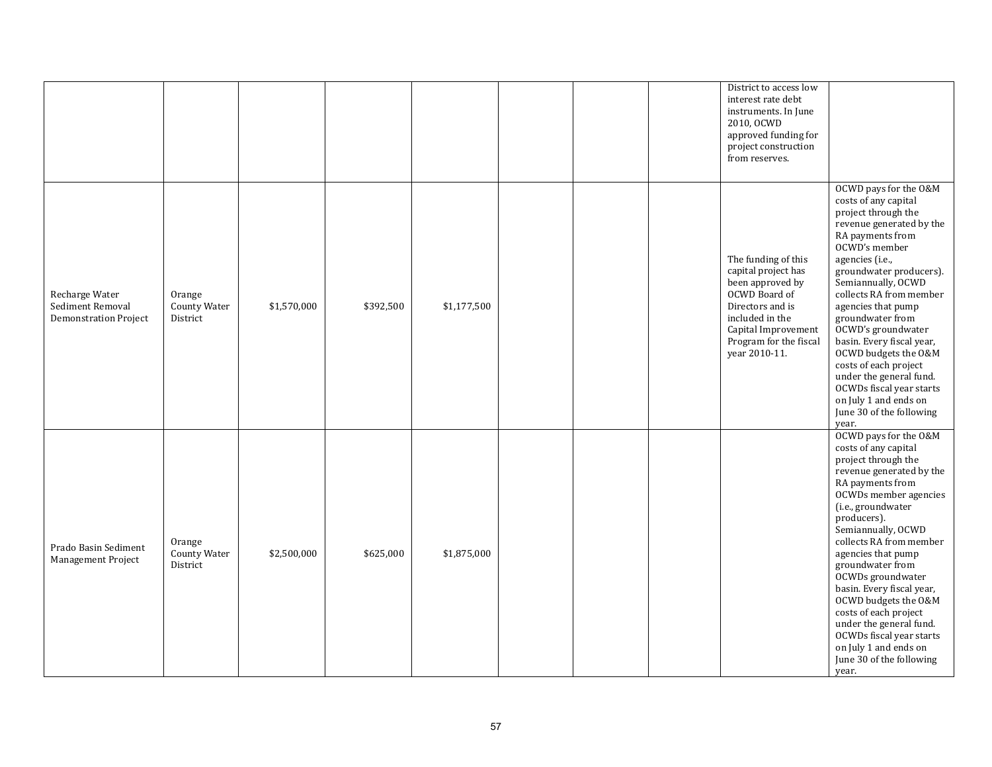|                                                                    |                                    |             |           |             |  | District to access low<br>interest rate debt<br>instruments. In June<br>2010, OCWD<br>approved funding for<br>project construction<br>from reserves.                                     |                                                                                                                                                                                                                                                                                                                                                                                                                                                                                                         |
|--------------------------------------------------------------------|------------------------------------|-------------|-----------|-------------|--|------------------------------------------------------------------------------------------------------------------------------------------------------------------------------------------|---------------------------------------------------------------------------------------------------------------------------------------------------------------------------------------------------------------------------------------------------------------------------------------------------------------------------------------------------------------------------------------------------------------------------------------------------------------------------------------------------------|
| Recharge Water<br>Sediment Removal<br><b>Demonstration Project</b> | Orange<br>County Water<br>District | \$1,570,000 | \$392,500 | \$1,177,500 |  | The funding of this<br>capital project has<br>been approved by<br>OCWD Board of<br>Directors and is<br>included in the<br>Capital Improvement<br>Program for the fiscal<br>year 2010-11. | OCWD pays for the O&M<br>costs of any capital<br>project through the<br>revenue generated by the<br>RA payments from<br>OCWD's member<br>agencies (i.e.,<br>groundwater producers).<br>Semiannually, OCWD<br>collects RA from member<br>agencies that pump<br>groundwater from<br>OCWD's groundwater<br>basin. Every fiscal year,<br>OCWD budgets the O&M<br>costs of each project<br>under the general fund.<br>OCWDs fiscal year starts<br>on July 1 and ends on<br>June 30 of the following<br>year. |
| Prado Basin Sediment<br>Management Project                         | Orange<br>County Water<br>District | \$2,500,000 | \$625,000 | \$1,875,000 |  |                                                                                                                                                                                          | OCWD pays for the O&M<br>costs of any capital<br>project through the<br>revenue generated by the<br>RA payments from<br>OCWDs member agencies<br>(i.e., groundwater<br>producers).<br>Semiannually, OCWD<br>collects RA from member<br>agencies that pump<br>groundwater from<br>OCWDs groundwater<br>basin. Every fiscal year,<br>OCWD budgets the O&M<br>costs of each project<br>under the general fund.<br>OCWDs fiscal year starts<br>on July 1 and ends on<br>June 30 of the following<br>year.   |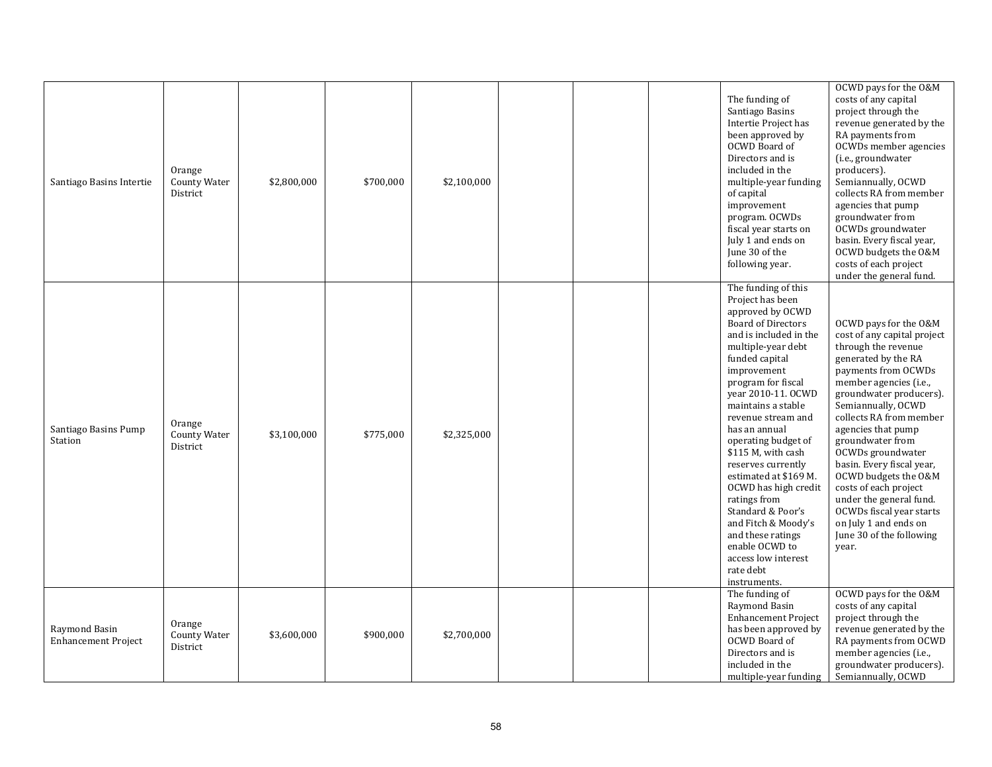| Santiago Basins Intertie                    | Orange<br><b>County Water</b><br>District | \$2,800,000 | \$700,000 | \$2,100,000 |  | The funding of<br>Santiago Basins<br>Intertie Project has<br>been approved by<br>OCWD Board of<br>Directors and is<br>included in the<br>multiple-year funding<br>of capital<br>improvement<br>program. OCWDs<br>fiscal year starts on<br>July 1 and ends on<br>June 30 of the<br>following year.                                                                                                                                                                                                                                                             | OCWD pays for the O&M<br>costs of any capital<br>project through the<br>revenue generated by the<br>RA payments from<br>OCWDs member agencies<br>(i.e., groundwater<br>producers).<br>Semiannually, OCWD<br>collects RA from member<br>agencies that pump<br>groundwater from<br>OCWDs groundwater<br>basin. Every fiscal year,<br>OCWD budgets the O&M<br>costs of each project<br>under the general fund.                                                                                       |
|---------------------------------------------|-------------------------------------------|-------------|-----------|-------------|--|---------------------------------------------------------------------------------------------------------------------------------------------------------------------------------------------------------------------------------------------------------------------------------------------------------------------------------------------------------------------------------------------------------------------------------------------------------------------------------------------------------------------------------------------------------------|---------------------------------------------------------------------------------------------------------------------------------------------------------------------------------------------------------------------------------------------------------------------------------------------------------------------------------------------------------------------------------------------------------------------------------------------------------------------------------------------------|
| Santiago Basins Pump<br>Station             | Orange<br>County Water<br>District        | \$3,100,000 | \$775,000 | \$2,325,000 |  | The funding of this<br>Project has been<br>approved by OCWD<br><b>Board of Directors</b><br>and is included in the<br>multiple-year debt<br>funded capital<br>improvement<br>program for fiscal<br>year 2010-11. OCWD<br>maintains a stable<br>revenue stream and<br>has an annual<br>operating budget of<br>\$115 M, with cash<br>reserves currently<br>estimated at \$169 M.<br>OCWD has high credit<br>ratings from<br>Standard & Poor's<br>and Fitch & Moody's<br>and these ratings<br>enable OCWD to<br>access low interest<br>rate debt<br>instruments. | OCWD pays for the O&M<br>cost of any capital project<br>through the revenue<br>generated by the RA<br>payments from OCWDs<br>member agencies (i.e.,<br>groundwater producers).<br>Semiannually, OCWD<br>collects RA from member<br>agencies that pump<br>groundwater from<br>OCWDs groundwater<br>basin. Every fiscal year,<br>OCWD budgets the O&M<br>costs of each project<br>under the general fund.<br>OCWDs fiscal year starts<br>on July 1 and ends on<br>June 30 of the following<br>year. |
| Raymond Basin<br><b>Enhancement Project</b> | Orange<br><b>County Water</b><br>District | \$3,600,000 | \$900,000 | \$2,700,000 |  | The funding of<br>Raymond Basin<br><b>Enhancement Project</b><br>has been approved by<br>OCWD Board of<br>Directors and is<br>included in the<br>multiple-year funding                                                                                                                                                                                                                                                                                                                                                                                        | OCWD pays for the O&M<br>costs of any capital<br>project through the<br>revenue generated by the<br>RA payments from OCWD<br>member agencies (i.e.,<br>groundwater producers).<br>Semiannually, OCWD                                                                                                                                                                                                                                                                                              |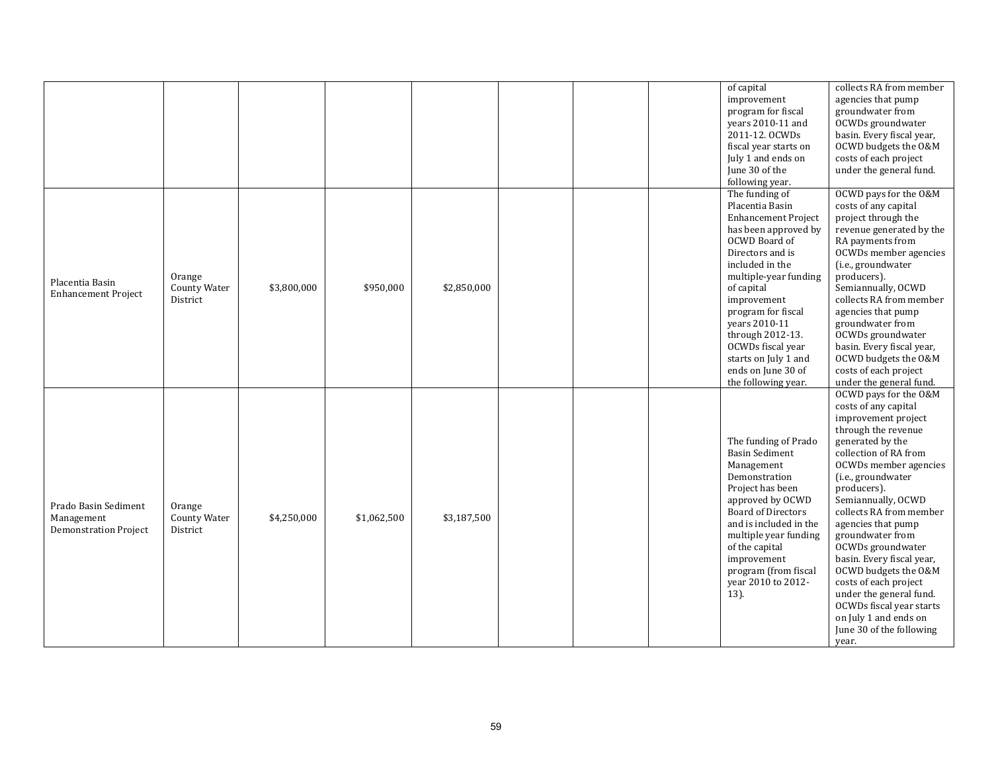|                                                                    |                                           |             |             |             |  | of capital<br>improvement<br>program for fiscal<br>vears 2010-11 and<br>2011-12. OCWDs<br>fiscal year starts on<br>July 1 and ends on<br>June 30 of the<br>following year.                                                                                                                                                                                 | collects RA from member<br>agencies that pump<br>groundwater from<br>OCWDs groundwater<br>basin. Every fiscal year,<br>OCWD budgets the O&M<br>costs of each project<br>under the general fund.                                                                                                                                                                                                                                                                                                                           |
|--------------------------------------------------------------------|-------------------------------------------|-------------|-------------|-------------|--|------------------------------------------------------------------------------------------------------------------------------------------------------------------------------------------------------------------------------------------------------------------------------------------------------------------------------------------------------------|---------------------------------------------------------------------------------------------------------------------------------------------------------------------------------------------------------------------------------------------------------------------------------------------------------------------------------------------------------------------------------------------------------------------------------------------------------------------------------------------------------------------------|
| Placentia Basin<br><b>Enhancement Project</b>                      | Orange<br><b>County Water</b><br>District | \$3,800,000 | \$950,000   | \$2,850,000 |  | The funding of<br>Placentia Basin<br><b>Enhancement Project</b><br>has been approved by<br>OCWD Board of<br>Directors and is<br>included in the<br>multiple-year funding<br>of capital<br>improvement<br>program for fiscal<br>years 2010-11<br>through 2012-13.<br>OCWDs fiscal year<br>starts on July 1 and<br>ends on June 30 of<br>the following year. | OCWD pays for the O&M<br>costs of any capital<br>project through the<br>revenue generated by the<br>RA payments from<br>OCWDs member agencies<br>(i.e., groundwater<br>producers).<br>Semiannually, OCWD<br>collects RA from member<br>agencies that pump<br>groundwater from<br>OCWDs groundwater<br>basin. Every fiscal year,<br>OCWD budgets the O&M<br>costs of each project<br>under the general fund.                                                                                                               |
| Prado Basin Sediment<br>Management<br><b>Demonstration Project</b> | Orange<br>County Water<br>District        | \$4,250,000 | \$1,062,500 | \$3,187,500 |  | The funding of Prado<br><b>Basin Sediment</b><br>Management<br>Demonstration<br>Project has been<br>approved by OCWD<br><b>Board of Directors</b><br>and is included in the<br>multiple year funding<br>of the capital<br>improvement<br>program (from fiscal<br>vear 2010 to 2012-<br>13).                                                                | OCWD pays for the O&M<br>costs of any capital<br>improvement project<br>through the revenue<br>generated by the<br>collection of RA from<br>OCWDs member agencies<br>(i.e., groundwater<br>producers).<br>Semiannually, OCWD<br>collects RA from member<br>agencies that pump<br>groundwater from<br>OCWDs groundwater<br>basin. Every fiscal year,<br>OCWD budgets the O&M<br>costs of each project<br>under the general fund.<br>OCWDs fiscal year starts<br>on July 1 and ends on<br>June 30 of the following<br>year. |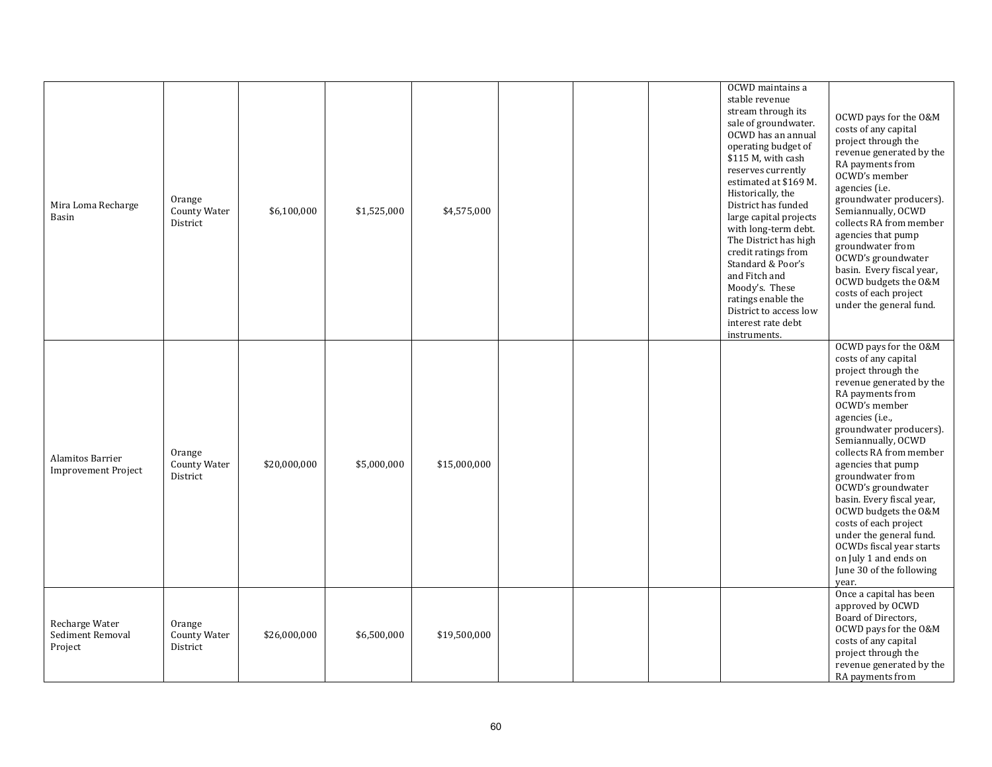| Mira Loma Recharge<br>Basin                    | Orange<br><b>County Water</b><br>District | \$6,100,000  | \$1,525,000 | \$4,575,000  |  | OCWD maintains a<br>stable revenue<br>stream through its<br>sale of groundwater.<br>OCWD has an annual<br>operating budget of<br>\$115 M, with cash<br>reserves currently<br>estimated at \$169 M.<br>Historically, the<br>District has funded<br>large capital projects<br>with long-term debt.<br>The District has high<br>credit ratings from<br>Standard & Poor's<br>and Fitch and<br>Moody's. These<br>ratings enable the<br>District to access low<br>interest rate debt<br>instruments. | OCWD pays for the O&M<br>costs of any capital<br>project through the<br>revenue generated by the<br>RA payments from<br>OCWD's member<br>agencies (i.e.<br>groundwater producers).<br>Semiannually, OCWD<br>collects RA from member<br>agencies that pump<br>groundwater from<br>OCWD's groundwater<br>basin. Every fiscal year,<br>OCWD budgets the O&M<br>costs of each project<br>under the general fund.                                                                                            |
|------------------------------------------------|-------------------------------------------|--------------|-------------|--------------|--|------------------------------------------------------------------------------------------------------------------------------------------------------------------------------------------------------------------------------------------------------------------------------------------------------------------------------------------------------------------------------------------------------------------------------------------------------------------------------------------------|---------------------------------------------------------------------------------------------------------------------------------------------------------------------------------------------------------------------------------------------------------------------------------------------------------------------------------------------------------------------------------------------------------------------------------------------------------------------------------------------------------|
| Alamitos Barrier<br><b>Improvement Project</b> | Orange<br>County Water<br>District        | \$20,000,000 | \$5,000,000 | \$15,000,000 |  |                                                                                                                                                                                                                                                                                                                                                                                                                                                                                                | OCWD pays for the O&M<br>costs of any capital<br>project through the<br>revenue generated by the<br>RA payments from<br>OCWD's member<br>agencies (i.e.,<br>groundwater producers).<br>Semiannually, OCWD<br>collects RA from member<br>agencies that pump<br>groundwater from<br>OCWD's groundwater<br>basin. Every fiscal year,<br>OCWD budgets the O&M<br>costs of each project<br>under the general fund.<br>OCWDs fiscal year starts<br>on July 1 and ends on<br>June 30 of the following<br>year. |
| Recharge Water<br>Sediment Removal<br>Project  | Orange<br><b>County Water</b><br>District | \$26,000,000 | \$6,500,000 | \$19,500,000 |  |                                                                                                                                                                                                                                                                                                                                                                                                                                                                                                | Once a capital has been<br>approved by OCWD<br>Board of Directors,<br>OCWD pays for the O&M<br>costs of any capital<br>project through the<br>revenue generated by the<br>RA payments from                                                                                                                                                                                                                                                                                                              |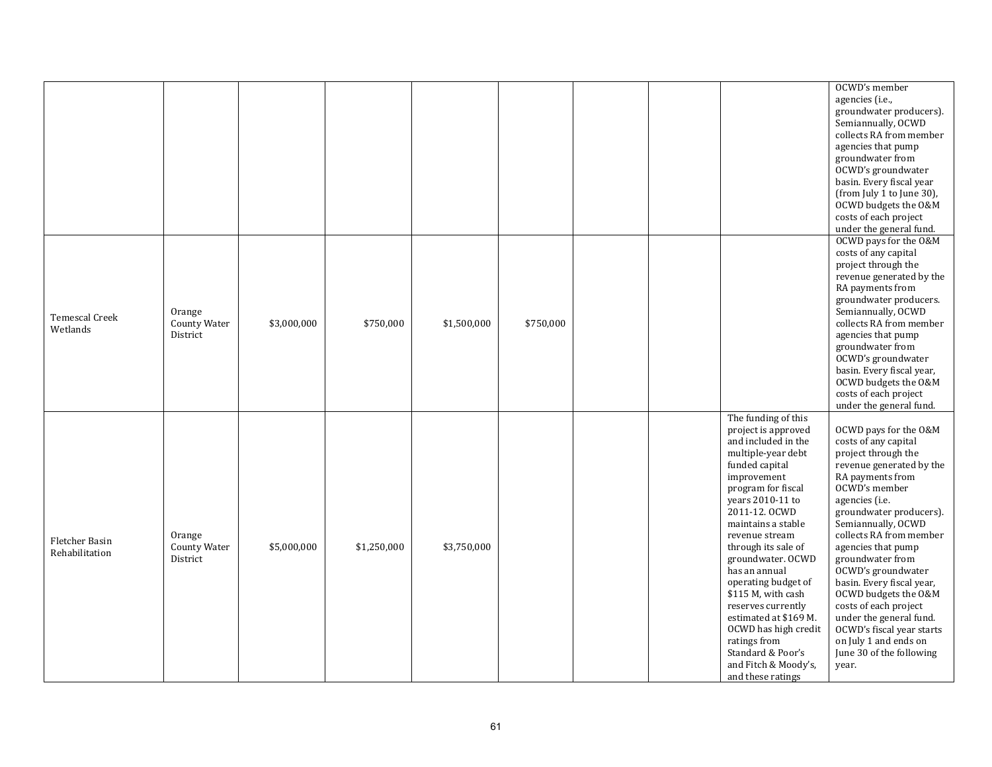|                                  |                                           |             |             |             |           |  |                                                                                                                                                                                                                                                                                                                                                                                                                                                                                                | OCWD's member<br>agencies (i.e.,<br>groundwater producers).<br>Semiannually, OCWD<br>collects RA from member<br>agencies that pump<br>groundwater from<br>OCWD's groundwater<br>basin. Every fiscal year<br>(from July 1 to June 30),<br>OCWD budgets the O&M<br>costs of each project<br>under the general fund.                                                                                                                                                                                       |
|----------------------------------|-------------------------------------------|-------------|-------------|-------------|-----------|--|------------------------------------------------------------------------------------------------------------------------------------------------------------------------------------------------------------------------------------------------------------------------------------------------------------------------------------------------------------------------------------------------------------------------------------------------------------------------------------------------|---------------------------------------------------------------------------------------------------------------------------------------------------------------------------------------------------------------------------------------------------------------------------------------------------------------------------------------------------------------------------------------------------------------------------------------------------------------------------------------------------------|
| Temescal Creek<br>Wetlands       | Orange<br><b>County Water</b><br>District | \$3,000,000 | \$750,000   | \$1,500,000 | \$750,000 |  |                                                                                                                                                                                                                                                                                                                                                                                                                                                                                                | OCWD pays for the O&M<br>costs of any capital<br>project through the<br>revenue generated by the<br>RA payments from<br>groundwater producers.<br>Semiannually, OCWD<br>collects RA from member<br>agencies that pump<br>groundwater from<br>OCWD's groundwater<br>basin. Every fiscal year,<br>OCWD budgets the O&M<br>costs of each project<br>under the general fund.                                                                                                                                |
| Fletcher Basin<br>Rehabilitation | Orange<br><b>County Water</b><br>District | \$5,000,000 | \$1,250,000 | \$3,750,000 |           |  | The funding of this<br>project is approved<br>and included in the<br>multiple-year debt<br>funded capital<br>improvement<br>program for fiscal<br>years 2010-11 to<br>2011-12. OCWD<br>maintains a stable<br>revenue stream<br>through its sale of<br>groundwater. OCWD<br>has an annual<br>operating budget of<br>\$115 M, with cash<br>reserves currently<br>estimated at \$169 M.<br>OCWD has high credit<br>ratings from<br>Standard & Poor's<br>and Fitch & Moody's,<br>and these ratings | OCWD pays for the O&M<br>costs of any capital<br>project through the<br>revenue generated by the<br>RA payments from<br>OCWD's member<br>agencies (i.e.<br>groundwater producers).<br>Semiannually, OCWD<br>collects RA from member<br>agencies that pump<br>groundwater from<br>OCWD's groundwater<br>basin. Every fiscal year,<br>OCWD budgets the O&M<br>costs of each project<br>under the general fund.<br>OCWD's fiscal year starts<br>on July 1 and ends on<br>June 30 of the following<br>year. |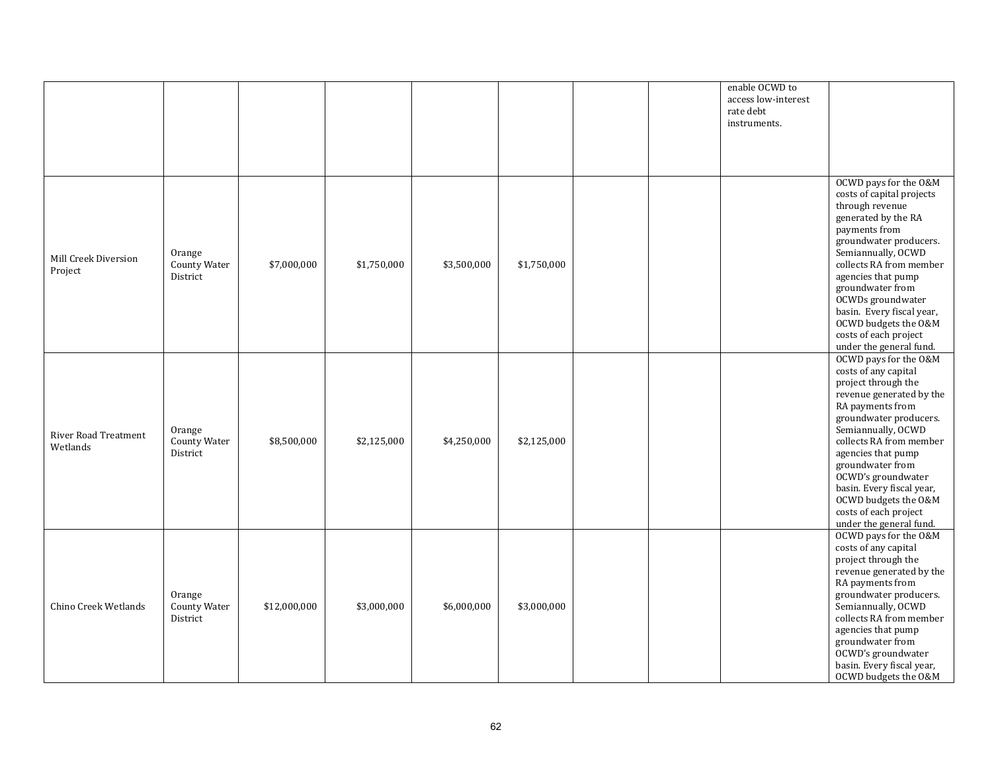|                                  |                                           |              |             |             |             |  | enable OCWD to<br>access low-interest<br>rate debt<br>instruments. |                                                                                                                                                                                                                                                                                                                                                                          |
|----------------------------------|-------------------------------------------|--------------|-------------|-------------|-------------|--|--------------------------------------------------------------------|--------------------------------------------------------------------------------------------------------------------------------------------------------------------------------------------------------------------------------------------------------------------------------------------------------------------------------------------------------------------------|
| Mill Creek Diversion<br>Project  | Orange<br>County Water<br>District        | \$7,000,000  | \$1,750,000 | \$3,500,000 | \$1,750,000 |  |                                                                    | OCWD pays for the O&M<br>costs of capital projects<br>through revenue<br>generated by the RA<br>payments from<br>groundwater producers.<br>Semiannually, OCWD<br>collects RA from member<br>agencies that pump<br>groundwater from<br>OCWDs groundwater<br>basin. Every fiscal year,<br>OCWD budgets the O&M<br>costs of each project<br>under the general fund.         |
| River Road Treatment<br>Wetlands | Orange<br>County Water<br>District        | \$8,500,000  | \$2,125,000 | \$4,250,000 | \$2,125,000 |  |                                                                    | OCWD pays for the O&M<br>costs of any capital<br>project through the<br>revenue generated by the<br>RA payments from<br>groundwater producers.<br>Semiannually, OCWD<br>collects RA from member<br>agencies that pump<br>groundwater from<br>OCWD's groundwater<br>basin. Every fiscal year,<br>OCWD budgets the O&M<br>costs of each project<br>under the general fund. |
| Chino Creek Wetlands             | Orange<br><b>County Water</b><br>District | \$12,000,000 | \$3,000,000 | \$6,000,000 | \$3,000,000 |  |                                                                    | OCWD pays for the O&M<br>costs of any capital<br>project through the<br>revenue generated by the<br>RA payments from<br>groundwater producers.<br>Semiannually, OCWD<br>collects RA from member<br>agencies that pump<br>groundwater from<br>OCWD's groundwater<br>basin. Every fiscal year,<br>OCWD budgets the O&M                                                     |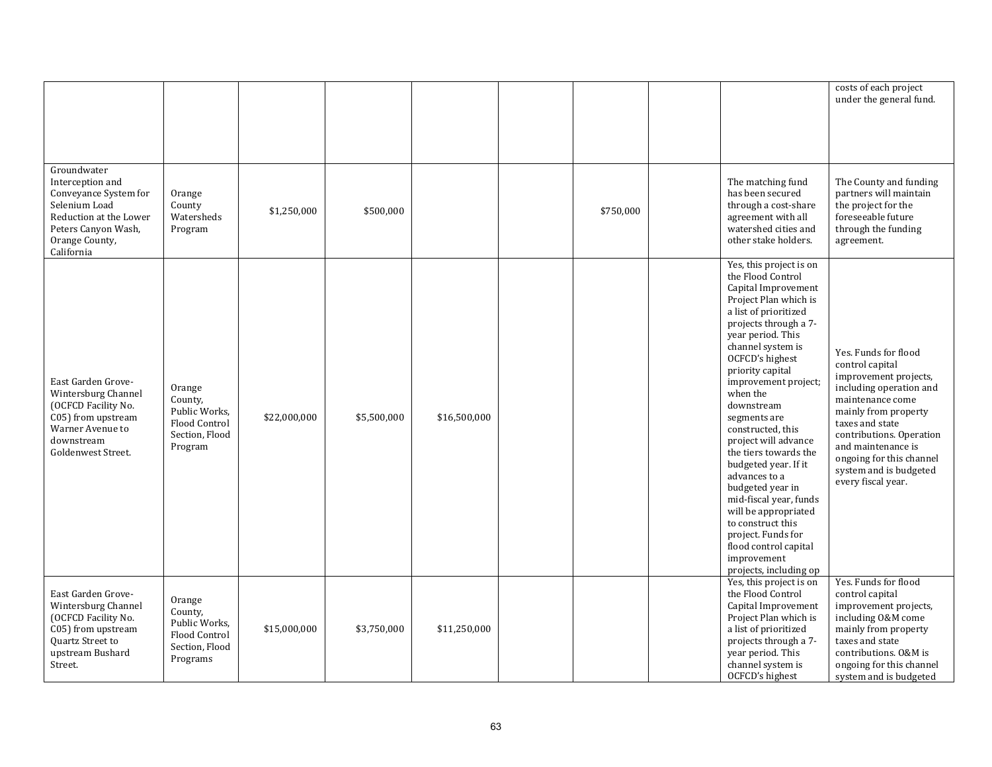|                                                                                                                                                            |                                                                                   |              |             |              |           |                                                                                                                                                                                                                                                                                                                                                                                                                                                                                                                                                                                                     | costs of each project<br>under the general fund.                                                                                                                                                                                                                                         |
|------------------------------------------------------------------------------------------------------------------------------------------------------------|-----------------------------------------------------------------------------------|--------------|-------------|--------------|-----------|-----------------------------------------------------------------------------------------------------------------------------------------------------------------------------------------------------------------------------------------------------------------------------------------------------------------------------------------------------------------------------------------------------------------------------------------------------------------------------------------------------------------------------------------------------------------------------------------------------|------------------------------------------------------------------------------------------------------------------------------------------------------------------------------------------------------------------------------------------------------------------------------------------|
| Groundwater<br>Interception and<br>Conveyance System for<br>Selenium Load<br>Reduction at the Lower<br>Peters Canyon Wash,<br>Orange County,<br>California | Orange<br>County<br>Watersheds<br>Program                                         | \$1,250,000  | \$500,000   |              | \$750,000 | The matching fund<br>has been secured<br>through a cost-share<br>agreement with all<br>watershed cities and<br>other stake holders.                                                                                                                                                                                                                                                                                                                                                                                                                                                                 | The County and funding<br>partners will maintain<br>the project for the<br>foreseeable future<br>through the funding<br>agreement.                                                                                                                                                       |
| East Garden Grove-<br>Wintersburg Channel<br>(OCFCD Facility No.<br>C05) from upstream<br>Warner Avenue to<br>downstream<br>Goldenwest Street.             | Orange<br>County,<br>Public Works,<br>Flood Control<br>Section, Flood<br>Program  | \$22,000,000 | \$5,500,000 | \$16,500,000 |           | Yes, this project is on<br>the Flood Control<br>Capital Improvement<br>Project Plan which is<br>a list of prioritized<br>projects through a 7-<br>year period. This<br>channel system is<br>OCFCD's highest<br>priority capital<br>improvement project;<br>when the<br>downstream<br>segments are<br>constructed, this<br>project will advance<br>the tiers towards the<br>budgeted year. If it<br>advances to a<br>budgeted year in<br>mid-fiscal year, funds<br>will be appropriated<br>to construct this<br>project. Funds for<br>flood control capital<br>improvement<br>projects, including op | Yes. Funds for flood<br>control capital<br>improvement projects,<br>including operation and<br>maintenance come<br>mainly from property<br>taxes and state<br>contributions. Operation<br>and maintenance is<br>ongoing for this channel<br>system and is budgeted<br>every fiscal year. |
| East Garden Grove-<br>Wintersburg Channel<br>(OCFCD Facility No.<br>C05) from upstream<br>Quartz Street to<br>upstream Bushard<br>Street.                  | Orange<br>County,<br>Public Works.<br>Flood Control<br>Section, Flood<br>Programs | \$15,000,000 | \$3,750,000 | \$11,250,000 |           | Yes, this project is on<br>the Flood Control<br>Capital Improvement<br>Project Plan which is<br>a list of prioritized<br>projects through a 7-<br>year period. This<br>channel system is<br>OCFCD's highest                                                                                                                                                                                                                                                                                                                                                                                         | Yes. Funds for flood<br>control capital<br>improvement projects,<br>including O&M come<br>mainly from property<br>taxes and state<br>contributions. O&M is<br>ongoing for this channel<br>system and is budgeted                                                                         |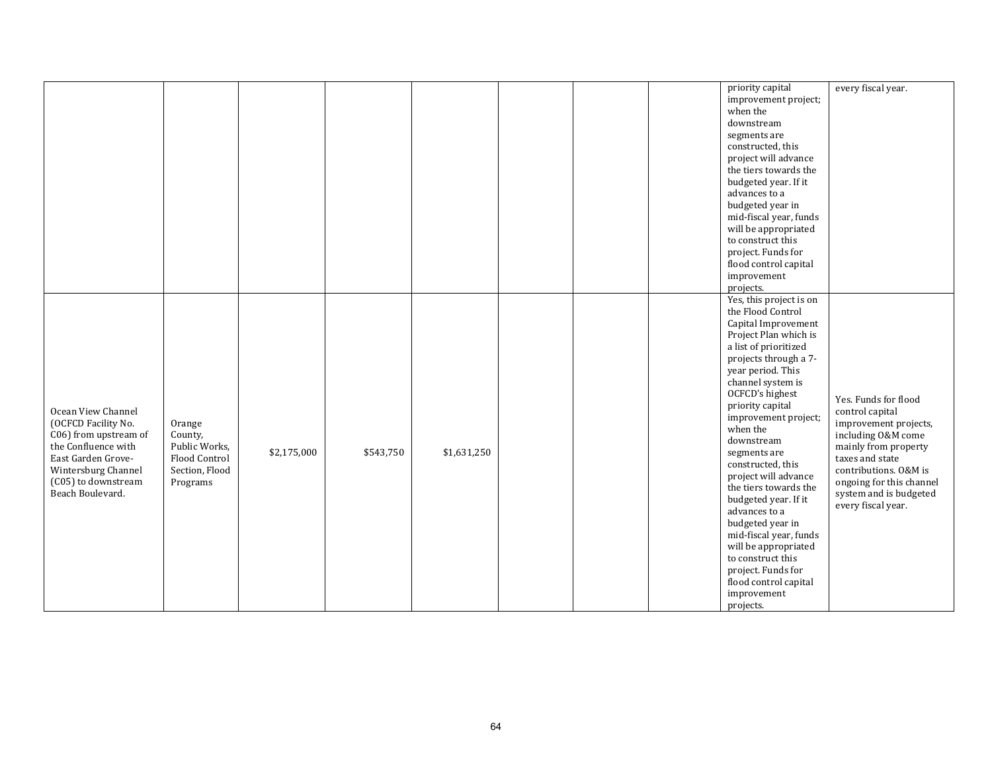| every fiscal year.<br>priority capital<br>improvement project;<br>when the<br>downstream<br>segments are<br>constructed, this<br>project will advance<br>the tiers towards the<br>budgeted year. If it<br>advances to a<br>budgeted year in<br>mid-fiscal year, funds<br>will be appropriated<br>to construct this<br>project. Funds for<br>flood control capital<br>improvement<br>projects.<br>Yes, this project is on<br>the Flood Control<br>Capital Improvement<br>Project Plan which is<br>a list of prioritized<br>projects through a 7- |
|-------------------------------------------------------------------------------------------------------------------------------------------------------------------------------------------------------------------------------------------------------------------------------------------------------------------------------------------------------------------------------------------------------------------------------------------------------------------------------------------------------------------------------------------------|
|                                                                                                                                                                                                                                                                                                                                                                                                                                                                                                                                                 |
|                                                                                                                                                                                                                                                                                                                                                                                                                                                                                                                                                 |
|                                                                                                                                                                                                                                                                                                                                                                                                                                                                                                                                                 |
|                                                                                                                                                                                                                                                                                                                                                                                                                                                                                                                                                 |
|                                                                                                                                                                                                                                                                                                                                                                                                                                                                                                                                                 |
|                                                                                                                                                                                                                                                                                                                                                                                                                                                                                                                                                 |
|                                                                                                                                                                                                                                                                                                                                                                                                                                                                                                                                                 |
|                                                                                                                                                                                                                                                                                                                                                                                                                                                                                                                                                 |
|                                                                                                                                                                                                                                                                                                                                                                                                                                                                                                                                                 |
|                                                                                                                                                                                                                                                                                                                                                                                                                                                                                                                                                 |
|                                                                                                                                                                                                                                                                                                                                                                                                                                                                                                                                                 |
|                                                                                                                                                                                                                                                                                                                                                                                                                                                                                                                                                 |
|                                                                                                                                                                                                                                                                                                                                                                                                                                                                                                                                                 |
|                                                                                                                                                                                                                                                                                                                                                                                                                                                                                                                                                 |
|                                                                                                                                                                                                                                                                                                                                                                                                                                                                                                                                                 |
|                                                                                                                                                                                                                                                                                                                                                                                                                                                                                                                                                 |
|                                                                                                                                                                                                                                                                                                                                                                                                                                                                                                                                                 |
|                                                                                                                                                                                                                                                                                                                                                                                                                                                                                                                                                 |
|                                                                                                                                                                                                                                                                                                                                                                                                                                                                                                                                                 |
|                                                                                                                                                                                                                                                                                                                                                                                                                                                                                                                                                 |
|                                                                                                                                                                                                                                                                                                                                                                                                                                                                                                                                                 |
|                                                                                                                                                                                                                                                                                                                                                                                                                                                                                                                                                 |
|                                                                                                                                                                                                                                                                                                                                                                                                                                                                                                                                                 |
|                                                                                                                                                                                                                                                                                                                                                                                                                                                                                                                                                 |
|                                                                                                                                                                                                                                                                                                                                                                                                                                                                                                                                                 |
| year period. This<br>channel system is                                                                                                                                                                                                                                                                                                                                                                                                                                                                                                          |
| OCFCD's highest                                                                                                                                                                                                                                                                                                                                                                                                                                                                                                                                 |
| Yes. Funds for flood                                                                                                                                                                                                                                                                                                                                                                                                                                                                                                                            |
| priority capital<br>Ocean View Channel<br>control capital                                                                                                                                                                                                                                                                                                                                                                                                                                                                                       |
| improvement project;<br>(OCFCD Facility No.<br>improvement projects,<br>Orange                                                                                                                                                                                                                                                                                                                                                                                                                                                                  |
| when the<br>C06) from upstream of<br>County,<br>including O&M come                                                                                                                                                                                                                                                                                                                                                                                                                                                                              |
| downstream<br>Public Works,<br>the Confluence with<br>mainly from property                                                                                                                                                                                                                                                                                                                                                                                                                                                                      |
| \$543,750<br>\$1,631,250<br>\$2,175,000<br>segments are<br>Flood Control<br>East Garden Grove-<br>taxes and state                                                                                                                                                                                                                                                                                                                                                                                                                               |
| constructed, this<br>Wintersburg Channel<br>Section, Flood<br>contributions. O&M is                                                                                                                                                                                                                                                                                                                                                                                                                                                             |
| project will advance<br>(C05) to downstream<br>Programs<br>ongoing for this channel                                                                                                                                                                                                                                                                                                                                                                                                                                                             |
| the tiers towards the<br>Beach Boulevard.<br>system and is budgeted                                                                                                                                                                                                                                                                                                                                                                                                                                                                             |
| budgeted year. If it<br>every fiscal year.                                                                                                                                                                                                                                                                                                                                                                                                                                                                                                      |
| advances to a                                                                                                                                                                                                                                                                                                                                                                                                                                                                                                                                   |
| budgeted year in                                                                                                                                                                                                                                                                                                                                                                                                                                                                                                                                |
| mid-fiscal year, funds                                                                                                                                                                                                                                                                                                                                                                                                                                                                                                                          |
| will be appropriated                                                                                                                                                                                                                                                                                                                                                                                                                                                                                                                            |
| to construct this                                                                                                                                                                                                                                                                                                                                                                                                                                                                                                                               |
| project. Funds for                                                                                                                                                                                                                                                                                                                                                                                                                                                                                                                              |
| flood control capital                                                                                                                                                                                                                                                                                                                                                                                                                                                                                                                           |
| improvement                                                                                                                                                                                                                                                                                                                                                                                                                                                                                                                                     |
| projects.                                                                                                                                                                                                                                                                                                                                                                                                                                                                                                                                       |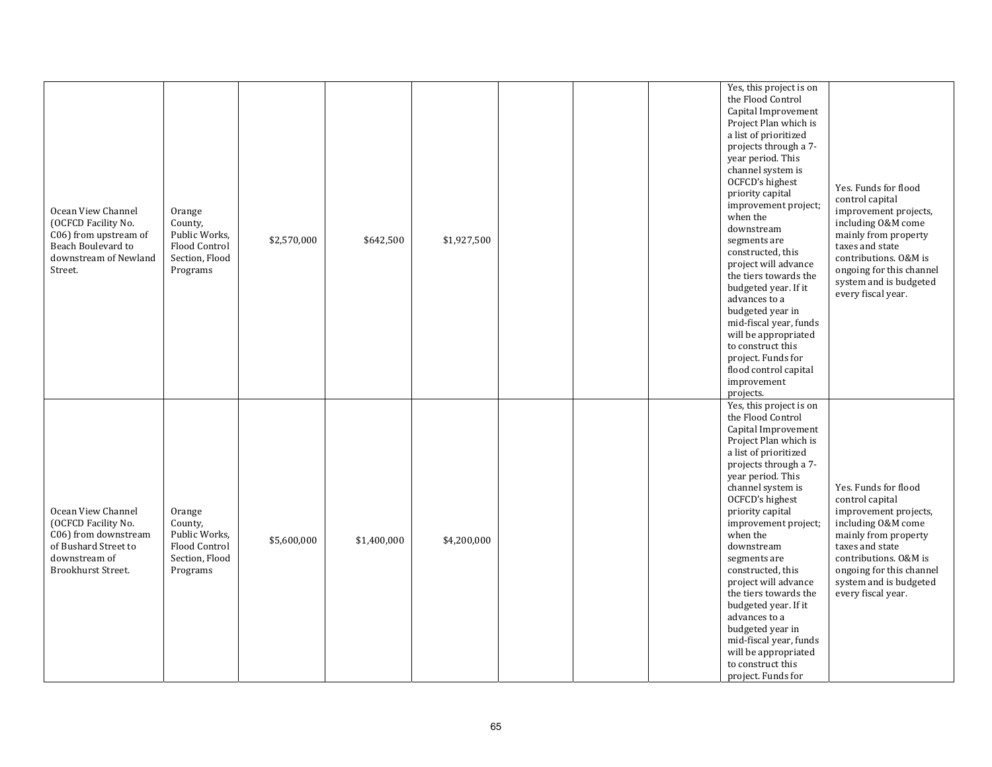| Ocean View Channel<br>(OCFCD Facility No.<br>C06) from upstream of<br>Beach Boulevard to<br>downstream of Newland<br>Street.     | Orange<br>County,<br>Public Works,<br>Flood Control<br>Section, Flood<br>Programs | \$2,570,000 | \$642,500   | \$1,927,500 |  | Yes, this project is on<br>the Flood Control<br>Capital Improvement<br>Project Plan which is<br>a list of prioritized<br>projects through a 7-<br>year period. This<br>channel system is<br>OCFCD's highest<br>priority capital<br>improvement project;<br>when the<br>downstream<br>segments are<br>constructed, this<br>project will advance<br>the tiers towards the<br>budgeted year. If it<br>advances to a<br>budgeted year in<br>mid-fiscal year, funds<br>will be appropriated<br>to construct this<br>project. Funds for<br>flood control capital<br>improvement<br>projects. | Yes. Funds for flood<br>control capital<br>improvement projects,<br>including O&M come<br>mainly from property<br>taxes and state<br>contributions. O&M is<br>ongoing for this channel<br>system and is budgeted<br>every fiscal year. |
|----------------------------------------------------------------------------------------------------------------------------------|-----------------------------------------------------------------------------------|-------------|-------------|-------------|--|----------------------------------------------------------------------------------------------------------------------------------------------------------------------------------------------------------------------------------------------------------------------------------------------------------------------------------------------------------------------------------------------------------------------------------------------------------------------------------------------------------------------------------------------------------------------------------------|----------------------------------------------------------------------------------------------------------------------------------------------------------------------------------------------------------------------------------------|
| Ocean View Channel<br>(OCFCD Facility No.<br>C06) from downstream<br>of Bushard Street to<br>downstream of<br>Brookhurst Street. | Orange<br>County,<br>Public Works,<br>Flood Control<br>Section, Flood<br>Programs | \$5,600,000 | \$1,400,000 | \$4,200,000 |  | Yes, this project is on<br>the Flood Control<br>Capital Improvement<br>Project Plan which is<br>a list of prioritized<br>projects through a 7-<br>year period. This<br>channel system is<br>OCFCD's highest<br>priority capital<br>improvement project;<br>when the<br>downstream<br>segments are<br>constructed, this<br>project will advance<br>the tiers towards the<br>budgeted year. If it<br>advances to a<br>budgeted year in<br>mid-fiscal year, funds<br>will be appropriated<br>to construct this<br>project. Funds for                                                      | Yes. Funds for flood<br>control capital<br>improvement projects,<br>including O&M come<br>mainly from property<br>taxes and state<br>contributions. O&M is<br>ongoing for this channel<br>system and is budgeted<br>every fiscal year. |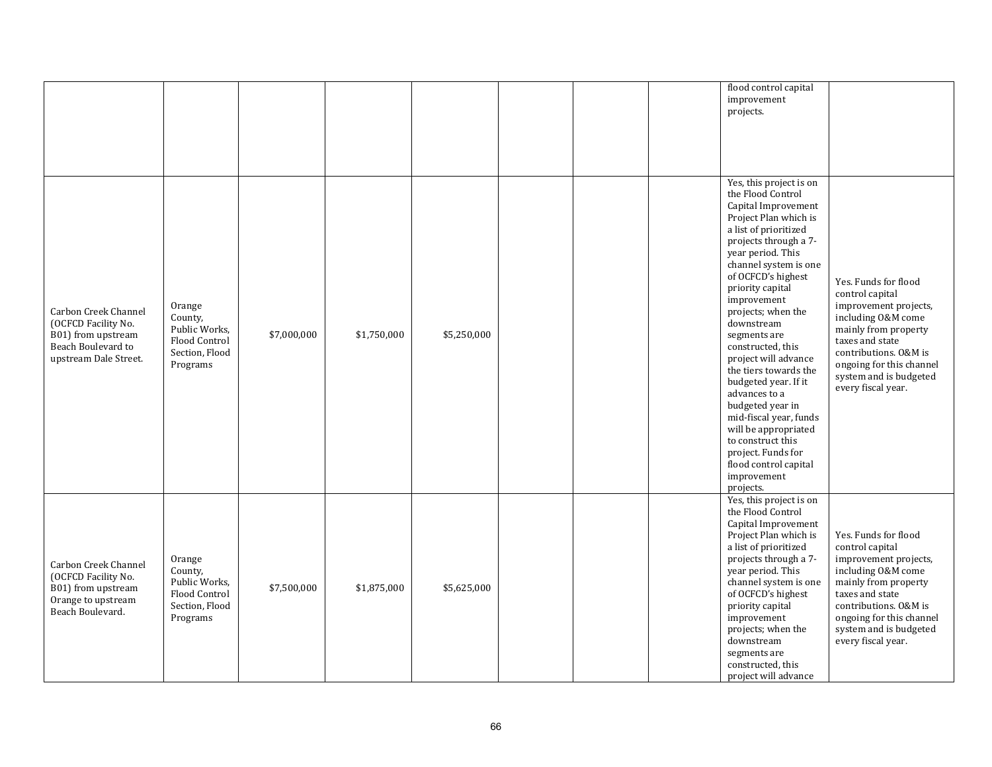|                                                                                                                  |                                                                                   |             |             |             |  | flood control capital<br>improvement<br>projects.                                                                                                                                                                                                                                                                                                                                                                                                                                                                                                                                              |                                                                                                                                                                                                                                        |
|------------------------------------------------------------------------------------------------------------------|-----------------------------------------------------------------------------------|-------------|-------------|-------------|--|------------------------------------------------------------------------------------------------------------------------------------------------------------------------------------------------------------------------------------------------------------------------------------------------------------------------------------------------------------------------------------------------------------------------------------------------------------------------------------------------------------------------------------------------------------------------------------------------|----------------------------------------------------------------------------------------------------------------------------------------------------------------------------------------------------------------------------------------|
| Carbon Creek Channel<br>(OCFCD Facility No.<br>B01) from upstream<br>Beach Boulevard to<br>upstream Dale Street. | Orange<br>County,<br>Public Works,<br>Flood Control<br>Section, Flood<br>Programs | \$7,000,000 | \$1,750,000 | \$5,250,000 |  | Yes, this project is on<br>the Flood Control<br>Capital Improvement<br>Project Plan which is<br>a list of prioritized<br>projects through a 7-<br>year period. This<br>channel system is one<br>of OCFCD's highest<br>priority capital<br>improvement<br>projects; when the<br>downstream<br>segments are<br>constructed, this<br>project will advance<br>the tiers towards the<br>budgeted year. If it<br>advances to a<br>budgeted year in<br>mid-fiscal year, funds<br>will be appropriated<br>to construct this<br>project. Funds for<br>flood control capital<br>improvement<br>projects. | Yes. Funds for flood<br>control capital<br>improvement projects,<br>including O&M come<br>mainly from property<br>taxes and state<br>contributions. O&M is<br>ongoing for this channel<br>system and is budgeted<br>every fiscal year. |
| Carbon Creek Channel<br>(OCFCD Facility No.<br>B01) from upstream<br>Orange to upstream<br>Beach Boulevard.      | Orange<br>County,<br>Public Works,<br>Flood Control<br>Section, Flood<br>Programs | \$7,500,000 | \$1,875,000 | \$5,625,000 |  | Yes, this project is on<br>the Flood Control<br>Capital Improvement<br>Project Plan which is<br>a list of prioritized<br>projects through a 7-<br>year period. This<br>channel system is one<br>of OCFCD's highest<br>priority capital<br>improvement<br>projects; when the<br>downstream<br>segments are<br>constructed, this<br>project will advance                                                                                                                                                                                                                                         | Yes. Funds for flood<br>control capital<br>improvement projects,<br>including O&M come<br>mainly from property<br>taxes and state<br>contributions. O&M is<br>ongoing for this channel<br>system and is budgeted<br>every fiscal year. |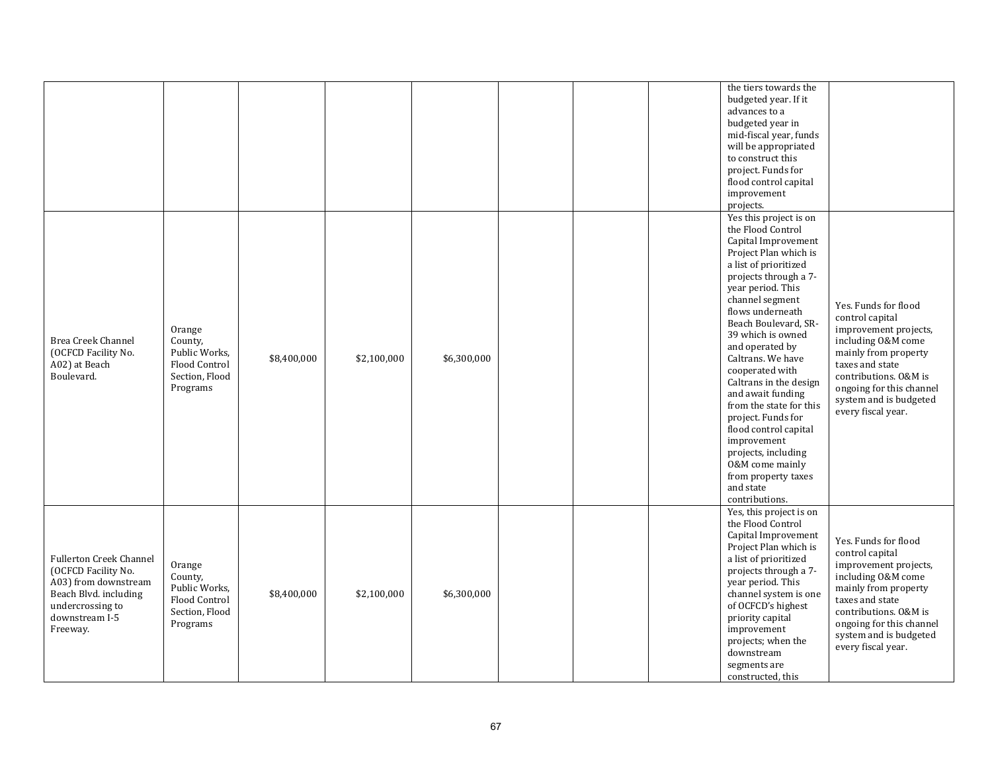|                                                                                                                                                          |                                                                                   |             |             |             |  | the tiers towards the<br>budgeted year. If it<br>advances to a<br>budgeted year in<br>mid-fiscal year, funds<br>will be appropriated<br>to construct this<br>project. Funds for<br>flood control capital<br>improvement<br>projects.                                                                                                                                                                                                                                                                                                                      |                                                                                                                                                                                                                                        |
|----------------------------------------------------------------------------------------------------------------------------------------------------------|-----------------------------------------------------------------------------------|-------------|-------------|-------------|--|-----------------------------------------------------------------------------------------------------------------------------------------------------------------------------------------------------------------------------------------------------------------------------------------------------------------------------------------------------------------------------------------------------------------------------------------------------------------------------------------------------------------------------------------------------------|----------------------------------------------------------------------------------------------------------------------------------------------------------------------------------------------------------------------------------------|
| Brea Creek Channel<br>(OCFCD Facility No.<br>A02) at Beach<br>Boulevard.                                                                                 | Orange<br>County,<br>Public Works,<br>Flood Control<br>Section, Flood<br>Programs | \$8,400,000 | \$2,100,000 | \$6,300,000 |  | Yes this project is on<br>the Flood Control<br>Capital Improvement<br>Project Plan which is<br>a list of prioritized<br>projects through a 7-<br>year period. This<br>channel segment<br>flows underneath<br>Beach Boulevard, SR-<br>39 which is owned<br>and operated by<br>Caltrans. We have<br>cooperated with<br>Caltrans in the design<br>and await funding<br>from the state for this<br>project. Funds for<br>flood control capital<br>improvement<br>projects, including<br>0&M come mainly<br>from property taxes<br>and state<br>contributions. | Yes. Funds for flood<br>control capital<br>improvement projects,<br>including O&M come<br>mainly from property<br>taxes and state<br>contributions. O&M is<br>ongoing for this channel<br>system and is budgeted<br>every fiscal year. |
| <b>Fullerton Creek Channel</b><br>(OCFCD Facility No.<br>A03) from downstream<br>Beach Blvd. including<br>undercrossing to<br>downstream I-5<br>Freeway. | Orange<br>County,<br>Public Works,<br>Flood Control<br>Section, Flood<br>Programs | \$8,400,000 | \$2,100,000 | \$6,300,000 |  | Yes, this project is on<br>the Flood Control<br>Capital Improvement<br>Project Plan which is<br>a list of prioritized<br>projects through a 7-<br>year period. This<br>channel system is one<br>of OCFCD's highest<br>priority capital<br>improvement<br>projects; when the<br>downstream<br>segments are<br>constructed, this                                                                                                                                                                                                                            | Yes. Funds for flood<br>control capital<br>improvement projects,<br>including O&M come<br>mainly from property<br>taxes and state<br>contributions. O&M is<br>ongoing for this channel<br>system and is budgeted<br>every fiscal year. |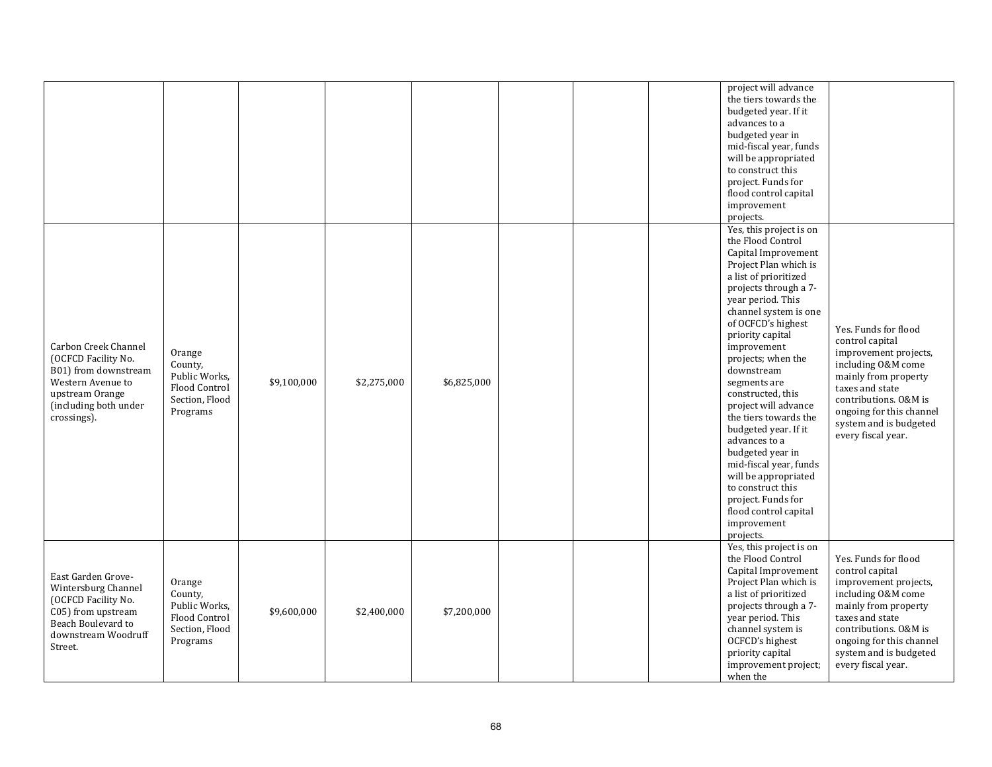|                                                                                                                                                     |                                                                                   |             |             |             |  | project will advance<br>the tiers towards the<br>budgeted year. If it<br>advances to a<br>budgeted year in<br>mid-fiscal year, funds<br>will be appropriated<br>to construct this<br>project. Funds for<br>flood control capital<br>improvement<br>projects.                                                                                                                                                                                                                                                                                                                                   |                                                                                                                                                                                                                                        |
|-----------------------------------------------------------------------------------------------------------------------------------------------------|-----------------------------------------------------------------------------------|-------------|-------------|-------------|--|------------------------------------------------------------------------------------------------------------------------------------------------------------------------------------------------------------------------------------------------------------------------------------------------------------------------------------------------------------------------------------------------------------------------------------------------------------------------------------------------------------------------------------------------------------------------------------------------|----------------------------------------------------------------------------------------------------------------------------------------------------------------------------------------------------------------------------------------|
| Carbon Creek Channel<br>(OCFCD Facility No.<br>B01) from downstream<br>Western Avenue to<br>upstream Orange<br>(including both under<br>crossings). | Orange<br>County,<br>Public Works,<br>Flood Control<br>Section, Flood<br>Programs | \$9,100,000 | \$2,275,000 | \$6,825,000 |  | Yes, this project is on<br>the Flood Control<br>Capital Improvement<br>Project Plan which is<br>a list of prioritized<br>projects through a 7-<br>year period. This<br>channel system is one<br>of OCFCD's highest<br>priority capital<br>improvement<br>projects; when the<br>downstream<br>segments are<br>constructed, this<br>project will advance<br>the tiers towards the<br>budgeted year. If it<br>advances to a<br>budgeted year in<br>mid-fiscal year, funds<br>will be appropriated<br>to construct this<br>project. Funds for<br>flood control capital<br>improvement<br>projects. | Yes. Funds for flood<br>control capital<br>improvement projects,<br>including 0&M come<br>mainly from property<br>taxes and state<br>contributions. O&M is<br>ongoing for this channel<br>system and is budgeted<br>every fiscal year. |
| East Garden Grove-<br>Wintersburg Channel<br>(OCFCD Facility No.<br>C05) from upstream<br>Beach Boulevard to<br>downstream Woodruff<br>Street.      | Orange<br>County,<br>Public Works,<br>Flood Control<br>Section, Flood<br>Programs | \$9,600,000 | \$2,400,000 | \$7,200,000 |  | Yes, this project is on<br>the Flood Control<br>Capital Improvement<br>Project Plan which is<br>a list of prioritized<br>projects through a 7-<br>year period. This<br>channel system is<br>OCFCD's highest<br>priority capital<br>improvement project;<br>when the                                                                                                                                                                                                                                                                                                                            | Yes. Funds for flood<br>control capital<br>improvement projects,<br>including O&M come<br>mainly from property<br>taxes and state<br>contributions. O&M is<br>ongoing for this channel<br>system and is budgeted<br>every fiscal year. |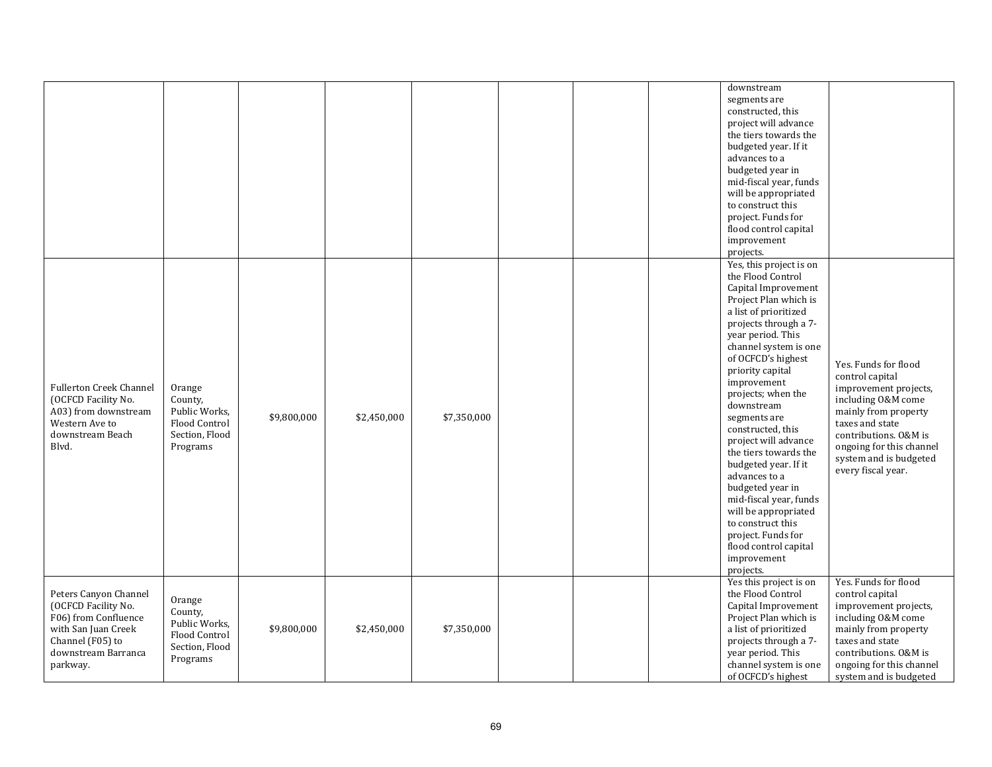|                                                                                                                                                    |                                                                                   |             |             |             |  | downstream<br>segments are<br>constructed, this<br>project will advance<br>the tiers towards the<br>budgeted year. If it<br>advances to a<br>budgeted year in<br>mid-fiscal year, funds<br>will be appropriated<br>to construct this<br>project. Funds for<br>flood control capital<br>improvement<br>projects.                                                                                                                                                                                                                                                                                |                                                                                                                                                                                                                                        |
|----------------------------------------------------------------------------------------------------------------------------------------------------|-----------------------------------------------------------------------------------|-------------|-------------|-------------|--|------------------------------------------------------------------------------------------------------------------------------------------------------------------------------------------------------------------------------------------------------------------------------------------------------------------------------------------------------------------------------------------------------------------------------------------------------------------------------------------------------------------------------------------------------------------------------------------------|----------------------------------------------------------------------------------------------------------------------------------------------------------------------------------------------------------------------------------------|
| <b>Fullerton Creek Channel</b><br>(OCFCD Facility No.<br>A03) from downstream<br>Western Ave to<br>downstream Beach<br>Blvd.                       | Orange<br>County,<br>Public Works,<br>Flood Control<br>Section, Flood<br>Programs | \$9,800,000 | \$2,450,000 | \$7,350,000 |  | Yes, this project is on<br>the Flood Control<br>Capital Improvement<br>Project Plan which is<br>a list of prioritized<br>projects through a 7-<br>year period. This<br>channel system is one<br>of OCFCD's highest<br>priority capital<br>improvement<br>projects; when the<br>downstream<br>segments are<br>constructed, this<br>project will advance<br>the tiers towards the<br>budgeted year. If it<br>advances to a<br>budgeted year in<br>mid-fiscal year, funds<br>will be appropriated<br>to construct this<br>project. Funds for<br>flood control capital<br>improvement<br>projects. | Yes. Funds for flood<br>control capital<br>improvement projects,<br>including 0&M come<br>mainly from property<br>taxes and state<br>contributions. O&M is<br>ongoing for this channel<br>system and is budgeted<br>every fiscal year. |
| Peters Canyon Channel<br>(OCFCD Facility No.<br>F06) from Confluence<br>with San Juan Creek<br>Channel (F05) to<br>downstream Barranca<br>parkway. | Orange<br>County,<br>Public Works,<br>Flood Control<br>Section, Flood<br>Programs | \$9,800,000 | \$2,450,000 | \$7,350,000 |  | Yes this project is on<br>the Flood Control<br>Capital Improvement<br>Project Plan which is<br>a list of prioritized<br>projects through a 7-<br>year period. This<br>channel system is one<br>of OCFCD's highest                                                                                                                                                                                                                                                                                                                                                                              | Yes. Funds for flood<br>control capital<br>improvement projects,<br>including 0&M come<br>mainly from property<br>taxes and state<br>contributions. O&M is<br>ongoing for this channel<br>system and is budgeted                       |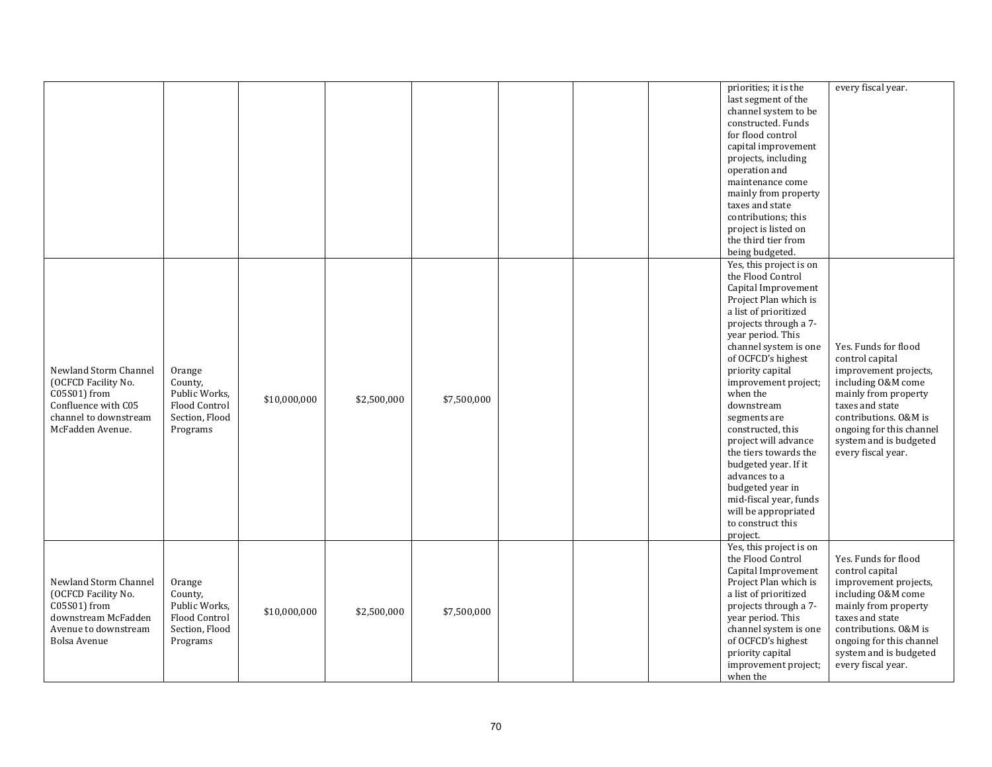|                                                                                                                                  |                                                                                   |              |             |             |  | priorities; it is the<br>last segment of the<br>channel system to be<br>constructed. Funds<br>for flood control<br>capital improvement<br>projects, including<br>operation and<br>maintenance come<br>mainly from property<br>taxes and state<br>contributions; this<br>project is listed on<br>the third tier from<br>being budgeted.                                                                                                                                                                                         | every fiscal year.                                                                                                                                                                                                                     |
|----------------------------------------------------------------------------------------------------------------------------------|-----------------------------------------------------------------------------------|--------------|-------------|-------------|--|--------------------------------------------------------------------------------------------------------------------------------------------------------------------------------------------------------------------------------------------------------------------------------------------------------------------------------------------------------------------------------------------------------------------------------------------------------------------------------------------------------------------------------|----------------------------------------------------------------------------------------------------------------------------------------------------------------------------------------------------------------------------------------|
| Newland Storm Channel<br>(OCFCD Facility No.<br>C05S01) from<br>Confluence with C05<br>channel to downstream<br>McFadden Avenue. | Orange<br>County,<br>Public Works,<br>Flood Control<br>Section, Flood<br>Programs | \$10,000,000 | \$2,500,000 | \$7,500,000 |  | Yes, this project is on<br>the Flood Control<br>Capital Improvement<br>Project Plan which is<br>a list of prioritized<br>projects through a 7-<br>year period. This<br>channel system is one<br>of OCFCD's highest<br>priority capital<br>improvement project;<br>when the<br>downstream<br>segments are<br>constructed, this<br>project will advance<br>the tiers towards the<br>budgeted year. If it<br>advances to a<br>budgeted year in<br>mid-fiscal year, funds<br>will be appropriated<br>to construct this<br>project. | Yes. Funds for flood<br>control capital<br>improvement projects,<br>including O&M come<br>mainly from property<br>taxes and state<br>contributions. O&M is<br>ongoing for this channel<br>system and is budgeted<br>every fiscal year. |
| Newland Storm Channel<br>(OCFCD Facility No.<br>C05S01) from<br>downstream McFadden<br>Avenue to downstream<br>Bolsa Avenue      | Orange<br>County,<br>Public Works.<br>Flood Control<br>Section, Flood<br>Programs | \$10,000,000 | \$2,500,000 | \$7,500,000 |  | Yes, this project is on<br>the Flood Control<br>Capital Improvement<br>Project Plan which is<br>a list of prioritized<br>projects through a 7-<br>year period. This<br>channel system is one<br>of OCFCD's highest<br>priority capital<br>improvement project;<br>when the                                                                                                                                                                                                                                                     | Yes. Funds for flood<br>control capital<br>improvement projects,<br>including 0&M come<br>mainly from property<br>taxes and state<br>contributions. O&M is<br>ongoing for this channel<br>system and is budgeted<br>every fiscal year. |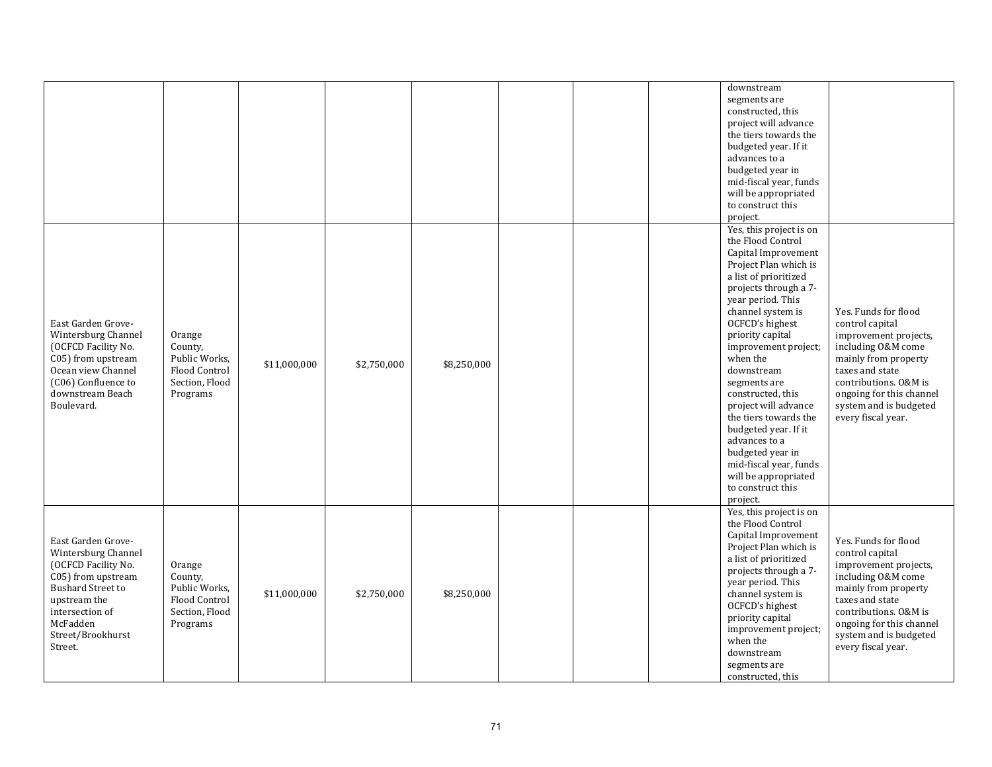|                                                                                                                                                                                                   |                                                                                   |              |             |             |  | downstream<br>segments are<br>constructed, this<br>project will advance<br>the tiers towards the<br>budgeted year. If it<br>advances to a<br>budgeted year in<br>mid-fiscal year, funds<br>will be appropriated<br>to construct this<br>project.                                                                                                                                                                                                                                                                        |                                                                                                                                                                                                                                        |
|---------------------------------------------------------------------------------------------------------------------------------------------------------------------------------------------------|-----------------------------------------------------------------------------------|--------------|-------------|-------------|--|-------------------------------------------------------------------------------------------------------------------------------------------------------------------------------------------------------------------------------------------------------------------------------------------------------------------------------------------------------------------------------------------------------------------------------------------------------------------------------------------------------------------------|----------------------------------------------------------------------------------------------------------------------------------------------------------------------------------------------------------------------------------------|
| East Garden Grove-<br>Wintersburg Channel<br>(OCFCD Facility No.<br>C05) from upstream<br>Ocean view Channel<br>(C06) Confluence to<br>downstream Beach<br>Boulevard.                             | Orange<br>County,<br>Public Works,<br>Flood Control<br>Section, Flood<br>Programs | \$11,000,000 | \$2,750,000 | \$8,250,000 |  | Yes, this project is on<br>the Flood Control<br>Capital Improvement<br>Project Plan which is<br>a list of prioritized<br>projects through a 7-<br>year period. This<br>channel system is<br>OCFCD's highest<br>priority capital<br>improvement project;<br>when the<br>downstream<br>segments are<br>constructed, this<br>project will advance<br>the tiers towards the<br>budgeted year. If it<br>advances to a<br>budgeted year in<br>mid-fiscal year, funds<br>will be appropriated<br>to construct this<br>project. | Yes. Funds for flood<br>control capital<br>improvement projects,<br>including O&M come<br>mainly from property<br>taxes and state<br>contributions. O&M is<br>ongoing for this channel<br>system and is budgeted<br>every fiscal year. |
| East Garden Grove-<br>Wintersburg Channel<br>(OCFCD Facility No.<br>C05) from upstream<br><b>Bushard Street to</b><br>upstream the<br>intersection of<br>McFadden<br>Street/Brookhurst<br>Street. | Orange<br>County,<br>Public Works,<br>Flood Control<br>Section, Flood<br>Programs | \$11,000,000 | \$2,750,000 | \$8,250,000 |  | Yes, this project is on<br>the Flood Control<br>Capital Improvement<br>Project Plan which is<br>a list of prioritized<br>projects through a 7-<br>year period. This<br>channel system is<br>OCFCD's highest<br>priority capital<br>improvement project;<br>when the<br>downstream<br>segments are<br>constructed, this                                                                                                                                                                                                  | Yes. Funds for flood<br>control capital<br>improvement projects,<br>including 0&M come<br>mainly from property<br>taxes and state<br>contributions. O&M is<br>ongoing for this channel<br>system and is budgeted<br>every fiscal year. |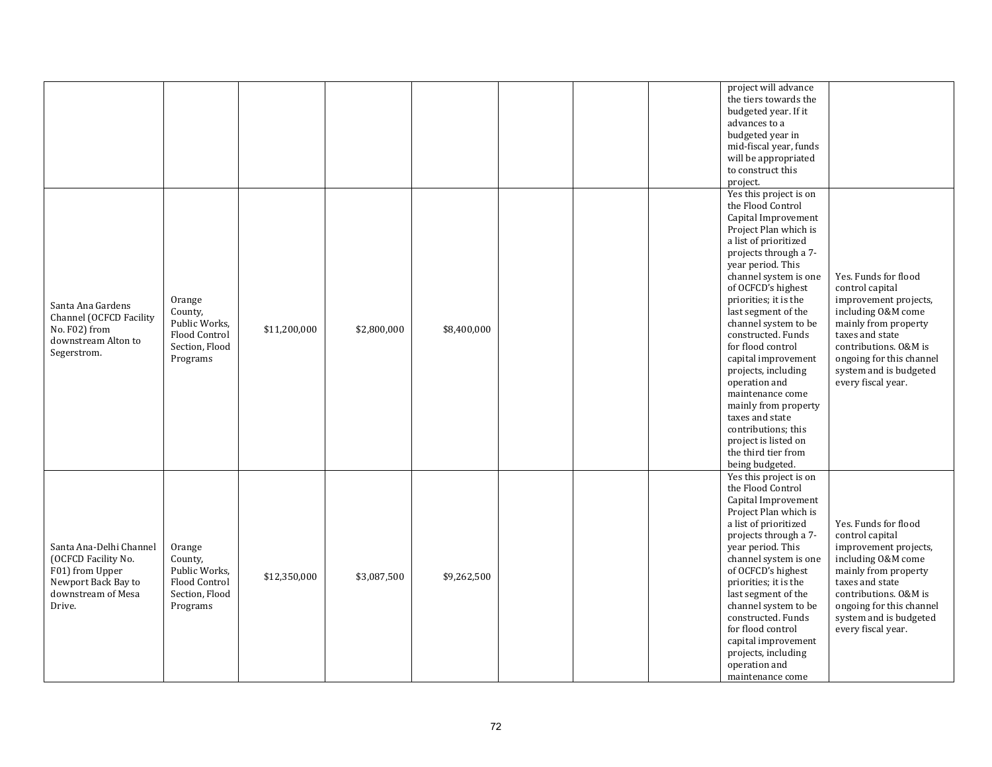|                                                                                                                          |                                                                                   |              |             |             |  | project will advance<br>the tiers towards the<br>budgeted year. If it<br>advances to a<br>budgeted year in<br>mid-fiscal year, funds<br>will be appropriated<br>to construct this<br>project.                                                                                                                                                                                                                                                                                                                                                               |                                                                                                                                                                                                                                        |
|--------------------------------------------------------------------------------------------------------------------------|-----------------------------------------------------------------------------------|--------------|-------------|-------------|--|-------------------------------------------------------------------------------------------------------------------------------------------------------------------------------------------------------------------------------------------------------------------------------------------------------------------------------------------------------------------------------------------------------------------------------------------------------------------------------------------------------------------------------------------------------------|----------------------------------------------------------------------------------------------------------------------------------------------------------------------------------------------------------------------------------------|
| Santa Ana Gardens<br>Channel (OCFCD Facility<br>No. F02) from<br>downstream Alton to<br>Segerstrom.                      | Orange<br>County,<br>Public Works,<br>Flood Control<br>Section, Flood<br>Programs | \$11,200,000 | \$2,800,000 | \$8,400,000 |  | Yes this project is on<br>the Flood Control<br>Capital Improvement<br>Project Plan which is<br>a list of prioritized<br>projects through a 7-<br>year period. This<br>channel system is one<br>of OCFCD's highest<br>priorities; it is the<br>last segment of the<br>channel system to be<br>constructed. Funds<br>for flood control<br>capital improvement<br>projects, including<br>operation and<br>maintenance come<br>mainly from property<br>taxes and state<br>contributions; this<br>project is listed on<br>the third tier from<br>being budgeted. | Yes. Funds for flood<br>control capital<br>improvement projects,<br>including O&M come<br>mainly from property<br>taxes and state<br>contributions. O&M is<br>ongoing for this channel<br>system and is budgeted<br>every fiscal year. |
| Santa Ana-Delhi Channel<br>(OCFCD Facility No.<br>F01) from Upper<br>Newport Back Bay to<br>downstream of Mesa<br>Drive. | Orange<br>County,<br>Public Works,<br>Flood Control<br>Section, Flood<br>Programs | \$12,350,000 | \$3,087,500 | \$9,262,500 |  | Yes this project is on<br>the Flood Control<br>Capital Improvement<br>Project Plan which is<br>a list of prioritized<br>projects through a 7-<br>year period. This<br>channel system is one<br>of OCFCD's highest<br>priorities; it is the<br>last segment of the<br>channel system to be<br>constructed. Funds<br>for flood control<br>capital improvement<br>projects, including<br>operation and<br>maintenance come                                                                                                                                     | Yes. Funds for flood<br>control capital<br>improvement projects,<br>including O&M come<br>mainly from property<br>taxes and state<br>contributions. O&M is<br>ongoing for this channel<br>system and is budgeted<br>every fiscal year. |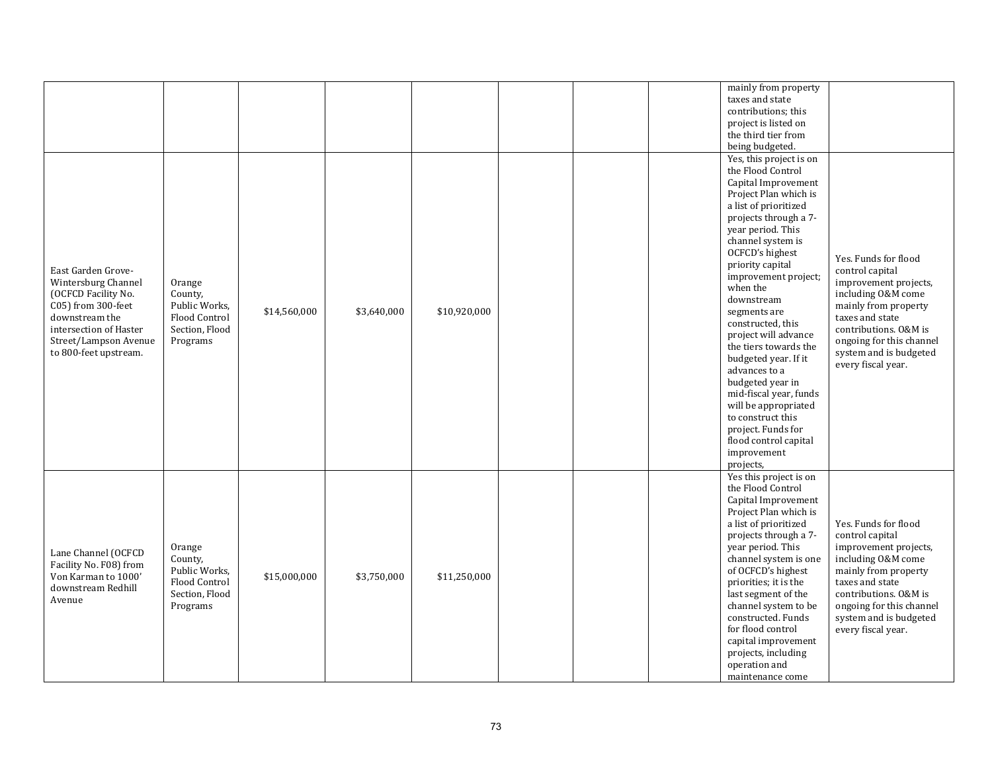|                                                                                                                                                                                      |                                                                                   |              |             |              |  | mainly from property<br>taxes and state<br>contributions; this<br>project is listed on<br>the third tier from<br>being budgeted.                                                                                                                                                                                                                                                                                                                                                                                                                                                       |                                                                                                                                                                                                                                        |
|--------------------------------------------------------------------------------------------------------------------------------------------------------------------------------------|-----------------------------------------------------------------------------------|--------------|-------------|--------------|--|----------------------------------------------------------------------------------------------------------------------------------------------------------------------------------------------------------------------------------------------------------------------------------------------------------------------------------------------------------------------------------------------------------------------------------------------------------------------------------------------------------------------------------------------------------------------------------------|----------------------------------------------------------------------------------------------------------------------------------------------------------------------------------------------------------------------------------------|
| East Garden Grove-<br>Wintersburg Channel<br>(OCFCD Facility No.<br>C05) from 300-feet<br>downstream the<br>intersection of Haster<br>Street/Lampson Avenue<br>to 800-feet upstream. | Orange<br>County,<br>Public Works,<br>Flood Control<br>Section, Flood<br>Programs | \$14,560,000 | \$3,640,000 | \$10,920,000 |  | Yes, this project is on<br>the Flood Control<br>Capital Improvement<br>Project Plan which is<br>a list of prioritized<br>projects through a 7-<br>year period. This<br>channel system is<br>OCFCD's highest<br>priority capital<br>improvement project;<br>when the<br>downstream<br>segments are<br>constructed, this<br>project will advance<br>the tiers towards the<br>budgeted year. If it<br>advances to a<br>budgeted year in<br>mid-fiscal year, funds<br>will be appropriated<br>to construct this<br>project. Funds for<br>flood control capital<br>improvement<br>projects, | Yes. Funds for flood<br>control capital<br>improvement projects,<br>including O&M come<br>mainly from property<br>taxes and state<br>contributions. O&M is<br>ongoing for this channel<br>system and is budgeted<br>every fiscal year. |
| Lane Channel (OCFCD<br>Facility No. F08) from<br>Von Karman to 1000'<br>downstream Redhill<br>Avenue                                                                                 | Orange<br>County,<br>Public Works,<br>Flood Control<br>Section, Flood<br>Programs | \$15,000,000 | \$3,750,000 | \$11,250,000 |  | Yes this project is on<br>the Flood Control<br>Capital Improvement<br>Project Plan which is<br>a list of prioritized<br>projects through a 7-<br>year period. This<br>channel system is one<br>of OCFCD's highest<br>priorities; it is the<br>last segment of the<br>channel system to be<br>constructed. Funds<br>for flood control<br>capital improvement<br>projects, including<br>operation and<br>maintenance come                                                                                                                                                                | Yes. Funds for flood<br>control capital<br>improvement projects,<br>including O&M come<br>mainly from property<br>taxes and state<br>contributions. O&M is<br>ongoing for this channel<br>system and is budgeted<br>every fiscal year. |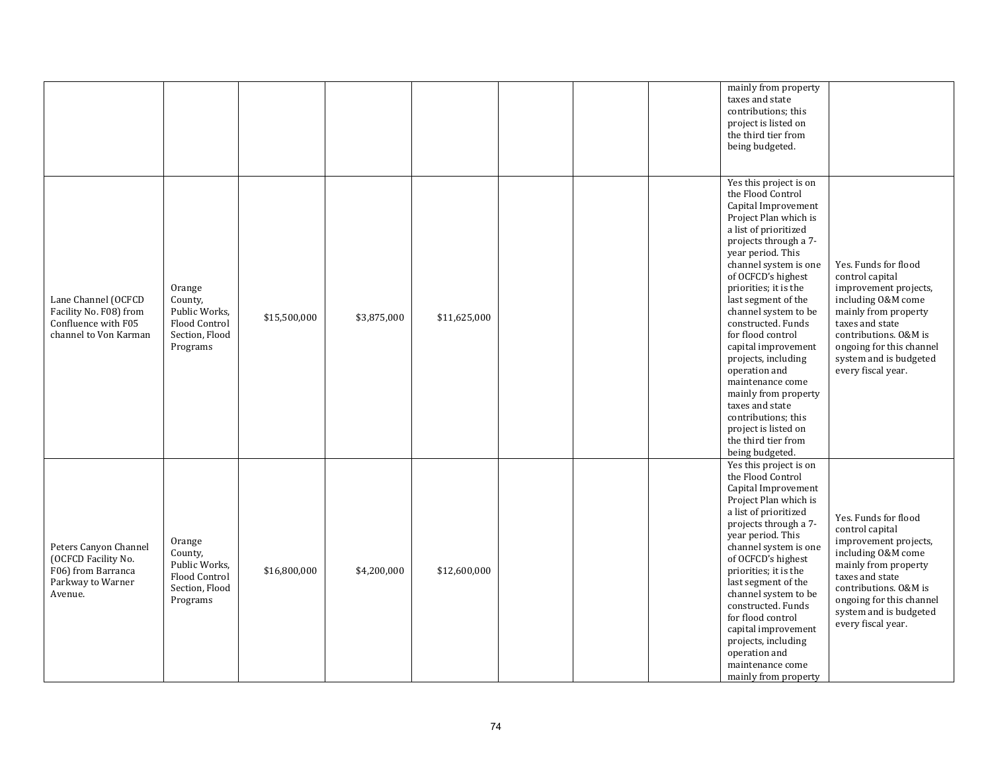|                                                                                                    |                                                                                   |              |             |              |  | mainly from property<br>taxes and state<br>contributions; this<br>project is listed on<br>the third tier from<br>being budgeted.                                                                                                                                                                                                                                                                                                                                                                                                                            |                                                                                                                                                                                                                                        |
|----------------------------------------------------------------------------------------------------|-----------------------------------------------------------------------------------|--------------|-------------|--------------|--|-------------------------------------------------------------------------------------------------------------------------------------------------------------------------------------------------------------------------------------------------------------------------------------------------------------------------------------------------------------------------------------------------------------------------------------------------------------------------------------------------------------------------------------------------------------|----------------------------------------------------------------------------------------------------------------------------------------------------------------------------------------------------------------------------------------|
| Lane Channel (OCFCD<br>Facility No. F08) from<br>Confluence with F05<br>channel to Von Karman      | Orange<br>County,<br>Public Works,<br>Flood Control<br>Section, Flood<br>Programs | \$15,500,000 | \$3,875,000 | \$11,625,000 |  | Yes this project is on<br>the Flood Control<br>Capital Improvement<br>Project Plan which is<br>a list of prioritized<br>projects through a 7-<br>year period. This<br>channel system is one<br>of OCFCD's highest<br>priorities; it is the<br>last segment of the<br>channel system to be<br>constructed. Funds<br>for flood control<br>capital improvement<br>projects, including<br>operation and<br>maintenance come<br>mainly from property<br>taxes and state<br>contributions; this<br>project is listed on<br>the third tier from<br>being budgeted. | Yes. Funds for flood<br>control capital<br>improvement projects,<br>including 0&M come<br>mainly from property<br>taxes and state<br>contributions. O&M is<br>ongoing for this channel<br>system and is budgeted<br>every fiscal year. |
| Peters Canyon Channel<br>(OCFCD Facility No.<br>F06) from Barranca<br>Parkway to Warner<br>Avenue. | Orange<br>County,<br>Public Works,<br>Flood Control<br>Section, Flood<br>Programs | \$16,800,000 | \$4,200,000 | \$12,600,000 |  | Yes this project is on<br>the Flood Control<br>Capital Improvement<br>Project Plan which is<br>a list of prioritized<br>projects through a 7-<br>year period. This<br>channel system is one<br>of OCFCD's highest<br>priorities; it is the<br>last segment of the<br>channel system to be<br>constructed. Funds<br>for flood control<br>capital improvement<br>projects, including<br>operation and<br>maintenance come<br>mainly from property                                                                                                             | Yes. Funds for flood<br>control capital<br>improvement projects,<br>including 0&M come<br>mainly from property<br>taxes and state<br>contributions. O&M is<br>ongoing for this channel<br>system and is budgeted<br>every fiscal year. |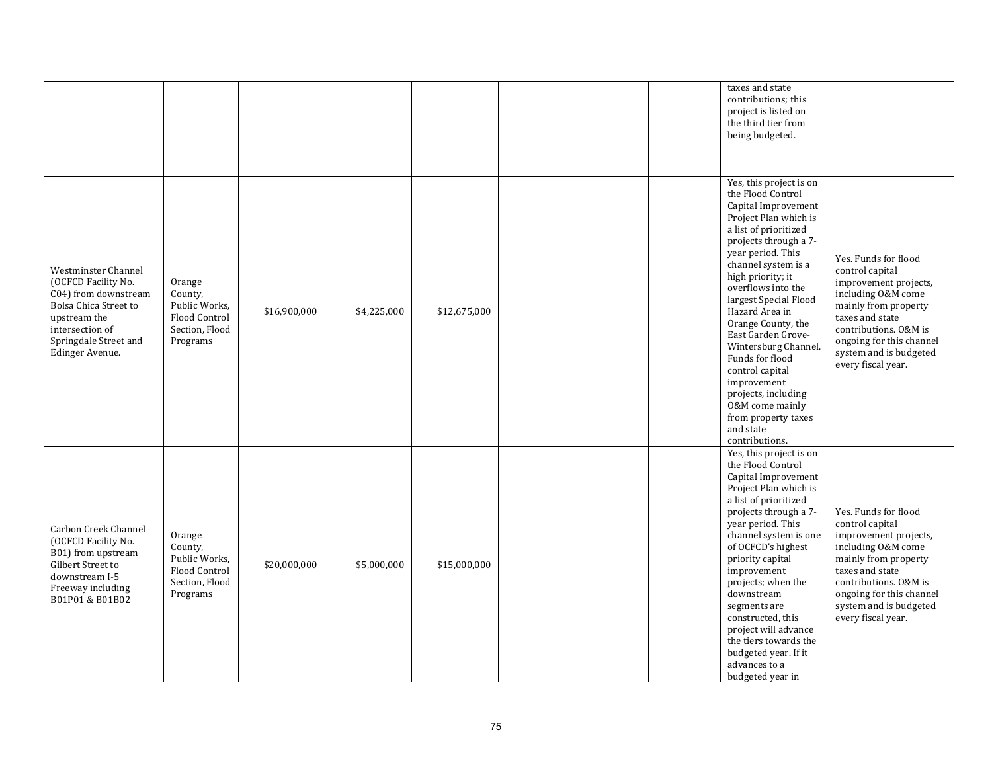|                                                                                                                                                                            |                                                                                          |              |             |              |  | taxes and state<br>contributions; this<br>project is listed on<br>the third tier from<br>being budgeted.                                                                                                                                                                                                                                                                                                                                                                                                  |                                                                                                                                                                                                                                        |
|----------------------------------------------------------------------------------------------------------------------------------------------------------------------------|------------------------------------------------------------------------------------------|--------------|-------------|--------------|--|-----------------------------------------------------------------------------------------------------------------------------------------------------------------------------------------------------------------------------------------------------------------------------------------------------------------------------------------------------------------------------------------------------------------------------------------------------------------------------------------------------------|----------------------------------------------------------------------------------------------------------------------------------------------------------------------------------------------------------------------------------------|
| Westminster Channel<br>(OCFCD Facility No.<br>C04) from downstream<br>Bolsa Chica Street to<br>upstream the<br>intersection of<br>Springdale Street and<br>Edinger Avenue. | Orange<br>County,<br>Public Works,<br><b>Flood Control</b><br>Section, Flood<br>Programs | \$16,900,000 | \$4,225,000 | \$12,675,000 |  | Yes, this project is on<br>the Flood Control<br>Capital Improvement<br>Project Plan which is<br>a list of prioritized<br>projects through a 7-<br>year period. This<br>channel system is a<br>high priority; it<br>overflows into the<br>largest Special Flood<br>Hazard Area in<br>Orange County, the<br>East Garden Grove-<br>Wintersburg Channel.<br>Funds for flood<br>control capital<br>improvement<br>projects, including<br>0&M come mainly<br>from property taxes<br>and state<br>contributions. | Yes. Funds for flood<br>control capital<br>improvement projects,<br>including O&M come<br>mainly from property<br>taxes and state<br>contributions. O&M is<br>ongoing for this channel<br>system and is budgeted<br>every fiscal year. |
| Carbon Creek Channel<br>(OCFCD Facility No.<br>B01) from upstream<br>Gilbert Street to<br>downstream I-5<br>Freeway including<br>B01P01 & B01B02                           | Orange<br>County,<br>Public Works,<br>Flood Control<br>Section, Flood<br>Programs        | \$20,000,000 | \$5,000,000 | \$15,000,000 |  | Yes, this project is on<br>the Flood Control<br>Capital Improvement<br>Project Plan which is<br>a list of prioritized<br>projects through a 7-<br>year period. This<br>channel system is one<br>of OCFCD's highest<br>priority capital<br>improvement<br>projects; when the<br>downstream<br>segments are<br>constructed, this<br>project will advance<br>the tiers towards the<br>budgeted year. If it<br>advances to a<br>budgeted year in                                                              | Yes. Funds for flood<br>control capital<br>improvement projects,<br>including O&M come<br>mainly from property<br>taxes and state<br>contributions. O&M is<br>ongoing for this channel<br>system and is budgeted<br>every fiscal year. |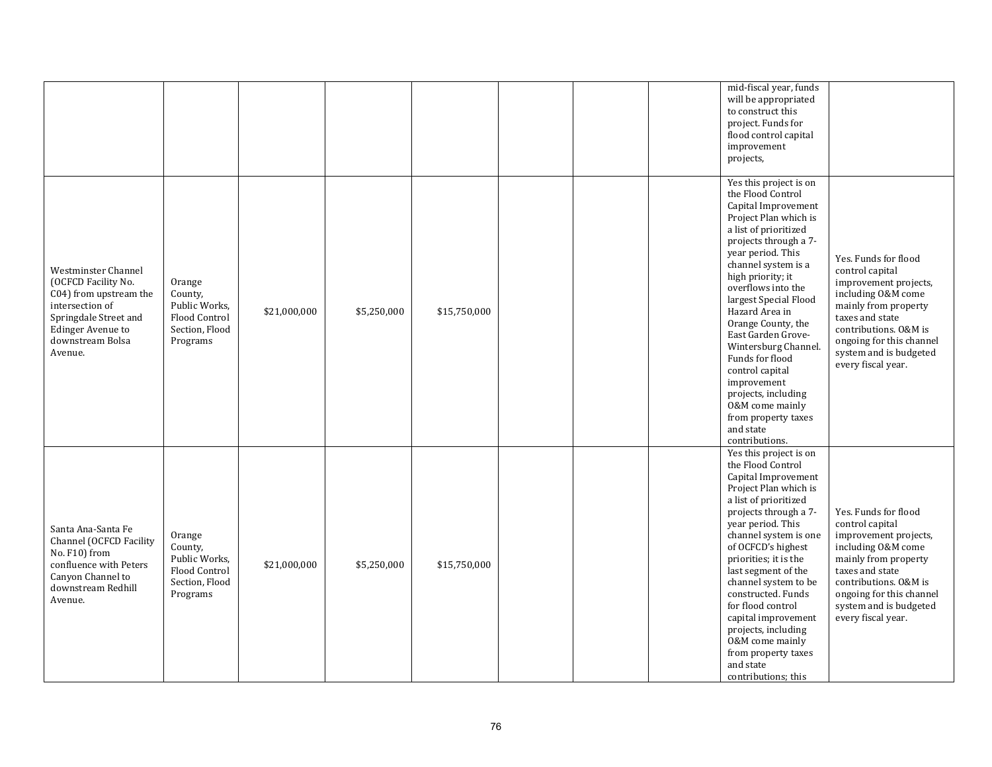|                                                                                                                                                                             |                                                                                   |              |             |              |  | mid-fiscal year, funds<br>will be appropriated<br>to construct this<br>project. Funds for<br>flood control capital<br>improvement<br>projects,                                                                                                                                                                                                                                                                                                                                                           |                                                                                                                                                                                                                                        |
|-----------------------------------------------------------------------------------------------------------------------------------------------------------------------------|-----------------------------------------------------------------------------------|--------------|-------------|--------------|--|----------------------------------------------------------------------------------------------------------------------------------------------------------------------------------------------------------------------------------------------------------------------------------------------------------------------------------------------------------------------------------------------------------------------------------------------------------------------------------------------------------|----------------------------------------------------------------------------------------------------------------------------------------------------------------------------------------------------------------------------------------|
| Westminster Channel<br>(OCFCD Facility No.<br>C04) from upstream the<br>intersection of<br>Springdale Street and<br><b>Edinger Avenue to</b><br>downstream Bolsa<br>Avenue. | Orange<br>County,<br>Public Works,<br>Flood Control<br>Section, Flood<br>Programs | \$21,000,000 | \$5,250,000 | \$15,750,000 |  | Yes this project is on<br>the Flood Control<br>Capital Improvement<br>Project Plan which is<br>a list of prioritized<br>projects through a 7-<br>year period. This<br>channel system is a<br>high priority; it<br>overflows into the<br>largest Special Flood<br>Hazard Area in<br>Orange County, the<br>East Garden Grove-<br>Wintersburg Channel.<br>Funds for flood<br>control capital<br>improvement<br>projects, including<br>0&M come mainly<br>from property taxes<br>and state<br>contributions. | Yes. Funds for flood<br>control capital<br>improvement projects,<br>including 0&M come<br>mainly from property<br>taxes and state<br>contributions. O&M is<br>ongoing for this channel<br>system and is budgeted<br>every fiscal year. |
| Santa Ana-Santa Fe<br>Channel (OCFCD Facility<br>No. F10) from<br>confluence with Peters<br>Canyon Channel to<br>downstream Redhill<br>Avenue.                              | Orange<br>County,<br>Public Works,<br>Flood Control<br>Section, Flood<br>Programs | \$21,000,000 | \$5,250,000 | \$15,750,000 |  | Yes this project is on<br>the Flood Control<br>Capital Improvement<br>Project Plan which is<br>a list of prioritized<br>projects through a 7-<br>year period. This<br>channel system is one<br>of OCFCD's highest<br>priorities; it is the<br>last segment of the<br>channel system to be<br>constructed. Funds<br>for flood control<br>capital improvement<br>projects, including<br>0&M come mainly<br>from property taxes<br>and state<br>contributions; this                                         | Yes. Funds for flood<br>control capital<br>improvement projects,<br>including O&M come<br>mainly from property<br>taxes and state<br>contributions. O&M is<br>ongoing for this channel<br>system and is budgeted<br>every fiscal year. |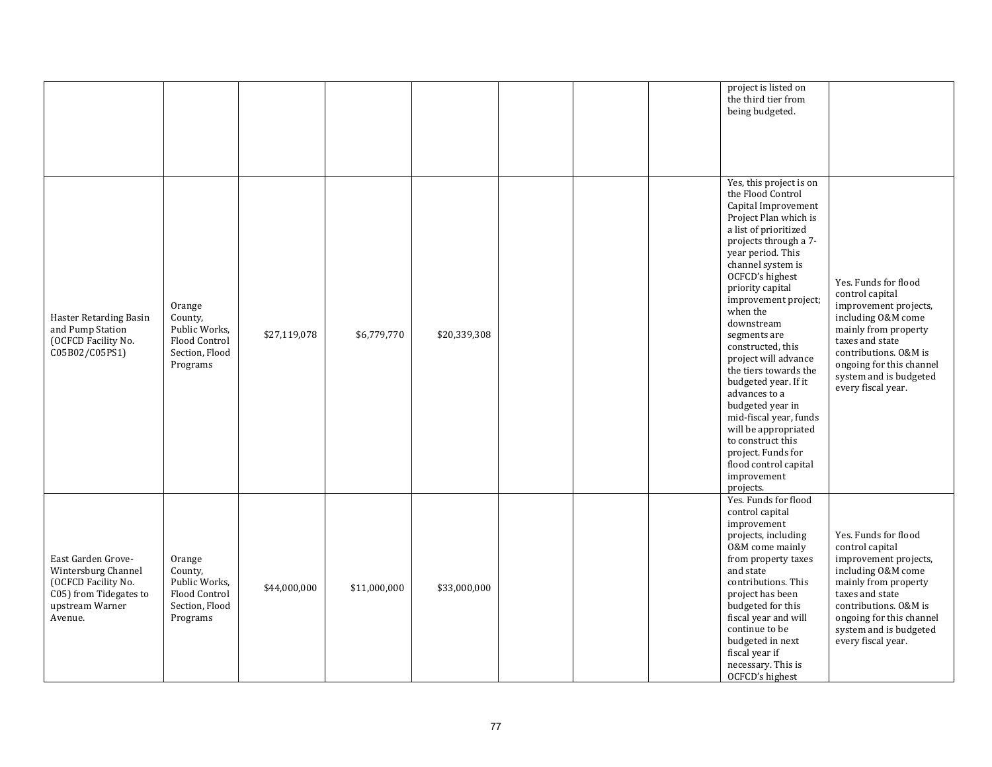|                                                                                                                          |                                                                                   |              |              |              |  | project is listed on<br>the third tier from<br>being budgeted.                                                                                                                                                                                                                                                                                                                                                                                                                                                                                                                         |                                                                                                                                                                                                                                        |
|--------------------------------------------------------------------------------------------------------------------------|-----------------------------------------------------------------------------------|--------------|--------------|--------------|--|----------------------------------------------------------------------------------------------------------------------------------------------------------------------------------------------------------------------------------------------------------------------------------------------------------------------------------------------------------------------------------------------------------------------------------------------------------------------------------------------------------------------------------------------------------------------------------------|----------------------------------------------------------------------------------------------------------------------------------------------------------------------------------------------------------------------------------------|
| Haster Retarding Basin<br>and Pump Station<br>(OCFCD Facility No.<br>C05B02/C05PS1)                                      | Orange<br>County,<br>Public Works,<br>Flood Control<br>Section, Flood<br>Programs | \$27,119,078 | \$6,779,770  | \$20,339,308 |  | Yes, this project is on<br>the Flood Control<br>Capital Improvement<br>Project Plan which is<br>a list of prioritized<br>projects through a 7-<br>year period. This<br>channel system is<br>OCFCD's highest<br>priority capital<br>improvement project;<br>when the<br>downstream<br>segments are<br>constructed, this<br>project will advance<br>the tiers towards the<br>budgeted year. If it<br>advances to a<br>budgeted year in<br>mid-fiscal year, funds<br>will be appropriated<br>to construct this<br>project. Funds for<br>flood control capital<br>improvement<br>projects. | Yes. Funds for flood<br>control capital<br>improvement projects,<br>including O&M come<br>mainly from property<br>taxes and state<br>contributions. O&M is<br>ongoing for this channel<br>system and is budgeted<br>every fiscal year. |
| East Garden Grove-<br>Wintersburg Channel<br>(OCFCD Facility No.<br>C05) from Tidegates to<br>upstream Warner<br>Avenue. | Orange<br>County,<br>Public Works,<br>Flood Control<br>Section, Flood<br>Programs | \$44,000,000 | \$11,000,000 | \$33,000,000 |  | Yes. Funds for flood<br>control capital<br>improvement<br>projects, including<br>0&M come mainly<br>from property taxes<br>and state<br>contributions. This<br>project has been<br>budgeted for this<br>fiscal year and will<br>continue to be<br>budgeted in next<br>fiscal year if<br>necessary. This is<br>OCFCD's highest                                                                                                                                                                                                                                                          | Yes. Funds for flood<br>control capital<br>improvement projects,<br>including O&M come<br>mainly from property<br>taxes and state<br>contributions. O&M is<br>ongoing for this channel<br>system and is budgeted<br>every fiscal year. |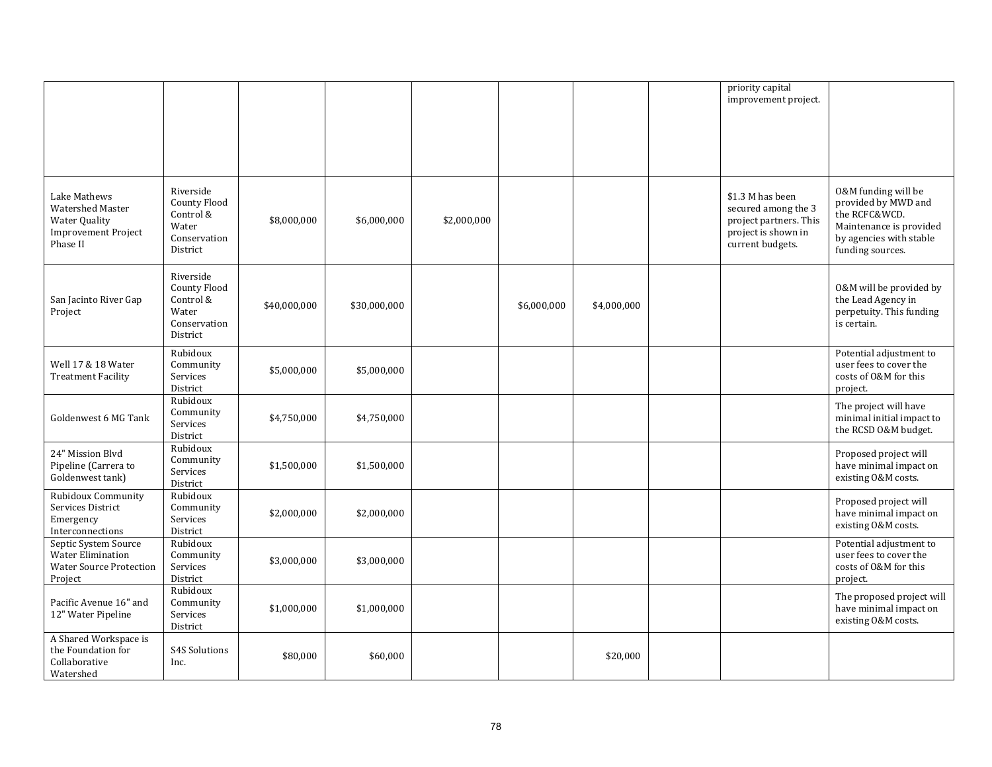|                                                                                               |                                                                                    |              |              |             |             |             | priority capital<br>improvement project.                                                                     |                                                                                                                                       |
|-----------------------------------------------------------------------------------------------|------------------------------------------------------------------------------------|--------------|--------------|-------------|-------------|-------------|--------------------------------------------------------------------------------------------------------------|---------------------------------------------------------------------------------------------------------------------------------------|
| Lake Mathews<br>Watershed Master<br>Water Quality<br><b>Improvement Project</b><br>Phase II   | Riverside<br>County Flood<br>Control &<br>Water<br>Conservation<br>District        | \$8,000,000  | \$6,000,000  | \$2,000,000 |             |             | \$1.3 M has been<br>secured among the 3<br>project partners. This<br>project is shown in<br>current budgets. | 0&M funding will be<br>provided by MWD and<br>the RCFC&WCD.<br>Maintenance is provided<br>by agencies with stable<br>funding sources. |
| San Jacinto River Gap<br>Project                                                              | Riverside<br><b>County Flood</b><br>Control &<br>Water<br>Conservation<br>District | \$40,000,000 | \$30,000,000 |             | \$6,000,000 | \$4,000,000 |                                                                                                              | 0&M will be provided by<br>the Lead Agency in<br>perpetuity. This funding<br>is certain.                                              |
| Well 17 & 18 Water<br><b>Treatment Facility</b>                                               | Rubidoux<br>Community<br>Services<br>District                                      | \$5,000,000  | \$5,000,000  |             |             |             |                                                                                                              | Potential adjustment to<br>user fees to cover the<br>costs of O&M for this<br>project.                                                |
| Goldenwest 6 MG Tank                                                                          | Rubidoux<br>Community<br>Services<br>District                                      | \$4,750,000  | \$4,750,000  |             |             |             |                                                                                                              | The project will have<br>minimal initial impact to<br>the RCSD O&M budget.                                                            |
| 24" Mission Blvd<br>Pipeline (Carrera to<br>Goldenwest tank)                                  | Rubidoux<br>Community<br>Services<br>District                                      | \$1,500,000  | \$1,500,000  |             |             |             |                                                                                                              | Proposed project will<br>have minimal impact on<br>existing O&M costs.                                                                |
| Rubidoux Community<br>Services District<br>Emergency<br>Interconnections                      | Rubidoux<br>Community<br>Services<br>District                                      | \$2,000,000  | \$2,000,000  |             |             |             |                                                                                                              | Proposed project will<br>have minimal impact on<br>existing O&M costs.                                                                |
| Septic System Source<br><b>Water Elimination</b><br><b>Water Source Protection</b><br>Project | Rubidoux<br>Community<br>Services<br>District                                      | \$3,000,000  | \$3,000,000  |             |             |             |                                                                                                              | Potential adjustment to<br>user fees to cover the<br>costs of O&M for this<br>project.                                                |
| Pacific Avenue 16" and<br>12" Water Pipeline                                                  | Rubidoux<br>Community<br>Services<br>District                                      | \$1,000,000  | \$1,000,000  |             |             |             |                                                                                                              | The proposed project will<br>have minimal impact on<br>existing O&M costs.                                                            |
| A Shared Workspace is<br>the Foundation for<br>Collaborative<br>Watershed                     | <b>S4S Solutions</b><br>Inc.                                                       | \$80,000     | \$60,000     |             |             | \$20,000    |                                                                                                              |                                                                                                                                       |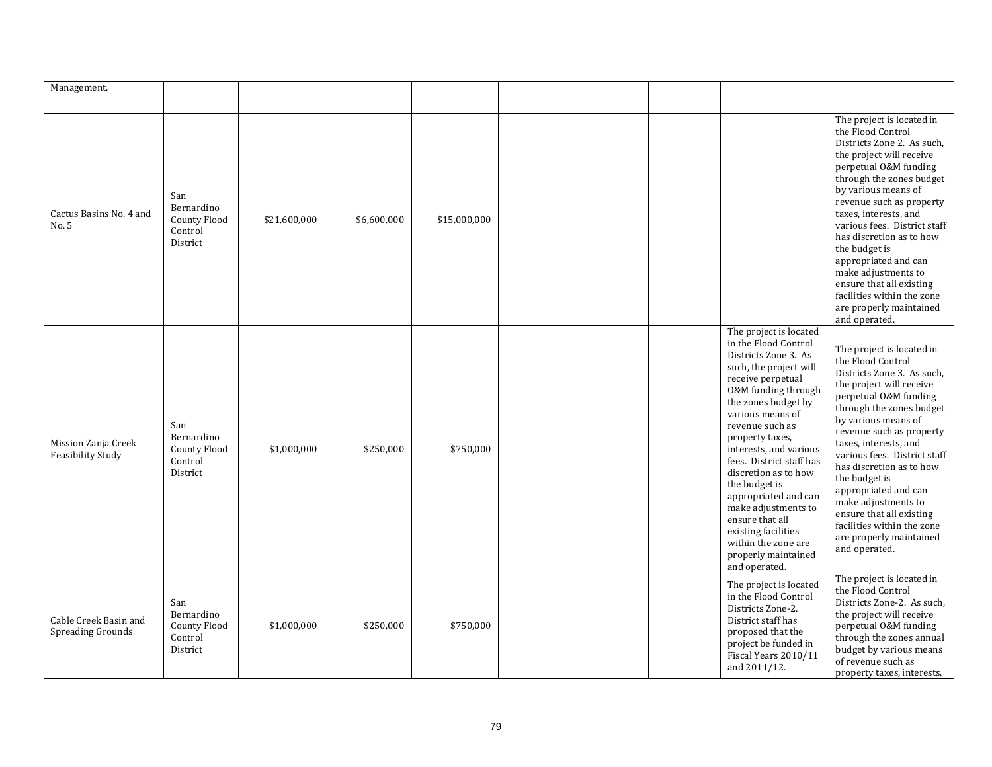| Management.                                     |                                                                 |              |             |              |  |                                                                                                                                                                                                                                                                                                                                                                                                                                                                                      |                                                                                                                                                                                                                                                                                                                                                                                                                                                                             |
|-------------------------------------------------|-----------------------------------------------------------------|--------------|-------------|--------------|--|--------------------------------------------------------------------------------------------------------------------------------------------------------------------------------------------------------------------------------------------------------------------------------------------------------------------------------------------------------------------------------------------------------------------------------------------------------------------------------------|-----------------------------------------------------------------------------------------------------------------------------------------------------------------------------------------------------------------------------------------------------------------------------------------------------------------------------------------------------------------------------------------------------------------------------------------------------------------------------|
| Cactus Basins No. 4 and<br>No. 5                | San<br>Bernardino<br><b>County Flood</b><br>Control<br>District | \$21,600,000 | \$6,600,000 | \$15,000,000 |  |                                                                                                                                                                                                                                                                                                                                                                                                                                                                                      | The project is located in<br>the Flood Control<br>Districts Zone 2. As such,<br>the project will receive<br>perpetual O&M funding<br>through the zones budget<br>by various means of<br>revenue such as property<br>taxes, interests, and<br>various fees. District staff<br>has discretion as to how<br>the budget is<br>appropriated and can<br>make adjustments to<br>ensure that all existing<br>facilities within the zone<br>are properly maintained<br>and operated. |
| Mission Zanja Creek<br><b>Feasibility Study</b> | San<br>Bernardino<br>County Flood<br>Control<br>District        | \$1,000,000  | \$250,000   | \$750,000    |  | The project is located<br>in the Flood Control<br>Districts Zone 3. As<br>such, the project will<br>receive perpetual<br>0&M funding through<br>the zones budget by<br>various means of<br>revenue such as<br>property taxes,<br>interests, and various<br>fees. District staff has<br>discretion as to how<br>the budget is<br>appropriated and can<br>make adjustments to<br>ensure that all<br>existing facilities<br>within the zone are<br>properly maintained<br>and operated. | The project is located in<br>the Flood Control<br>Districts Zone 3. As such,<br>the project will receive<br>perpetual O&M funding<br>through the zones budget<br>by various means of<br>revenue such as property<br>taxes, interests, and<br>various fees. District staff<br>has discretion as to how<br>the budget is<br>appropriated and can<br>make adjustments to<br>ensure that all existing<br>facilities within the zone<br>are properly maintained<br>and operated. |
| Cable Creek Basin and<br>Spreading Grounds      | San<br>Bernardino<br><b>County Flood</b><br>Control<br>District | \$1,000,000  | \$250,000   | \$750,000    |  | The project is located<br>in the Flood Control<br>Districts Zone-2.<br>District staff has<br>proposed that the<br>project be funded in<br>Fiscal Years 2010/11<br>and 2011/12.                                                                                                                                                                                                                                                                                                       | The project is located in<br>the Flood Control<br>Districts Zone-2. As such,<br>the project will receive<br>perpetual O&M funding<br>through the zones annual<br>budget by various means<br>of revenue such as<br>property taxes, interests,                                                                                                                                                                                                                                |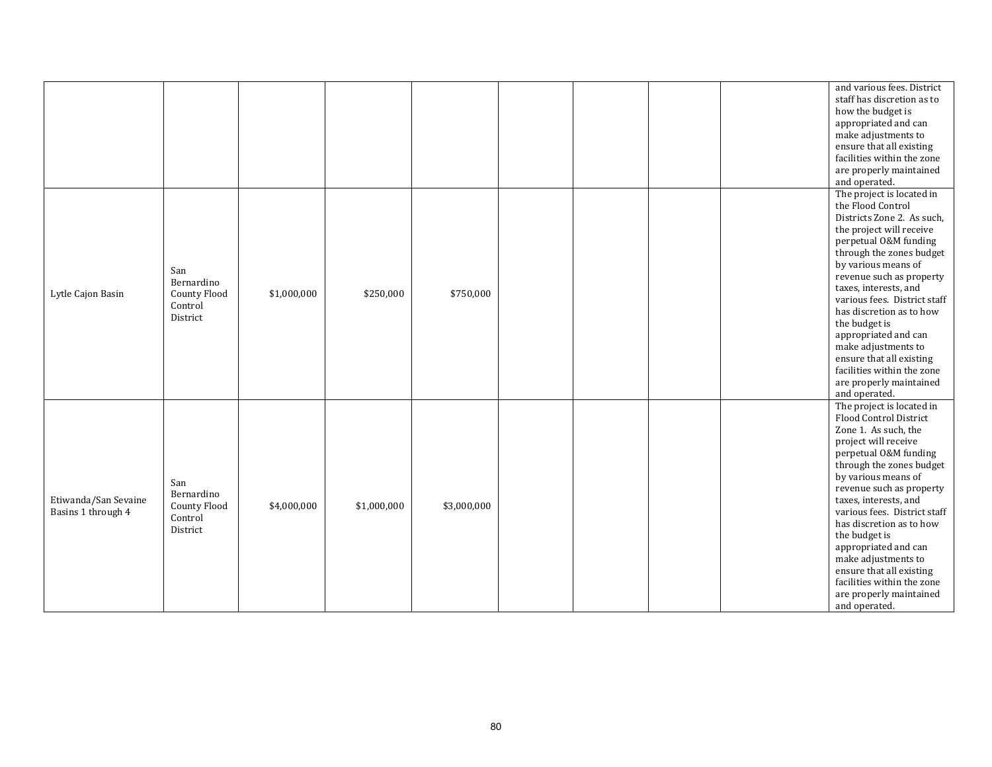|                                            |                                                                 |             |             |             |  |  | and various fees. District<br>staff has discretion as to<br>how the budget is<br>appropriated and can<br>make adjustments to<br>ensure that all existing<br>facilities within the zone<br>are properly maintained                                                                                                                                                                                                                                                                            |
|--------------------------------------------|-----------------------------------------------------------------|-------------|-------------|-------------|--|--|----------------------------------------------------------------------------------------------------------------------------------------------------------------------------------------------------------------------------------------------------------------------------------------------------------------------------------------------------------------------------------------------------------------------------------------------------------------------------------------------|
| Lytle Cajon Basin                          | San<br>Bernardino<br><b>County Flood</b><br>Control<br>District | \$1,000,000 | \$250,000   | \$750,000   |  |  | and operated.<br>The project is located in<br>the Flood Control<br>Districts Zone 2. As such,<br>the project will receive<br>perpetual O&M funding<br>through the zones budget<br>by various means of<br>revenue such as property<br>taxes, interests, and<br>various fees. District staff<br>has discretion as to how<br>the budget is<br>appropriated and can<br>make adjustments to<br>ensure that all existing<br>facilities within the zone<br>are properly maintained<br>and operated. |
| Etiwanda/San Sevaine<br>Basins 1 through 4 | San<br>Bernardino<br>County Flood<br>Control<br>District        | \$4,000,000 | \$1,000,000 | \$3,000,000 |  |  | The project is located in<br>Flood Control District<br>Zone 1. As such, the<br>project will receive<br>perpetual O&M funding<br>through the zones budget<br>by various means of<br>revenue such as property<br>taxes, interests, and<br>various fees. District staff<br>has discretion as to how<br>the budget is<br>appropriated and can<br>make adjustments to<br>ensure that all existing<br>facilities within the zone<br>are properly maintained<br>and operated.                       |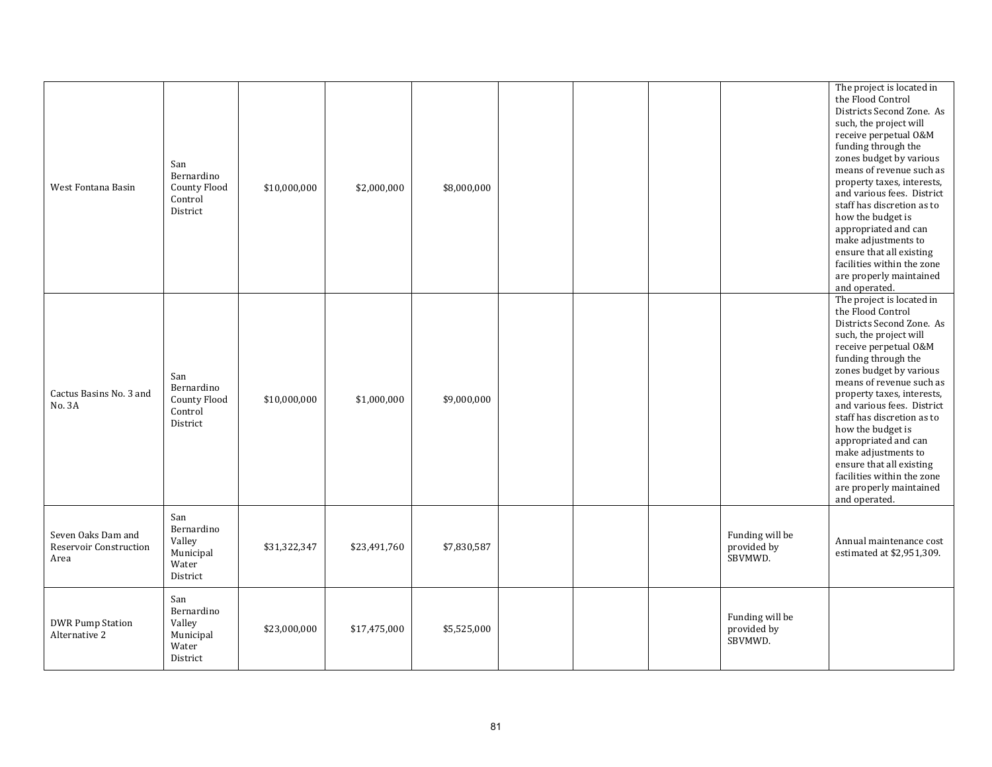| West Fontana Basin                                          | San<br>Bernardino<br>County Flood<br>Control<br>District      | \$10,000,000 | \$2,000,000  | \$8,000,000 |  |                                           | The project is located in<br>the Flood Control<br>Districts Second Zone. As<br>such, the project will<br>receive perpetual O&M<br>funding through the<br>zones budget by various<br>means of revenue such as<br>property taxes, interests,<br>and various fees. District<br>staff has discretion as to<br>how the budget is<br>appropriated and can<br>make adjustments to<br>ensure that all existing<br>facilities within the zone<br>are properly maintained<br>and operated. |
|-------------------------------------------------------------|---------------------------------------------------------------|--------------|--------------|-------------|--|-------------------------------------------|----------------------------------------------------------------------------------------------------------------------------------------------------------------------------------------------------------------------------------------------------------------------------------------------------------------------------------------------------------------------------------------------------------------------------------------------------------------------------------|
| Cactus Basins No. 3 and<br>No. 3A                           | San<br>Bernardino<br>County Flood<br>Control<br>District      | \$10,000,000 | \$1,000,000  | \$9,000,000 |  |                                           | The project is located in<br>the Flood Control<br>Districts Second Zone. As<br>such, the project will<br>receive perpetual O&M<br>funding through the<br>zones budget by various<br>means of revenue such as<br>property taxes, interests,<br>and various fees. District<br>staff has discretion as to<br>how the budget is<br>appropriated and can<br>make adjustments to<br>ensure that all existing<br>facilities within the zone<br>are properly maintained<br>and operated. |
| Seven Oaks Dam and<br><b>Reservoir Construction</b><br>Area | San<br>Bernardino<br>Valley<br>Municipal<br>Water<br>District | \$31,322,347 | \$23,491,760 | \$7,830,587 |  | Funding will be<br>provided by<br>SBVMWD. | Annual maintenance cost<br>estimated at \$2,951,309.                                                                                                                                                                                                                                                                                                                                                                                                                             |
| <b>DWR Pump Station</b><br>Alternative 2                    | San<br>Bernardino<br>Valley<br>Municipal<br>Water<br>District | \$23,000,000 | \$17,475,000 | \$5,525,000 |  | Funding will be<br>provided by<br>SBVMWD. |                                                                                                                                                                                                                                                                                                                                                                                                                                                                                  |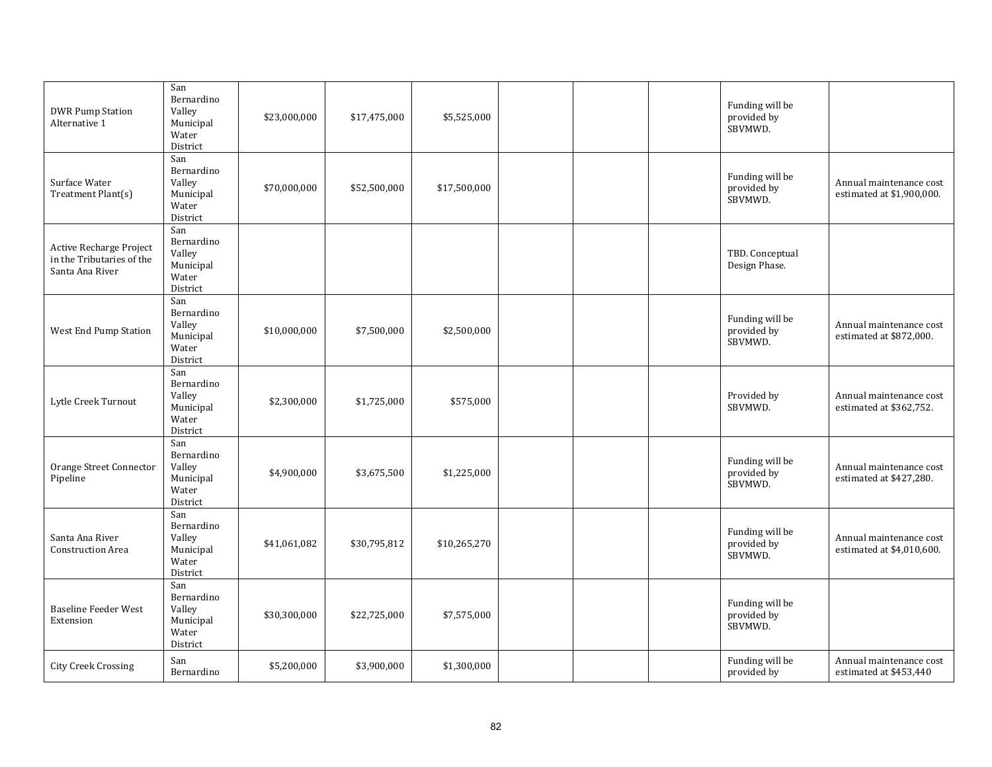| <b>DWR Pump Station</b><br>Alternative 1                                | San<br>Bernardino<br>Valley<br>Municipal<br>Water<br>District | \$23,000,000 | \$17,475,000 | \$5,525,000  |  | Funding will be<br>provided by<br>SBVMWD. |                                                      |
|-------------------------------------------------------------------------|---------------------------------------------------------------|--------------|--------------|--------------|--|-------------------------------------------|------------------------------------------------------|
| Surface Water<br>Treatment Plant(s)                                     | San<br>Bernardino<br>Valley<br>Municipal<br>Water<br>District | \$70,000,000 | \$52,500,000 | \$17,500,000 |  | Funding will be<br>provided by<br>SBVMWD. | Annual maintenance cost<br>estimated at \$1,900,000. |
| Active Recharge Project<br>in the Tributaries of the<br>Santa Ana River | San<br>Bernardino<br>Valley<br>Municipal<br>Water<br>District |              |              |              |  | TBD. Conceptual<br>Design Phase.          |                                                      |
| West End Pump Station                                                   | San<br>Bernardino<br>Valley<br>Municipal<br>Water<br>District | \$10,000,000 | \$7,500,000  | \$2,500,000  |  | Funding will be<br>provided by<br>SBVMWD. | Annual maintenance cost<br>estimated at \$872,000.   |
| Lytle Creek Turnout                                                     | San<br>Bernardino<br>Valley<br>Municipal<br>Water<br>District | \$2,300,000  | \$1,725,000  | \$575,000    |  | Provided by<br>SBVMWD.                    | Annual maintenance cost<br>estimated at \$362,752.   |
| Orange Street Connector<br>Pipeline                                     | San<br>Bernardino<br>Valley<br>Municipal<br>Water<br>District | \$4,900,000  | \$3,675,500  | \$1,225,000  |  | Funding will be<br>provided by<br>SBVMWD. | Annual maintenance cost<br>estimated at \$427,280.   |
| Santa Ana River<br><b>Construction Area</b>                             | San<br>Bernardino<br>Valley<br>Municipal<br>Water<br>District | \$41,061,082 | \$30,795,812 | \$10,265,270 |  | Funding will be<br>provided by<br>SBVMWD. | Annual maintenance cost<br>estimated at \$4,010,600. |
| <b>Baseline Feeder West</b><br>Extension                                | San<br>Bernardino<br>Valley<br>Municipal<br>Water<br>District | \$30,300,000 | \$22,725,000 | \$7,575,000  |  | Funding will be<br>provided by<br>SBVMWD. |                                                      |
| City Creek Crossing                                                     | San<br>Bernardino                                             | \$5,200,000  | \$3,900,000  | \$1,300,000  |  | Funding will be<br>provided by            | Annual maintenance cost<br>estimated at \$453,440    |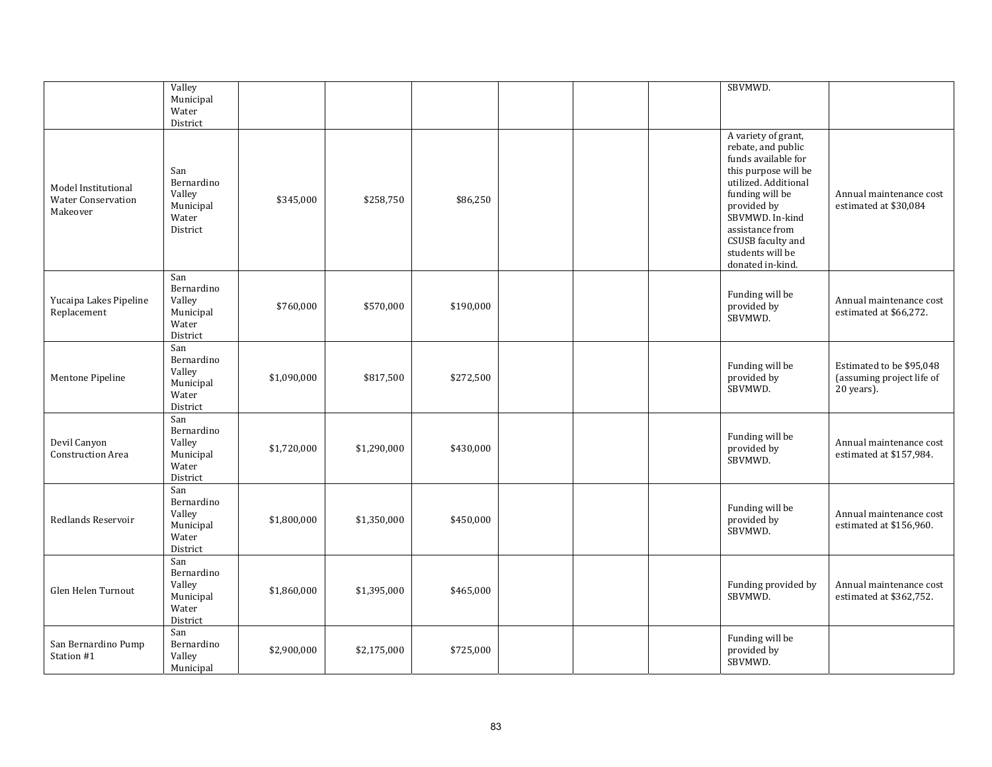|                                                              | Valley                                                        |             |             |           |  | SBVMWD.                                                                                                                                                                                                                                               |                                                                     |
|--------------------------------------------------------------|---------------------------------------------------------------|-------------|-------------|-----------|--|-------------------------------------------------------------------------------------------------------------------------------------------------------------------------------------------------------------------------------------------------------|---------------------------------------------------------------------|
|                                                              | Municipal<br>Water                                            |             |             |           |  |                                                                                                                                                                                                                                                       |                                                                     |
|                                                              | District                                                      |             |             |           |  |                                                                                                                                                                                                                                                       |                                                                     |
| Model Institutional<br><b>Water Conservation</b><br>Makeover | San<br>Bernardino<br>Valley<br>Municipal<br>Water<br>District | \$345,000   | \$258,750   | \$86,250  |  | A variety of grant,<br>rebate, and public<br>funds available for<br>this purpose will be<br>utilized. Additional<br>funding will be<br>provided by<br>SBVMWD. In-kind<br>assistance from<br>CSUSB faculty and<br>students will be<br>donated in-kind. | Annual maintenance cost<br>estimated at \$30,084                    |
| Yucaipa Lakes Pipeline<br>Replacement                        | San<br>Bernardino<br>Valley<br>Municipal<br>Water<br>District | \$760,000   | \$570,000   | \$190,000 |  | Funding will be<br>provided by<br>SBVMWD.                                                                                                                                                                                                             | Annual maintenance cost<br>estimated at \$66,272.                   |
| Mentone Pipeline                                             | San<br>Bernardino<br>Valley<br>Municipal<br>Water<br>District | \$1,090,000 | \$817,500   | \$272,500 |  | Funding will be<br>provided by<br>SBVMWD.                                                                                                                                                                                                             | Estimated to be \$95,048<br>(assuming project life of<br>20 years). |
| Devil Canyon<br><b>Construction Area</b>                     | San<br>Bernardino<br>Valley<br>Municipal<br>Water<br>District | \$1,720,000 | \$1,290,000 | \$430,000 |  | Funding will be<br>provided by<br>SBVMWD.                                                                                                                                                                                                             | Annual maintenance cost<br>estimated at \$157,984.                  |
| Redlands Reservoir                                           | San<br>Bernardino<br>Valley<br>Municipal<br>Water<br>District | \$1,800,000 | \$1,350,000 | \$450,000 |  | Funding will be<br>provided by<br>SBVMWD.                                                                                                                                                                                                             | Annual maintenance cost<br>estimated at \$156,960.                  |
| Glen Helen Turnout                                           | San<br>Bernardino<br>Valley<br>Municipal<br>Water<br>District | \$1,860,000 | \$1,395,000 | \$465,000 |  | Funding provided by<br>SBVMWD.                                                                                                                                                                                                                        | Annual maintenance cost<br>estimated at \$362,752.                  |
| San Bernardino Pump<br>Station #1                            | San<br>Bernardino<br>Valley<br>Municipal                      | \$2,900,000 | \$2,175,000 | \$725,000 |  | Funding will be<br>provided by<br>SBVMWD.                                                                                                                                                                                                             |                                                                     |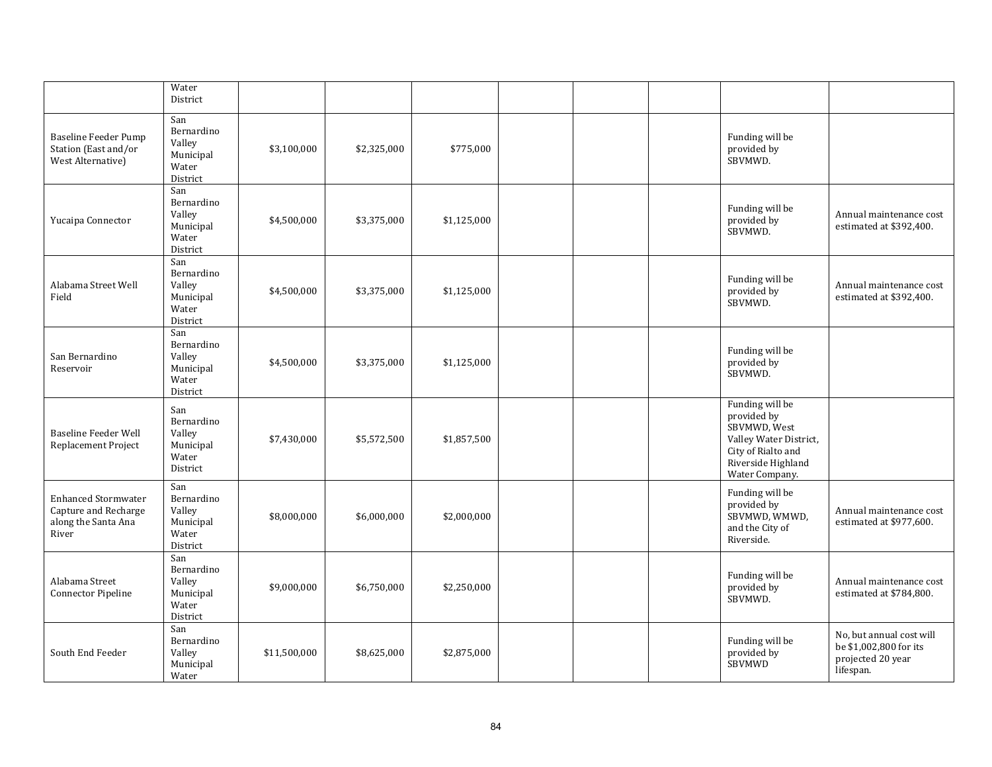|                                                                                    | Water<br>District                                             |              |             |             |  |                                                                                                                                        |                                                                                      |
|------------------------------------------------------------------------------------|---------------------------------------------------------------|--------------|-------------|-------------|--|----------------------------------------------------------------------------------------------------------------------------------------|--------------------------------------------------------------------------------------|
| Baseline Feeder Pump<br>Station (East and/or<br>West Alternative)                  | San<br>Bernardino<br>Valley<br>Municipal<br>Water<br>District | \$3,100,000  | \$2,325,000 | \$775,000   |  | Funding will be<br>provided by<br>SBVMWD.                                                                                              |                                                                                      |
| Yucaipa Connector                                                                  | San<br>Bernardino<br>Valley<br>Municipal<br>Water<br>District | \$4,500,000  | \$3,375,000 | \$1,125,000 |  | Funding will be<br>provided by<br>SBVMWD.                                                                                              | Annual maintenance cost<br>estimated at \$392,400.                                   |
| Alabama Street Well<br>Field                                                       | San<br>Bernardino<br>Valley<br>Municipal<br>Water<br>District | \$4,500,000  | \$3,375,000 | \$1,125,000 |  | Funding will be<br>provided by<br>SBVMWD.                                                                                              | Annual maintenance cost<br>estimated at \$392,400.                                   |
| San Bernardino<br>Reservoir                                                        | San<br>Bernardino<br>Valley<br>Municipal<br>Water<br>District | \$4,500,000  | \$3,375,000 | \$1,125,000 |  | Funding will be<br>provided by<br>SBVMWD.                                                                                              |                                                                                      |
| <b>Baseline Feeder Well</b><br>Replacement Project                                 | San<br>Bernardino<br>Valley<br>Municipal<br>Water<br>District | \$7,430,000  | \$5,572,500 | \$1,857,500 |  | Funding will be<br>provided by<br>SBVMWD, West<br>Valley Water District,<br>City of Rialto and<br>Riverside Highland<br>Water Company. |                                                                                      |
| <b>Enhanced Stormwater</b><br>Capture and Recharge<br>along the Santa Ana<br>River | San<br>Bernardino<br>Valley<br>Municipal<br>Water<br>District | \$8,000,000  | \$6,000,000 | \$2,000,000 |  | Funding will be<br>provided by<br>SBVMWD, WMWD,<br>and the City of<br>Riverside.                                                       | Annual maintenance cost<br>estimated at \$977,600.                                   |
| Alabama Street<br><b>Connector Pipeline</b>                                        | San<br>Bernardino<br>Valley<br>Municipal<br>Water<br>District | \$9,000,000  | \$6,750,000 | \$2,250,000 |  | Funding will be<br>provided by<br>SBVMWD.                                                                                              | Annual maintenance cost<br>estimated at \$784,800.                                   |
| South End Feeder                                                                   | San<br>Bernardino<br>Valley<br>Municipal<br>Water             | \$11,500,000 | \$8,625,000 | \$2,875,000 |  | Funding will be<br>provided by<br>SBVMWD                                                                                               | No, but annual cost will<br>be \$1,002,800 for its<br>projected 20 year<br>lifespan. |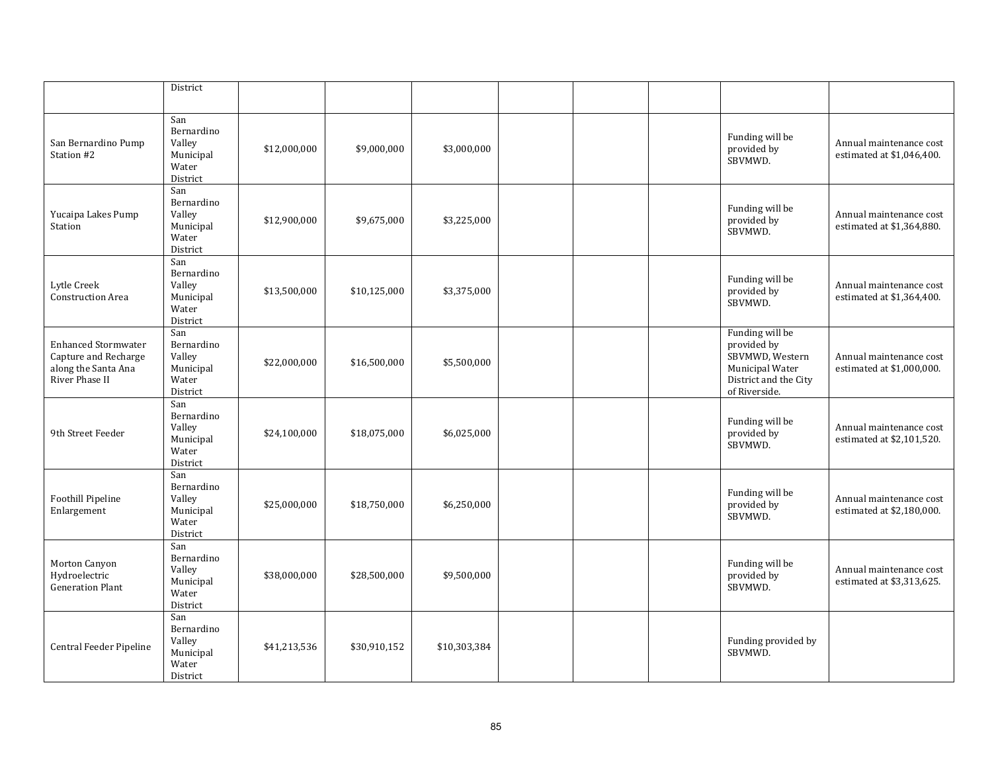|                                                                                             | District                                                      |              |              |              |  |                                                                                                                |                                                      |
|---------------------------------------------------------------------------------------------|---------------------------------------------------------------|--------------|--------------|--------------|--|----------------------------------------------------------------------------------------------------------------|------------------------------------------------------|
| San Bernardino Pump<br>Station #2                                                           | San<br>Bernardino<br>Valley<br>Municipal<br>Water<br>District | \$12,000,000 | \$9,000,000  | \$3,000,000  |  | Funding will be<br>provided by<br>SBVMWD.                                                                      | Annual maintenance cost<br>estimated at \$1,046,400. |
| Yucaipa Lakes Pump<br>Station                                                               | San<br>Bernardino<br>Valley<br>Municipal<br>Water<br>District | \$12,900,000 | \$9,675,000  | \$3,225,000  |  | Funding will be<br>provided by<br>SBVMWD.                                                                      | Annual maintenance cost<br>estimated at \$1,364,880. |
| Lytle Creek<br><b>Construction Area</b>                                                     | San<br>Bernardino<br>Valley<br>Municipal<br>Water<br>District | \$13,500,000 | \$10,125,000 | \$3,375,000  |  | Funding will be<br>provided by<br>SBVMWD.                                                                      | Annual maintenance cost<br>estimated at \$1,364,400. |
| <b>Enhanced Stormwater</b><br>Capture and Recharge<br>along the Santa Ana<br>River Phase II | San<br>Bernardino<br>Valley<br>Municipal<br>Water<br>District | \$22,000,000 | \$16,500,000 | \$5,500,000  |  | Funding will be<br>provided by<br>SBVMWD, Western<br>Municipal Water<br>District and the City<br>of Riverside. | Annual maintenance cost<br>estimated at \$1,000,000. |
| 9th Street Feeder                                                                           | San<br>Bernardino<br>Valley<br>Municipal<br>Water<br>District | \$24,100,000 | \$18,075,000 | \$6,025,000  |  | Funding will be<br>provided by<br>SBVMWD.                                                                      | Annual maintenance cost<br>estimated at \$2,101,520. |
| Foothill Pipeline<br>Enlargement                                                            | San<br>Bernardino<br>Valley<br>Municipal<br>Water<br>District | \$25,000,000 | \$18,750,000 | \$6,250,000  |  | Funding will be<br>provided by<br>SBVMWD.                                                                      | Annual maintenance cost<br>estimated at \$2,180,000. |
| Morton Canyon<br>Hydroelectric<br><b>Generation Plant</b>                                   | San<br>Bernardino<br>Valley<br>Municipal<br>Water<br>District | \$38,000,000 | \$28,500,000 | \$9,500,000  |  | Funding will be<br>provided by<br>SBVMWD.                                                                      | Annual maintenance cost<br>estimated at \$3,313,625. |
| Central Feeder Pipeline                                                                     | San<br>Bernardino<br>Valley<br>Municipal<br>Water<br>District | \$41,213,536 | \$30,910,152 | \$10,303,384 |  | Funding provided by<br>SBVMWD.                                                                                 |                                                      |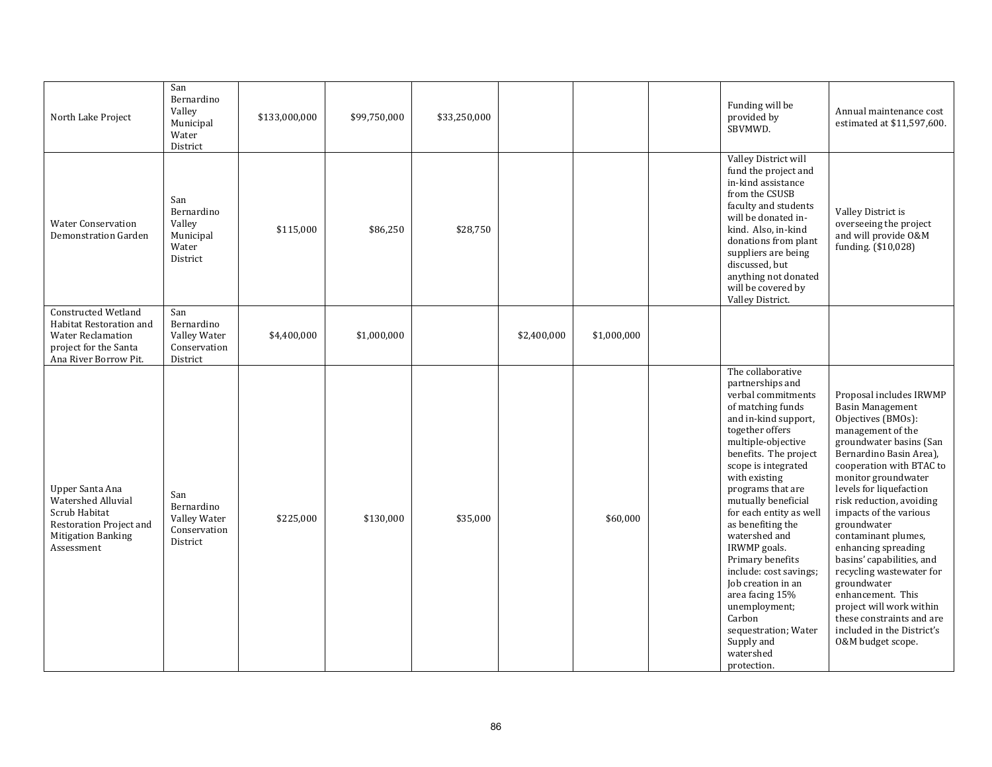| North Lake Project                                                                                                           | San<br>Bernardino<br>Valley<br>Municipal<br>Water<br>District | \$133,000,000 | \$99,750,000 | \$33,250,000 |             |             | Funding will be<br>provided by<br>SBVMWD.                                                                                                                                                                                                                                                                                                                                                                                                                                                                                           | Annual maintenance cost<br>estimated at \$11,597,600.                                                                                                                                                                                                                                                                                                                                                                                                                                                                                                         |
|------------------------------------------------------------------------------------------------------------------------------|---------------------------------------------------------------|---------------|--------------|--------------|-------------|-------------|-------------------------------------------------------------------------------------------------------------------------------------------------------------------------------------------------------------------------------------------------------------------------------------------------------------------------------------------------------------------------------------------------------------------------------------------------------------------------------------------------------------------------------------|---------------------------------------------------------------------------------------------------------------------------------------------------------------------------------------------------------------------------------------------------------------------------------------------------------------------------------------------------------------------------------------------------------------------------------------------------------------------------------------------------------------------------------------------------------------|
| <b>Water Conservation</b><br><b>Demonstration Garden</b>                                                                     | San<br>Bernardino<br>Valley<br>Municipal<br>Water<br>District | \$115,000     | \$86,250     | \$28,750     |             |             | Valley District will<br>fund the project and<br>in-kind assistance<br>from the CSUSB<br>faculty and students<br>will be donated in-<br>kind. Also, in-kind<br>donations from plant<br>suppliers are being<br>discussed, but<br>anything not donated<br>will be covered by<br>Valley District.                                                                                                                                                                                                                                       | Valley District is<br>overseeing the project<br>and will provide O&M<br>funding. (\$10,028)                                                                                                                                                                                                                                                                                                                                                                                                                                                                   |
| Constructed Wetland<br>Habitat Restoration and<br><b>Water Reclamation</b><br>project for the Santa<br>Ana River Borrow Pit. | San<br>Bernardino<br>Valley Water<br>Conservation<br>District | \$4,400,000   | \$1,000,000  |              | \$2,400,000 | \$1,000,000 |                                                                                                                                                                                                                                                                                                                                                                                                                                                                                                                                     |                                                                                                                                                                                                                                                                                                                                                                                                                                                                                                                                                               |
| Upper Santa Ana<br>Watershed Alluvial<br>Scrub Habitat<br>Restoration Project and<br><b>Mitigation Banking</b><br>Assessment | San<br>Bernardino<br>Valley Water<br>Conservation<br>District | \$225,000     | \$130,000    | \$35,000     |             | \$60,000    | The collaborative<br>partnerships and<br>verbal commitments<br>of matching funds<br>and in-kind support,<br>together offers<br>multiple-objective<br>benefits. The project<br>scope is integrated<br>with existing<br>programs that are<br>mutually beneficial<br>for each entity as well<br>as benefiting the<br>watershed and<br>IRWMP goals.<br>Primary benefits<br>include: cost savings;<br>Job creation in an<br>area facing 15%<br>unemployment;<br>Carbon<br>sequestration; Water<br>Supply and<br>watershed<br>protection. | Proposal includes IRWMP<br><b>Basin Management</b><br>Objectives (BMOs):<br>management of the<br>groundwater basins (San<br>Bernardino Basin Area),<br>cooperation with BTAC to<br>monitor groundwater<br>levels for liquefaction<br>risk reduction, avoiding<br>impacts of the various<br>groundwater<br>contaminant plumes,<br>enhancing spreading<br>basins' capabilities, and<br>recycling wastewater for<br>groundwater<br>enhancement. This<br>project will work within<br>these constraints and are<br>included in the District's<br>0&M budget scope. |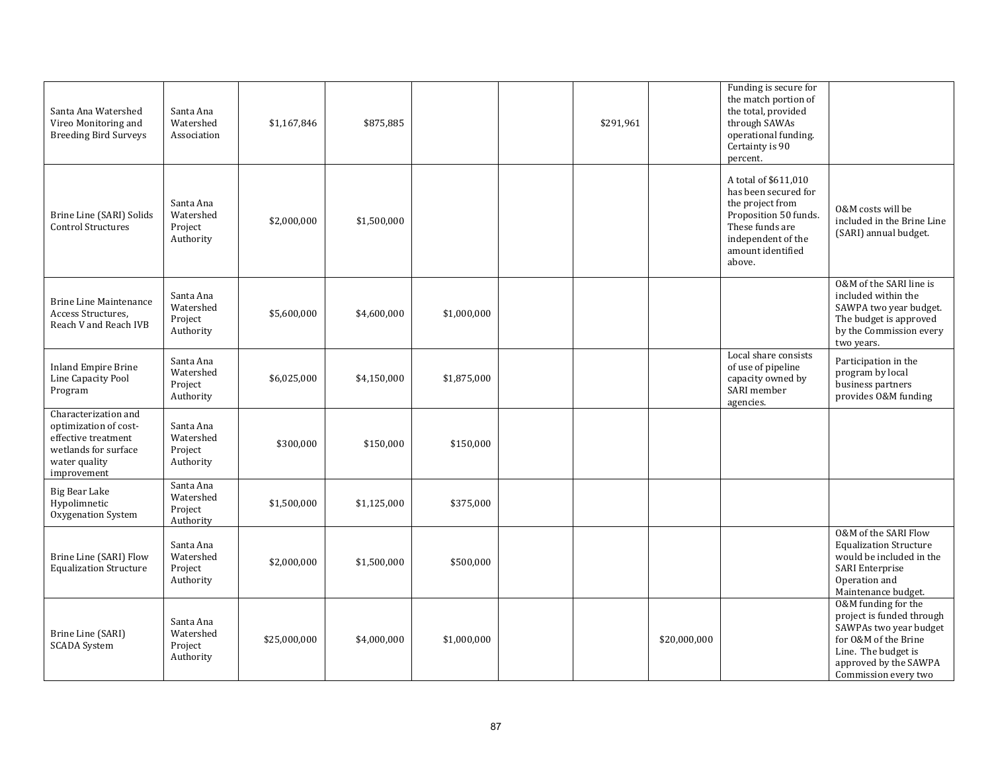| Santa Ana Watershed<br>Vireo Monitoring and<br><b>Breeding Bird Surveys</b>                                                  | Santa Ana<br>Watershed<br>Association          | \$1,167,846  | \$875,885   |             | \$291,961 |              | Funding is secure for<br>the match portion of<br>the total, provided<br>through SAWAs<br>operational funding.<br>Certainty is 90<br>percent.                      |                                                                                                                                                                            |
|------------------------------------------------------------------------------------------------------------------------------|------------------------------------------------|--------------|-------------|-------------|-----------|--------------|-------------------------------------------------------------------------------------------------------------------------------------------------------------------|----------------------------------------------------------------------------------------------------------------------------------------------------------------------------|
| Brine Line (SARI) Solids<br><b>Control Structures</b>                                                                        | Santa Ana<br>Watershed<br>Project<br>Authority | \$2,000,000  | \$1,500,000 |             |           |              | A total of \$611,010<br>has been secured for<br>the project from<br>Proposition 50 funds.<br>These funds are<br>independent of the<br>amount identified<br>above. | 0&M costs will be<br>included in the Brine Line<br>(SARI) annual budget.                                                                                                   |
| <b>Brine Line Maintenance</b><br>Access Structures.<br>Reach V and Reach IVB                                                 | Santa Ana<br>Watershed<br>Project<br>Authority | \$5,600,000  | \$4,600,000 | \$1,000,000 |           |              |                                                                                                                                                                   | 0&M of the SARI line is<br>included within the<br>SAWPA two year budget.<br>The budget is approved<br>by the Commission every<br>two years.                                |
| <b>Inland Empire Brine</b><br>Line Capacity Pool<br>Program                                                                  | Santa Ana<br>Watershed<br>Project<br>Authority | \$6,025,000  | \$4,150,000 | \$1,875,000 |           |              | Local share consists<br>of use of pipeline<br>capacity owned by<br>SARI member<br>agencies.                                                                       | Participation in the<br>program by local<br>business partners<br>provides O&M funding                                                                                      |
| Characterization and<br>optimization of cost-<br>effective treatment<br>wetlands for surface<br>water quality<br>improvement | Santa Ana<br>Watershed<br>Project<br>Authority | \$300,000    | \$150,000   | \$150,000   |           |              |                                                                                                                                                                   |                                                                                                                                                                            |
| <b>Big Bear Lake</b><br>Hypolimnetic<br>Oxygenation System                                                                   | Santa Ana<br>Watershed<br>Project<br>Authority | \$1,500,000  | \$1,125,000 | \$375,000   |           |              |                                                                                                                                                                   |                                                                                                                                                                            |
| Brine Line (SARI) Flow<br><b>Equalization Structure</b>                                                                      | Santa Ana<br>Watershed<br>Project<br>Authority | \$2,000,000  | \$1,500,000 | \$500,000   |           |              |                                                                                                                                                                   | 0&M of the SARI Flow<br><b>Equalization Structure</b><br>would be included in the<br><b>SARI</b> Enterprise<br>Operation and<br>Maintenance budget.                        |
| Brine Line (SARI)<br><b>SCADA System</b>                                                                                     | Santa Ana<br>Watershed<br>Project<br>Authority | \$25,000,000 | \$4,000,000 | \$1,000,000 |           | \$20,000,000 |                                                                                                                                                                   | 0&M funding for the<br>project is funded through<br>SAWPAs two year budget<br>for O&M of the Brine<br>Line. The budget is<br>approved by the SAWPA<br>Commission every two |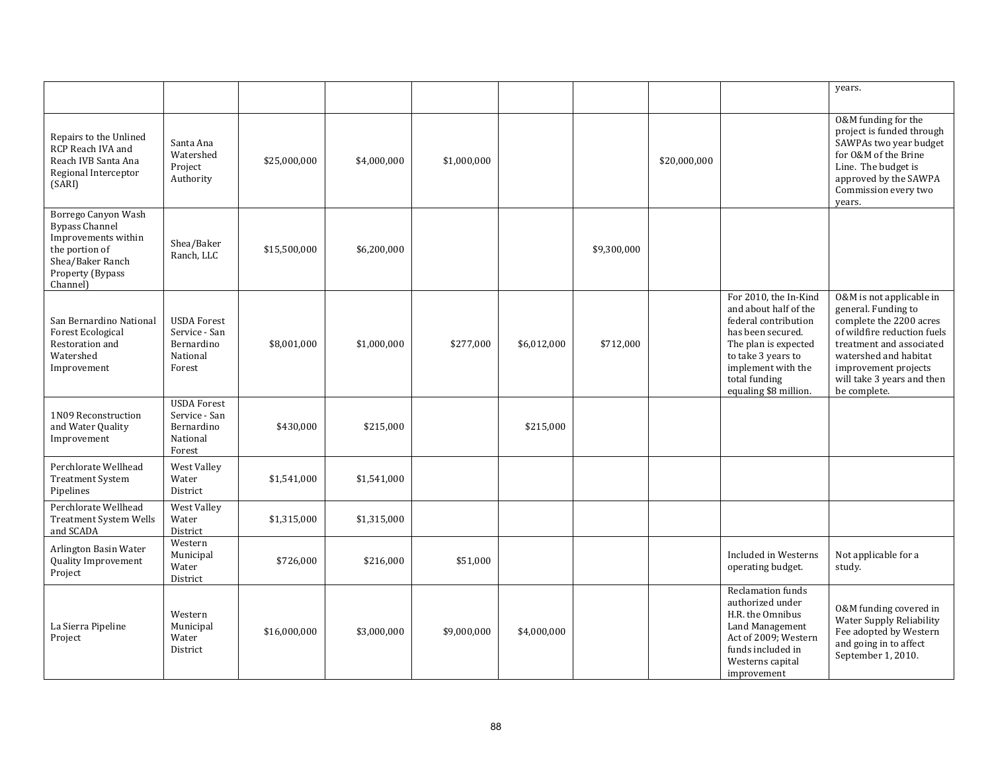|                                                                                                                                           |                                                                         |              |             |             |             |             |              |                                                                                                                                                                                                           | years.                                                                                                                                                                                                                               |
|-------------------------------------------------------------------------------------------------------------------------------------------|-------------------------------------------------------------------------|--------------|-------------|-------------|-------------|-------------|--------------|-----------------------------------------------------------------------------------------------------------------------------------------------------------------------------------------------------------|--------------------------------------------------------------------------------------------------------------------------------------------------------------------------------------------------------------------------------------|
| Repairs to the Unlined<br>RCP Reach IVA and<br>Reach IVB Santa Ana<br>Regional Interceptor<br>(SARI)                                      | Santa Ana<br>Watershed<br>Project<br>Authority                          | \$25,000,000 | \$4,000,000 | \$1,000,000 |             |             | \$20,000,000 |                                                                                                                                                                                                           | O&M funding for the<br>project is funded through<br>SAWPAs two year budget<br>for O&M of the Brine<br>Line. The budget is<br>approved by the SAWPA<br>Commission every two<br>years.                                                 |
| Borrego Canyon Wash<br><b>Bypass Channel</b><br>Improvements within<br>the portion of<br>Shea/Baker Ranch<br>Property (Bypass<br>Channel) | Shea/Baker<br>Ranch, LLC                                                | \$15,500,000 | \$6,200,000 |             |             | \$9,300,000 |              |                                                                                                                                                                                                           |                                                                                                                                                                                                                                      |
| San Bernardino National<br><b>Forest Ecological</b><br>Restoration and<br>Watershed<br>Improvement                                        | <b>USDA Forest</b><br>Service - San<br>Bernardino<br>National<br>Forest | \$8,001,000  | \$1,000,000 | \$277,000   | \$6,012,000 | \$712,000   |              | For 2010, the In-Kind<br>and about half of the<br>federal contribution<br>has been secured.<br>The plan is expected<br>to take 3 years to<br>implement with the<br>total funding<br>equaling \$8 million. | 0&M is not applicable in<br>general. Funding to<br>complete the 2200 acres<br>of wildfire reduction fuels<br>treatment and associated<br>watershed and habitat<br>improvement projects<br>will take 3 years and then<br>be complete. |
| 1N09 Reconstruction<br>and Water Quality<br>Improvement                                                                                   | <b>USDA Forest</b><br>Service - San<br>Bernardino<br>National<br>Forest | \$430,000    | \$215,000   |             | \$215,000   |             |              |                                                                                                                                                                                                           |                                                                                                                                                                                                                                      |
| Perchlorate Wellhead<br><b>Treatment System</b><br>Pipelines                                                                              | West Valley<br>Water<br>District                                        | \$1,541,000  | \$1,541,000 |             |             |             |              |                                                                                                                                                                                                           |                                                                                                                                                                                                                                      |
| Perchlorate Wellhead<br><b>Treatment System Wells</b><br>and SCADA                                                                        | West Valley<br>Water<br>District                                        | \$1,315,000  | \$1,315,000 |             |             |             |              |                                                                                                                                                                                                           |                                                                                                                                                                                                                                      |
| Arlington Basin Water<br>Quality Improvement<br>Project                                                                                   | Western<br>Municipal<br>Water<br>District                               | \$726,000    | \$216,000   | \$51,000    |             |             |              | Included in Westerns<br>operating budget.                                                                                                                                                                 | Not applicable for a<br>study.                                                                                                                                                                                                       |
| La Sierra Pipeline<br>Project                                                                                                             | Western<br>Municipal<br>Water<br>District                               | \$16,000,000 | \$3,000,000 | \$9,000,000 | \$4,000,000 |             |              | <b>Reclamation funds</b><br>authorized under<br>H.R. the Omnibus<br>Land Management<br>Act of 2009; Western<br>funds included in<br>Westerns capital<br>improvement                                       | 0&M funding covered in<br><b>Water Supply Reliability</b><br>Fee adopted by Western<br>and going in to affect<br>September 1, 2010.                                                                                                  |